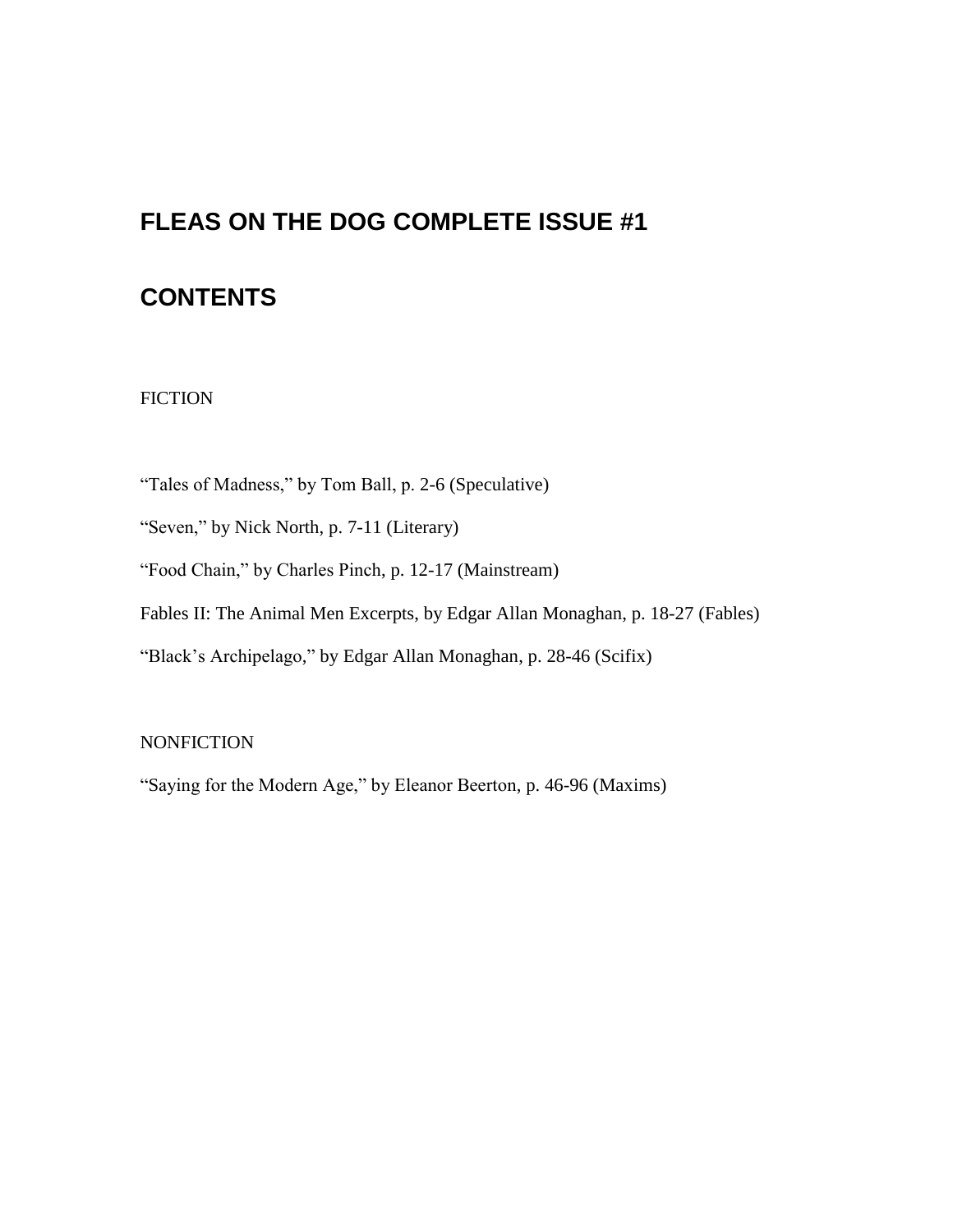# **FLEAS ON THE DOG COMPLETE ISSUE #1**

# **CONTENTS**

# FICTION

"Tales of Madness," by Tom Ball, p. 2-6 (Speculative)

"Seven," by Nick North, p. 7-11 (Literary)

"Food Chain," by Charles Pinch, p. 12-17 (Mainstream)

Fables II: The Animal Men Excerpts, by Edgar Allan Monaghan, p. 18-27 (Fables)

"Black's Archipelago," by Edgar Allan Monaghan, p. 28-46 (Scifix)

# **NONFICTION**

"Saying for the Modern Age," by Eleanor Beerton, p. 46-96 (Maxims)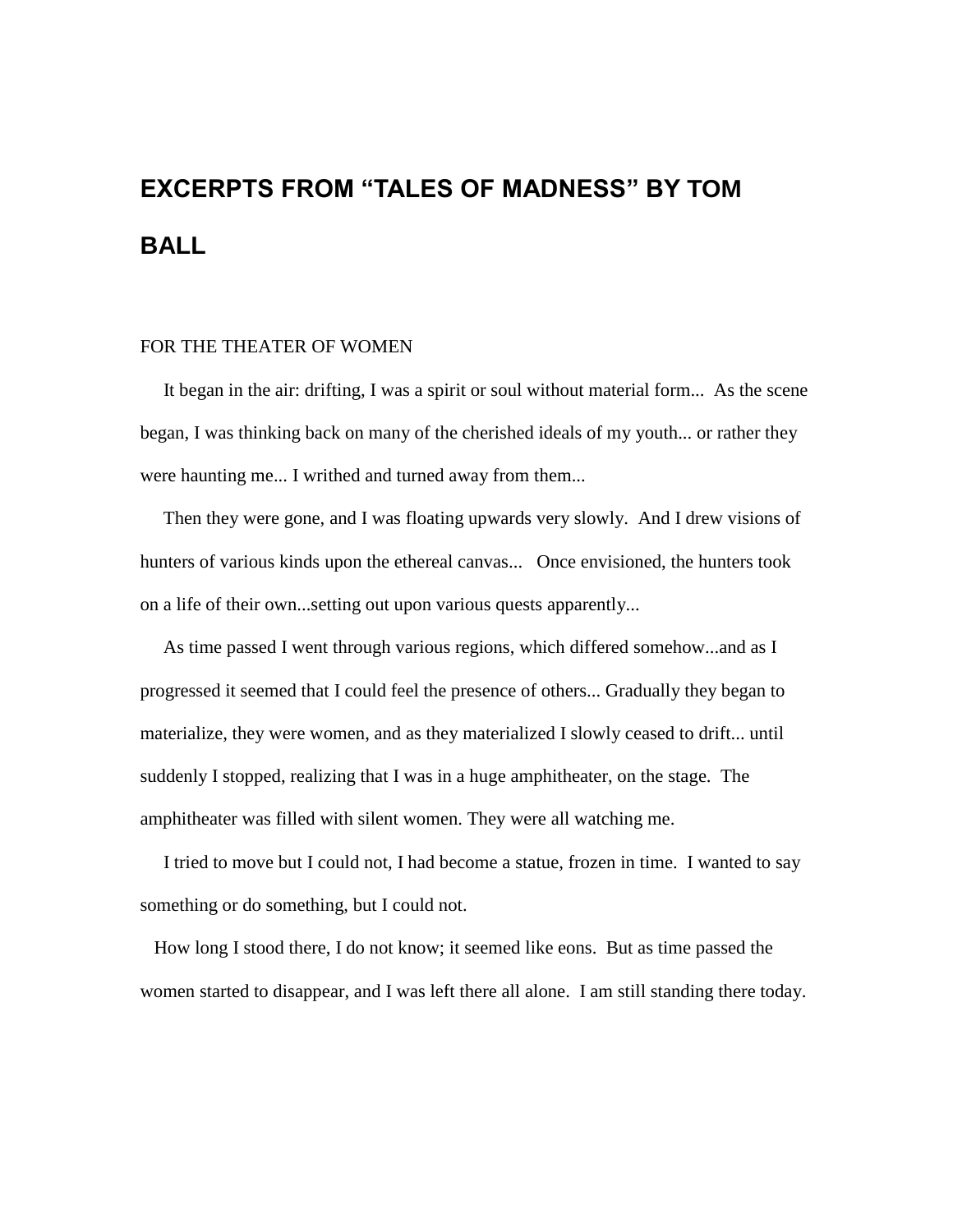# **EXCERPTS FROM "TALES OF MADNESS" BY TOM BALL**

#### FOR THE THEATER OF WOMEN

 It began in the air: drifting, I was a spirit or soul without material form... As the scene began, I was thinking back on many of the cherished ideals of my youth... or rather they were haunting me... I writhed and turned away from them...

 Then they were gone, and I was floating upwards very slowly. And I drew visions of hunters of various kinds upon the ethereal canvas... Once envisioned, the hunters took on a life of their own...setting out upon various quests apparently...

 As time passed I went through various regions, which differed somehow...and as I progressed it seemed that I could feel the presence of others... Gradually they began to materialize, they were women, and as they materialized I slowly ceased to drift... until suddenly I stopped, realizing that I was in a huge amphitheater, on the stage. The amphitheater was filled with silent women. They were all watching me.

 I tried to move but I could not, I had become a statue, frozen in time. I wanted to say something or do something, but I could not.

 How long I stood there, I do not know; it seemed like eons. But as time passed the women started to disappear, and I was left there all alone. I am still standing there today.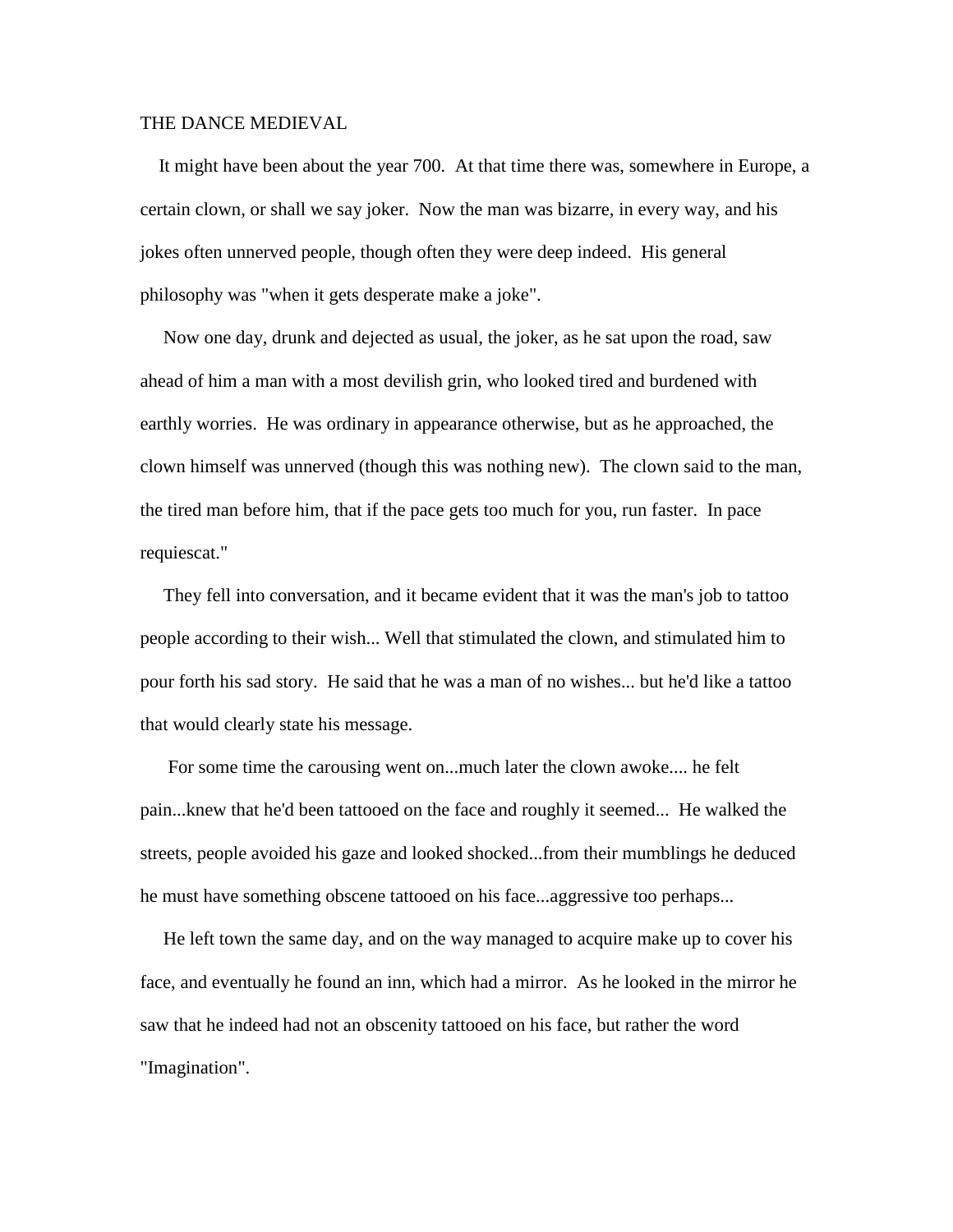### THE DANCE MEDIEVAL

 It might have been about the year 700. At that time there was, somewhere in Europe, a certain clown, or shall we say joker. Now the man was bizarre, in every way, and his jokes often unnerved people, though often they were deep indeed. His general philosophy was "when it gets desperate make a joke".

 Now one day, drunk and dejected as usual, the joker, as he sat upon the road, saw ahead of him a man with a most devilish grin, who looked tired and burdened with earthly worries. He was ordinary in appearance otherwise, but as he approached, the clown himself was unnerved (though this was nothing new). The clown said to the man, the tired man before him, that if the pace gets too much for you, run faster. In pace requiescat."

 They fell into conversation, and it became evident that it was the man's job to tattoo people according to their wish... Well that stimulated the clown, and stimulated him to pour forth his sad story. He said that he was a man of no wishes... but he'd like a tattoo that would clearly state his message.

 For some time the carousing went on...much later the clown awoke.... he felt pain...knew that he'd been tattooed on the face and roughly it seemed... He walked the streets, people avoided his gaze and looked shocked...from their mumblings he deduced he must have something obscene tattooed on his face...aggressive too perhaps...

 He left town the same day, and on the way managed to acquire make up to cover his face, and eventually he found an inn, which had a mirror. As he looked in the mirror he saw that he indeed had not an obscenity tattooed on his face, but rather the word "Imagination".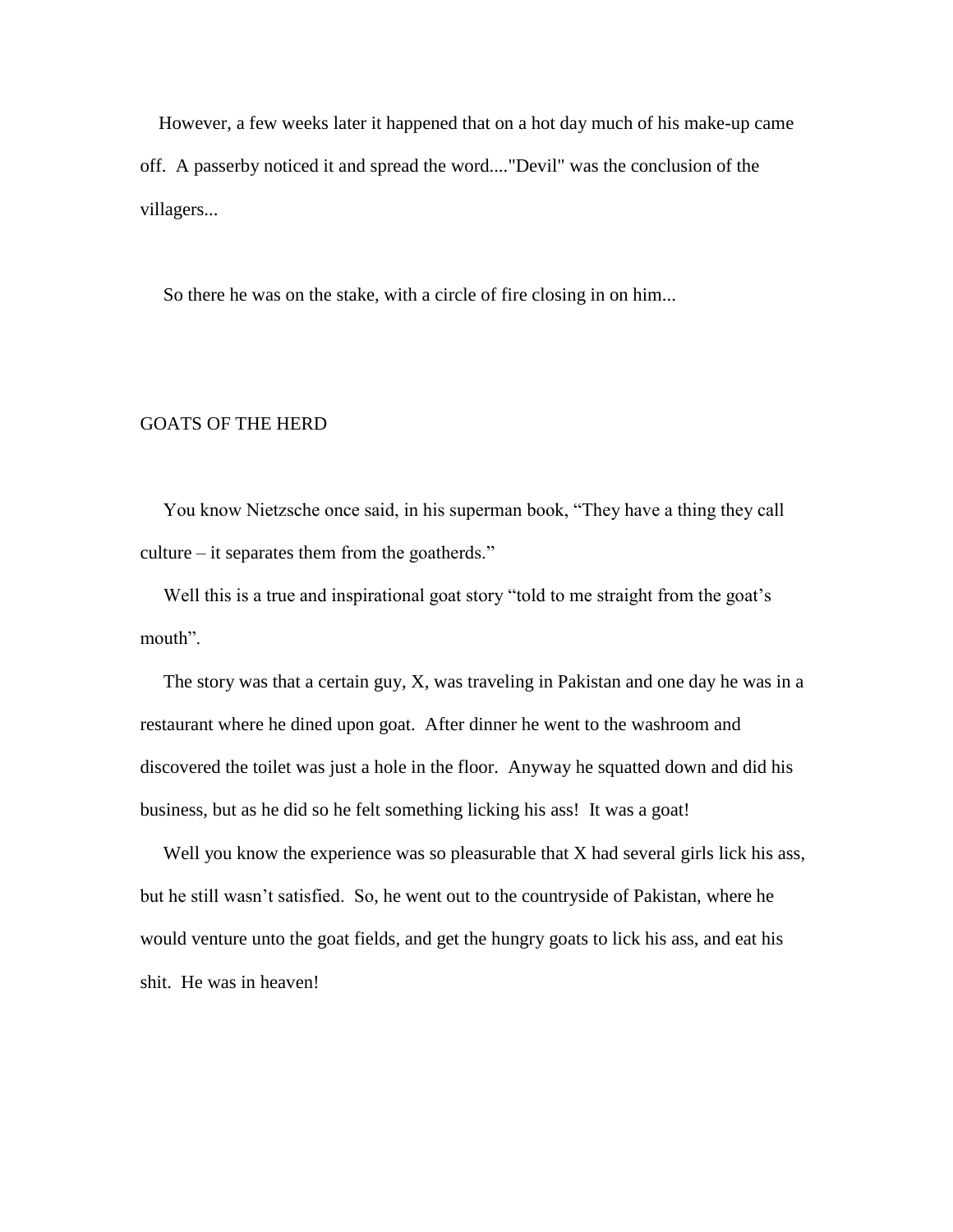However, a few weeks later it happened that on a hot day much of his make-up came off. A passerby noticed it and spread the word...."Devil" was the conclusion of the villagers...

So there he was on the stake, with a circle of fire closing in on him...

### GOATS OF THE HERD

 You know Nietzsche once said, in his superman book, "They have a thing they call culture – it separates them from the goatherds."

 Well this is a true and inspirational goat story "told to me straight from the goat's mouth".

 The story was that a certain guy, X, was traveling in Pakistan and one day he was in a restaurant where he dined upon goat. After dinner he went to the washroom and discovered the toilet was just a hole in the floor. Anyway he squatted down and did his business, but as he did so he felt something licking his ass! It was a goat!

Well you know the experience was so pleasurable that X had several girls lick his ass, but he still wasn't satisfied. So, he went out to the countryside of Pakistan, where he would venture unto the goat fields, and get the hungry goats to lick his ass, and eat his shit. He was in heaven!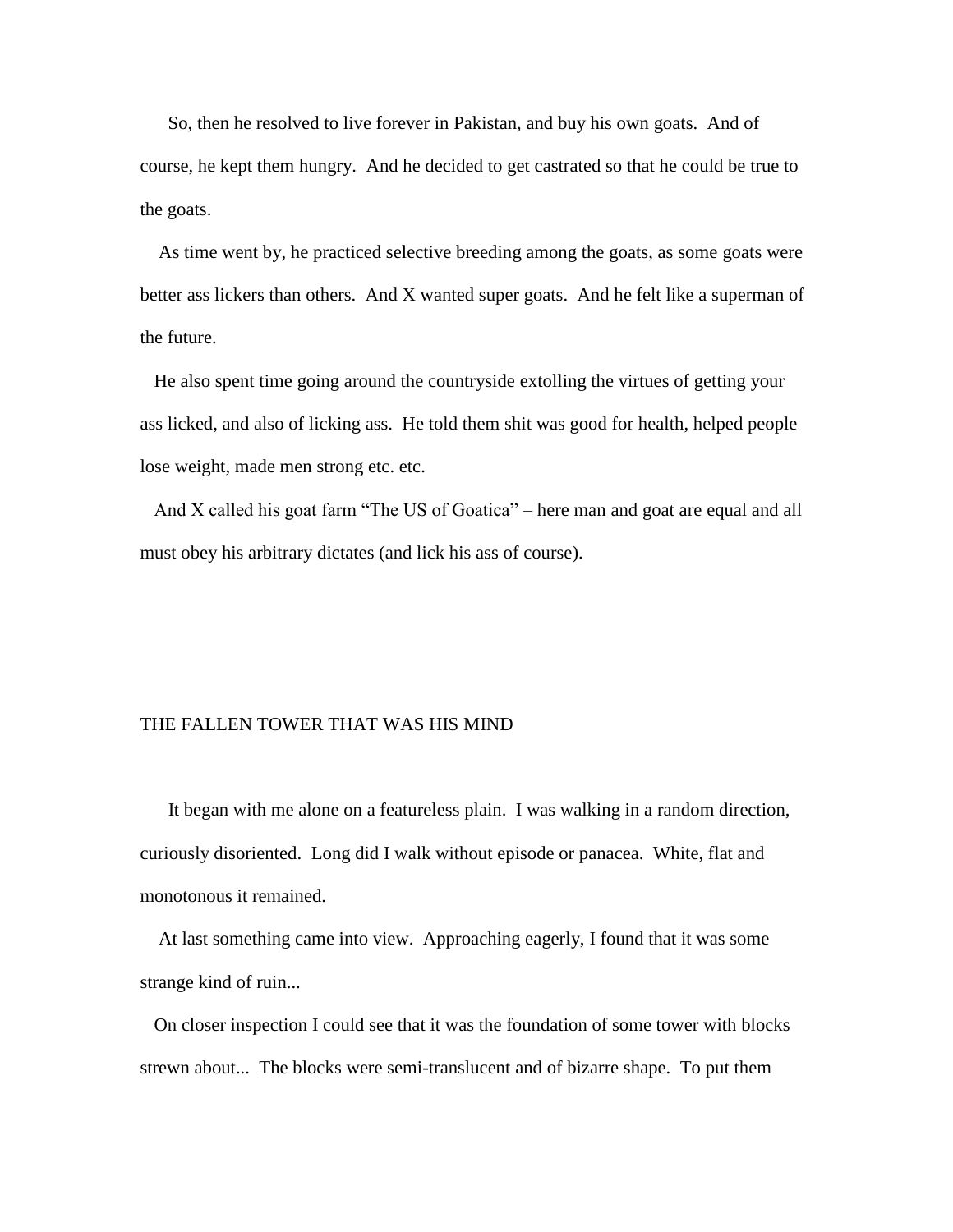So, then he resolved to live forever in Pakistan, and buy his own goats. And of course, he kept them hungry. And he decided to get castrated so that he could be true to the goats.

 As time went by, he practiced selective breeding among the goats, as some goats were better ass lickers than others. And X wanted super goats. And he felt like a superman of the future.

 He also spent time going around the countryside extolling the virtues of getting your ass licked, and also of licking ass. He told them shit was good for health, helped people lose weight, made men strong etc. etc.

 And X called his goat farm "The US of Goatica" – here man and goat are equal and all must obey his arbitrary dictates (and lick his ass of course).

### THE FALLEN TOWER THAT WAS HIS MIND

 It began with me alone on a featureless plain. I was walking in a random direction, curiously disoriented. Long did I walk without episode or panacea. White, flat and monotonous it remained.

 At last something came into view. Approaching eagerly, I found that it was some strange kind of ruin...

 On closer inspection I could see that it was the foundation of some tower with blocks strewn about... The blocks were semi-translucent and of bizarre shape. To put them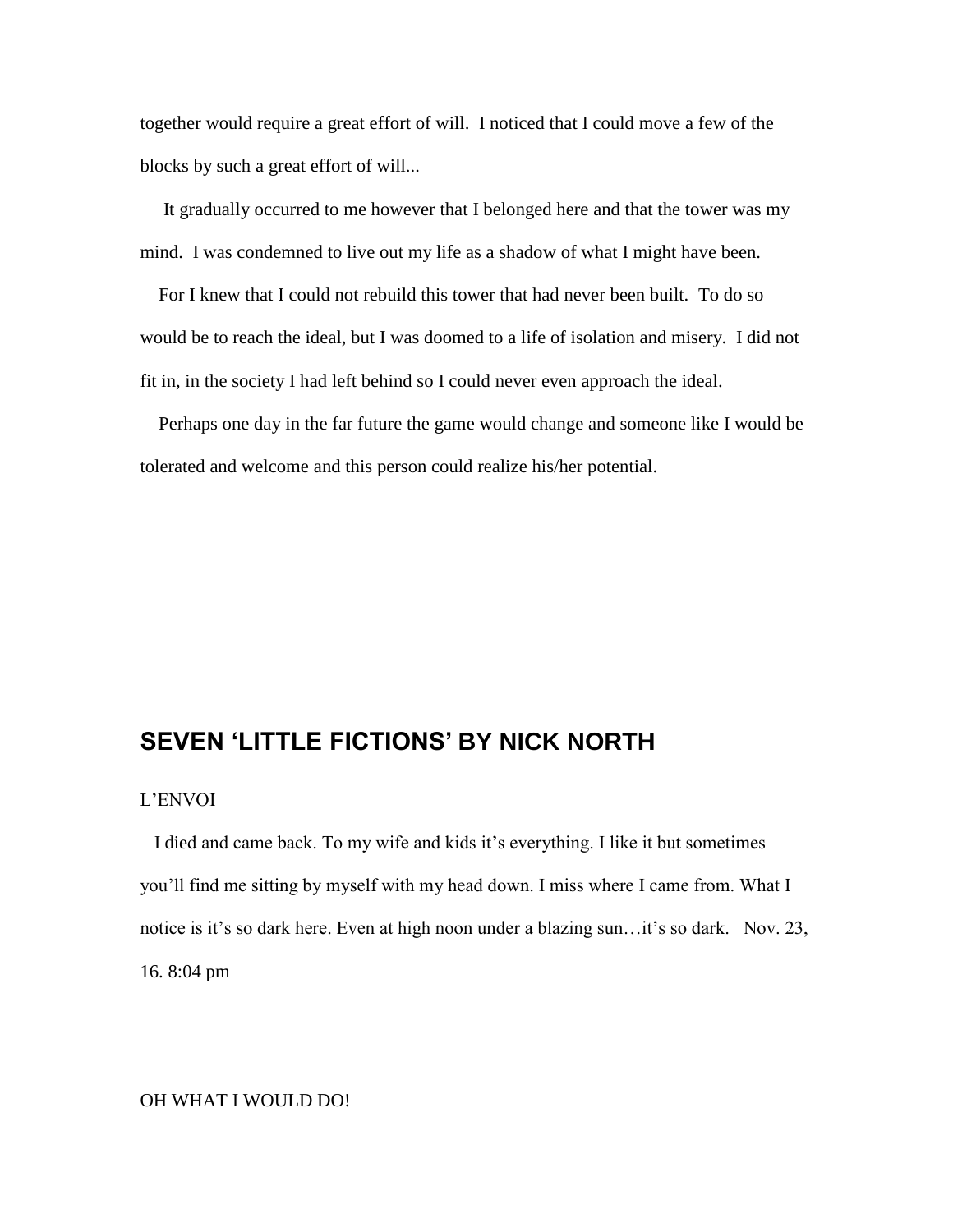together would require a great effort of will. I noticed that I could move a few of the blocks by such a great effort of will...

 It gradually occurred to me however that I belonged here and that the tower was my mind. I was condemned to live out my life as a shadow of what I might have been.

 For I knew that I could not rebuild this tower that had never been built. To do so would be to reach the ideal, but I was doomed to a life of isolation and misery. I did not fit in, in the society I had left behind so I could never even approach the ideal.

 Perhaps one day in the far future the game would change and someone like I would be tolerated and welcome and this person could realize his/her potential.

# **SEVEN 'LITTLE FICTIONS' BY NICK NORTH**

### L'ENVOI

 I died and came back. To my wife and kids it's everything. I like it but sometimes you'll find me sitting by myself with my head down. I miss where I came from. What I notice is it's so dark here. Even at high noon under a blazing sun…it's so dark. Nov. 23, 16. 8:04 pm

### OH WHAT I WOULD DO!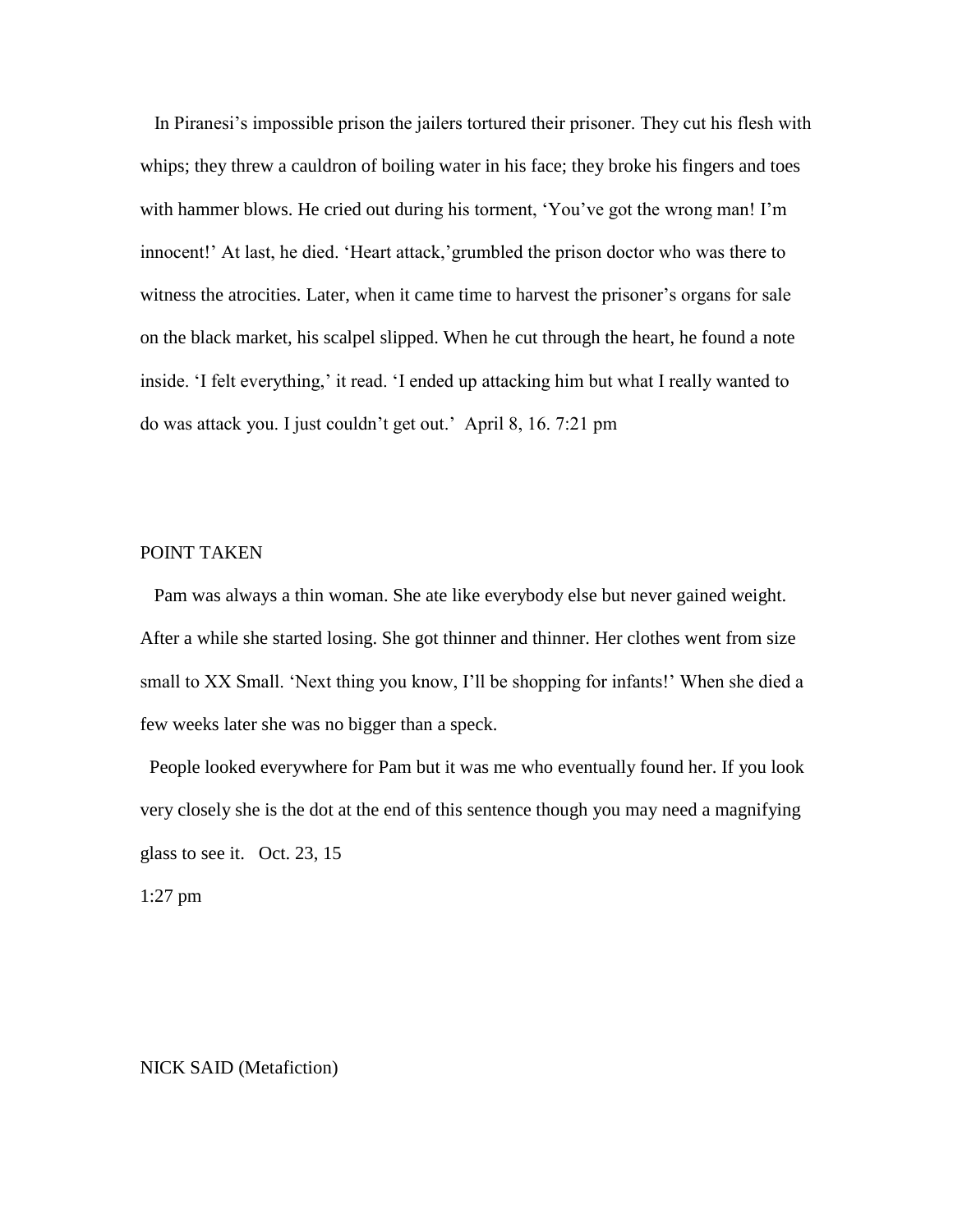In Piranesi's impossible prison the jailers tortured their prisoner. They cut his flesh with whips; they threw a cauldron of boiling water in his face; they broke his fingers and toes with hammer blows. He cried out during his torment, 'You've got the wrong man! I'm innocent!' At last, he died. 'Heart attack,'grumbled the prison doctor who was there to witness the atrocities. Later, when it came time to harvest the prisoner's organs for sale on the black market, his scalpel slipped. When he cut through the heart, he found a note inside. 'I felt everything,' it read. 'I ended up attacking him but what I really wanted to do was attack you. I just couldn't get out.' April 8, 16. 7:21 pm

### POINT TAKEN

 Pam was always a thin woman. She ate like everybody else but never gained weight. After a while she started losing. She got thinner and thinner. Her clothes went from size small to XX Small. 'Next thing you know, I'll be shopping for infants!' When she died a few weeks later she was no bigger than a speck.

 People looked everywhere for Pam but it was me who eventually found her. If you look very closely she is the dot at the end of this sentence though you may need a magnifying glass to see it. Oct. 23, 15

1:27 pm

NICK SAID (Metafiction)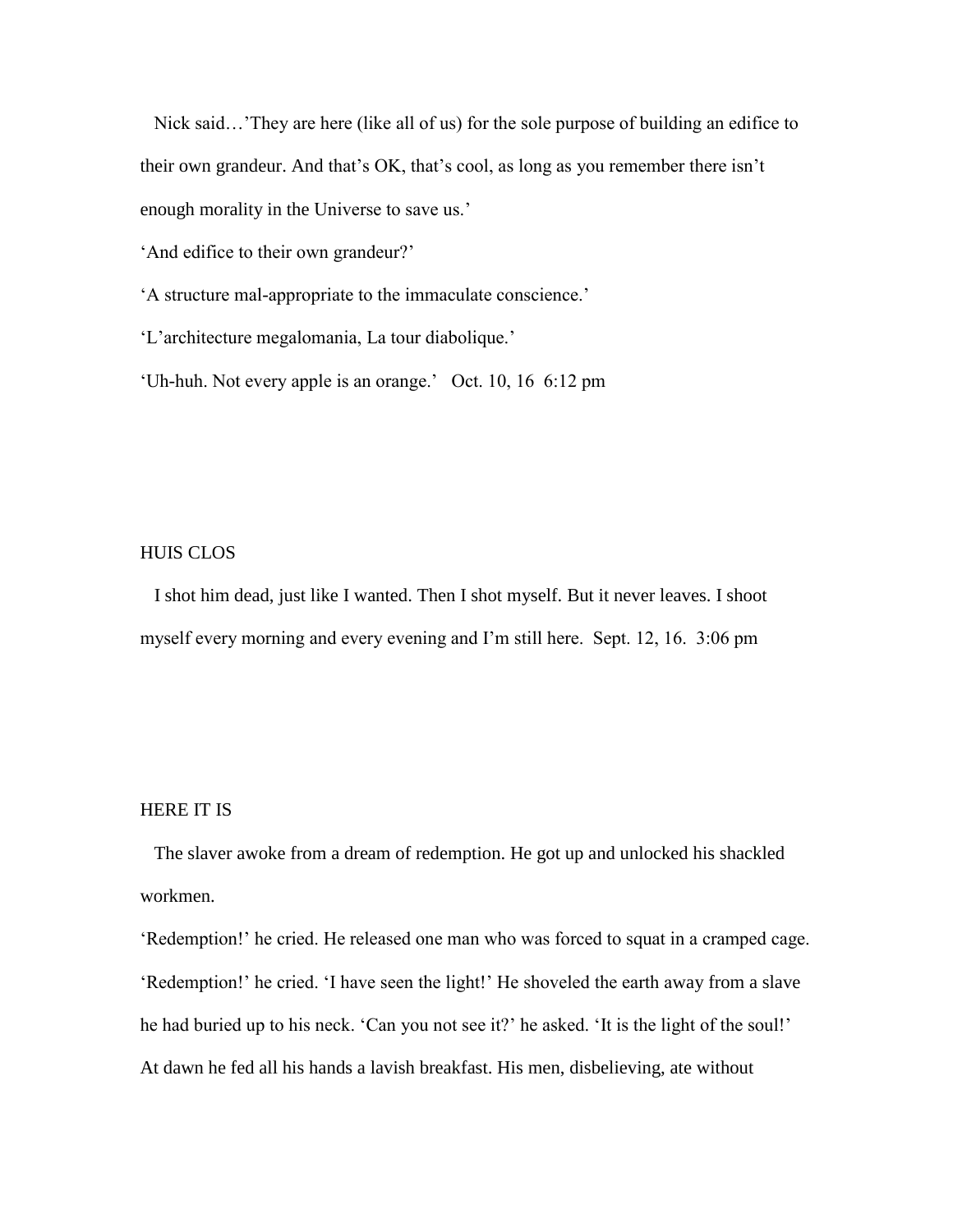Nick said…'They are here (like all of us) for the sole purpose of building an edifice to their own grandeur. And that's OK, that's cool, as long as you remember there isn't enough morality in the Universe to save us.'

'And edifice to their own grandeur?'

'A structure mal-appropriate to the immaculate conscience.'

'L'architecture megalomania, La tour diabolique.'

'Uh-huh. Not every apple is an orange.' Oct. 10, 16 6:12 pm

### HUIS CLOS

 I shot him dead, just like I wanted. Then I shot myself. But it never leaves. I shoot myself every morning and every evening and I'm still here. Sept. 12, 16. 3:06 pm

#### HERE IT IS

 The slaver awoke from a dream of redemption. He got up and unlocked his shackled workmen.

'Redemption!' he cried. He released one man who was forced to squat in a cramped cage. 'Redemption!' he cried. 'I have seen the light!' He shoveled the earth away from a slave he had buried up to his neck. 'Can you not see it?' he asked. 'It is the light of the soul!' At dawn he fed all his hands a lavish breakfast. His men, disbelieving, ate without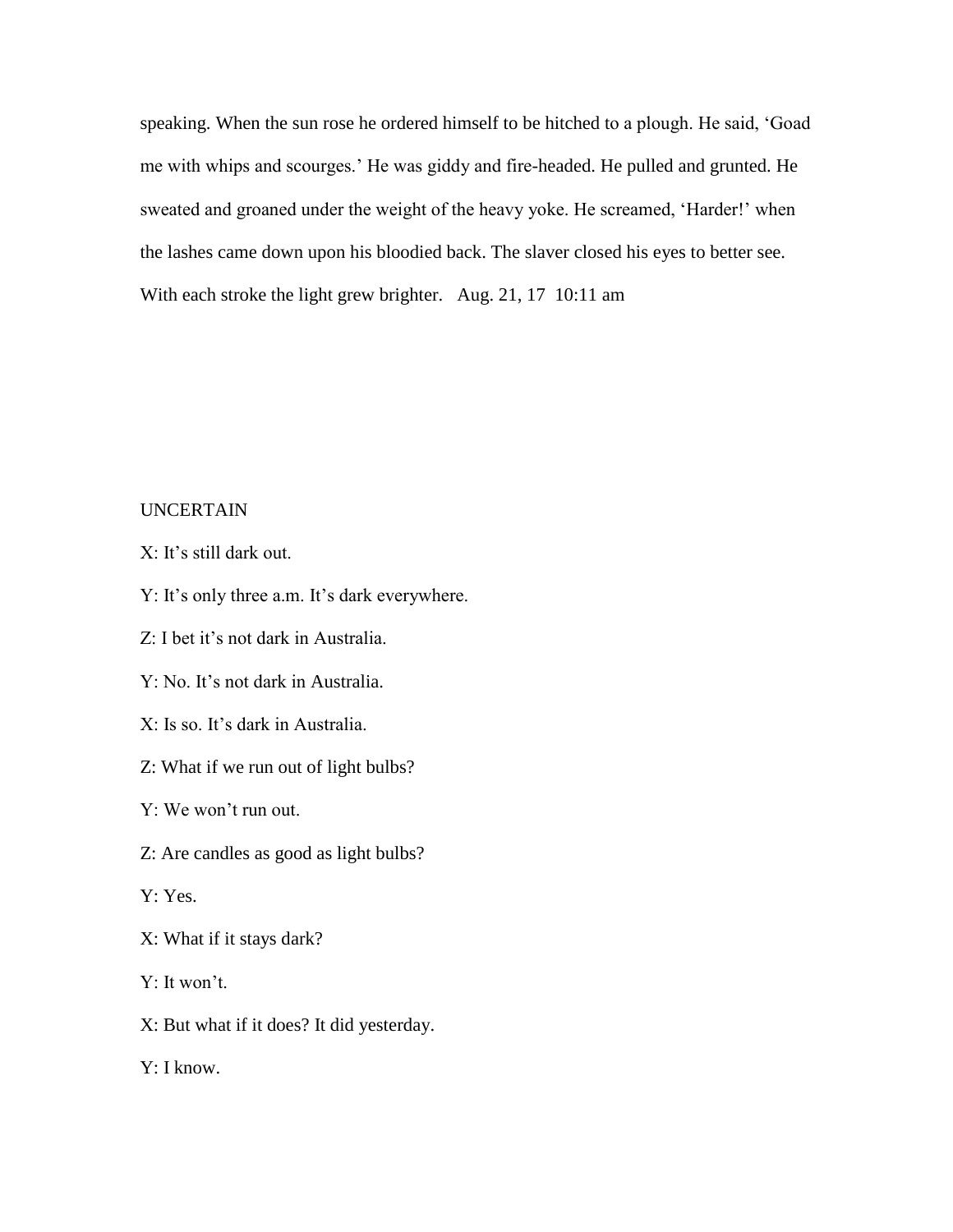speaking. When the sun rose he ordered himself to be hitched to a plough. He said, 'Goad me with whips and scourges.' He was giddy and fire-headed. He pulled and grunted. He sweated and groaned under the weight of the heavy yoke. He screamed, 'Harder!' when the lashes came down upon his bloodied back. The slaver closed his eyes to better see. With each stroke the light grew brighter. Aug. 21, 17 10:11 am

### UNCERTAIN

X: It's still dark out.

Y: It's only three a.m. It's dark everywhere.

Z: I bet it's not dark in Australia.

Y: No. It's not dark in Australia.

X: Is so. It's dark in Australia.

Z: What if we run out of light bulbs?

Y: We won't run out.

Z: Are candles as good as light bulbs?

Y: Yes.

X: What if it stays dark?

Y: It won't.

X: But what if it does? It did yesterday.

Y: I know.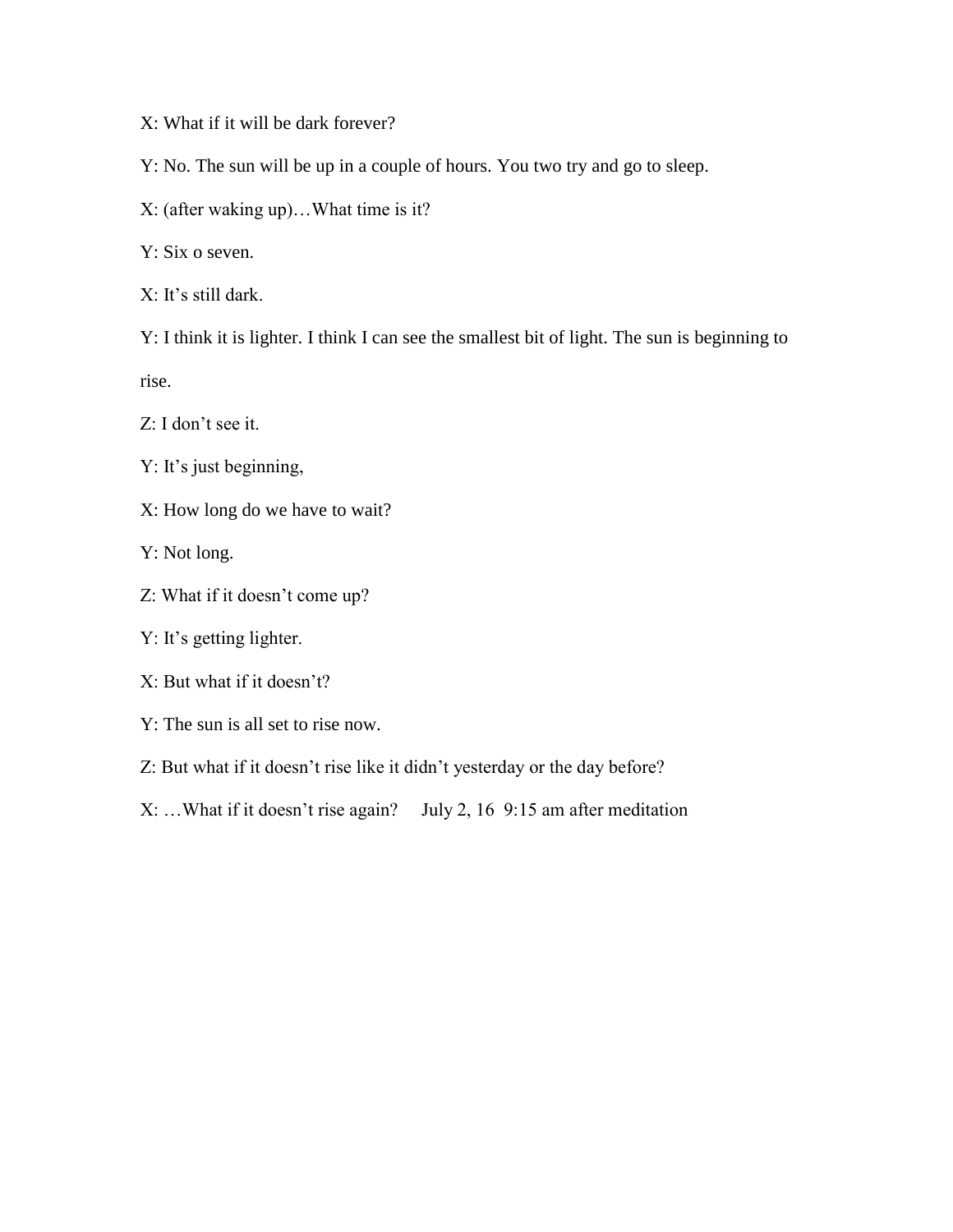X: What if it will be dark forever?

Y: No. The sun will be up in a couple of hours. You two try and go to sleep.

X: (after waking up)…What time is it?

Y: Six o seven.

X: It's still dark.

Y: I think it is lighter. I think I can see the smallest bit of light. The sun is beginning to rise.

Z: I don't see it.

Y: It's just beginning,

X: How long do we have to wait?

Y: Not long.

Z: What if it doesn't come up?

Y: It's getting lighter.

X: But what if it doesn't?

Y: The sun is all set to rise now.

Z: But what if it doesn't rise like it didn't yesterday or the day before?

X: …What if it doesn't rise again? July 2, 16 9:15 am after meditation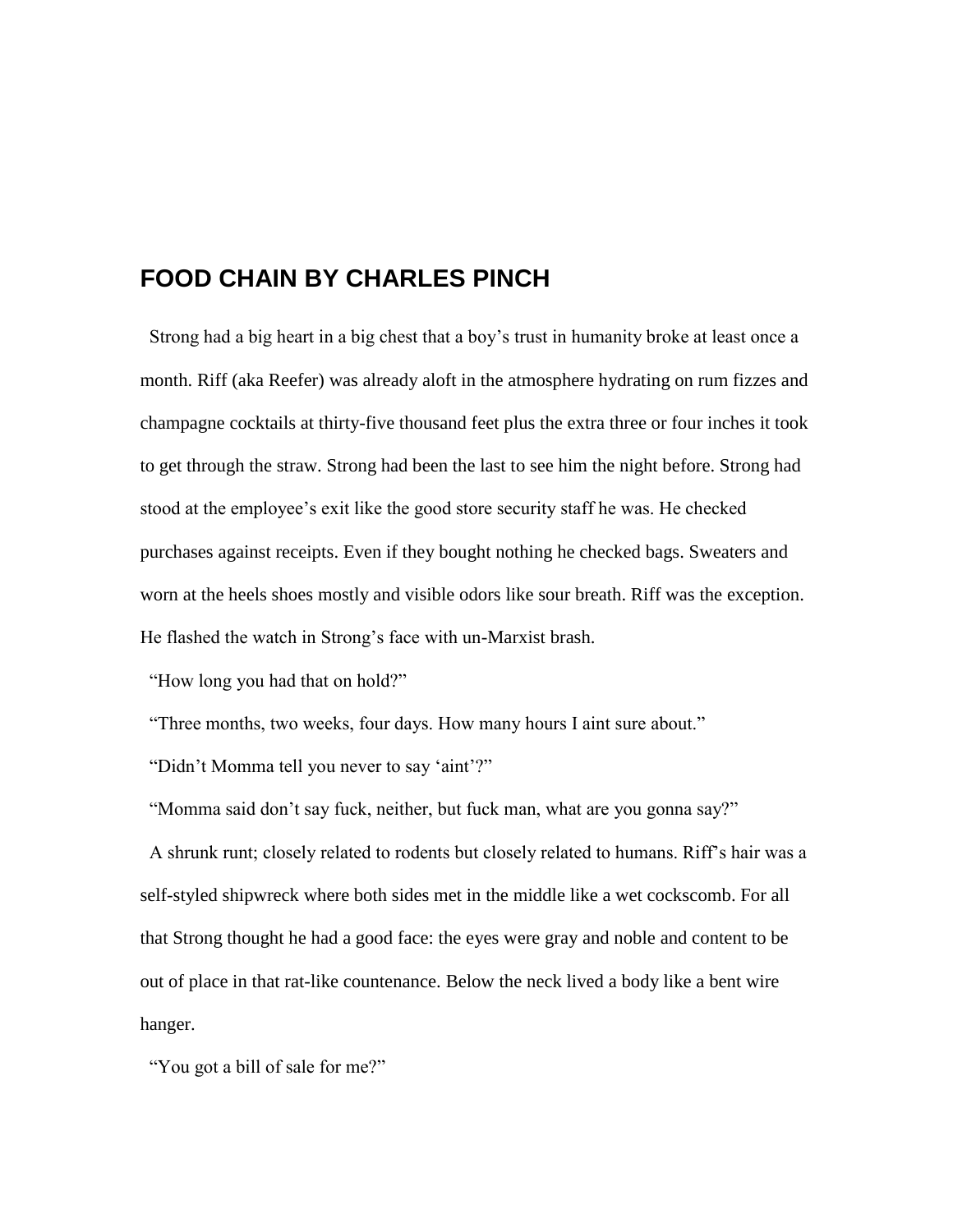# **FOOD CHAIN BY CHARLES PINCH**

 Strong had a big heart in a big chest that a boy's trust in humanity broke at least once a month. Riff (aka Reefer) was already aloft in the atmosphere hydrating on rum fizzes and champagne cocktails at thirty-five thousand feet plus the extra three or four inches it took to get through the straw. Strong had been the last to see him the night before. Strong had stood at the employee's exit like the good store security staff he was. He checked purchases against receipts. Even if they bought nothing he checked bags. Sweaters and worn at the heels shoes mostly and visible odors like sour breath. Riff was the exception. He flashed the watch in Strong's face with un-Marxist brash.

"How long you had that on hold?"

"Three months, two weeks, four days. How many hours I aint sure about."

"Didn't Momma tell you never to say 'aint'?"

"Momma said don't say fuck, neither, but fuck man, what are you gonna say?"

 A shrunk runt; closely related to rodents but closely related to humans. Riff's hair was a self-styled shipwreck where both sides met in the middle like a wet cockscomb. For all that Strong thought he had a good face: the eyes were gray and noble and content to be out of place in that rat-like countenance. Below the neck lived a body like a bent wire hanger.

"You got a bill of sale for me?"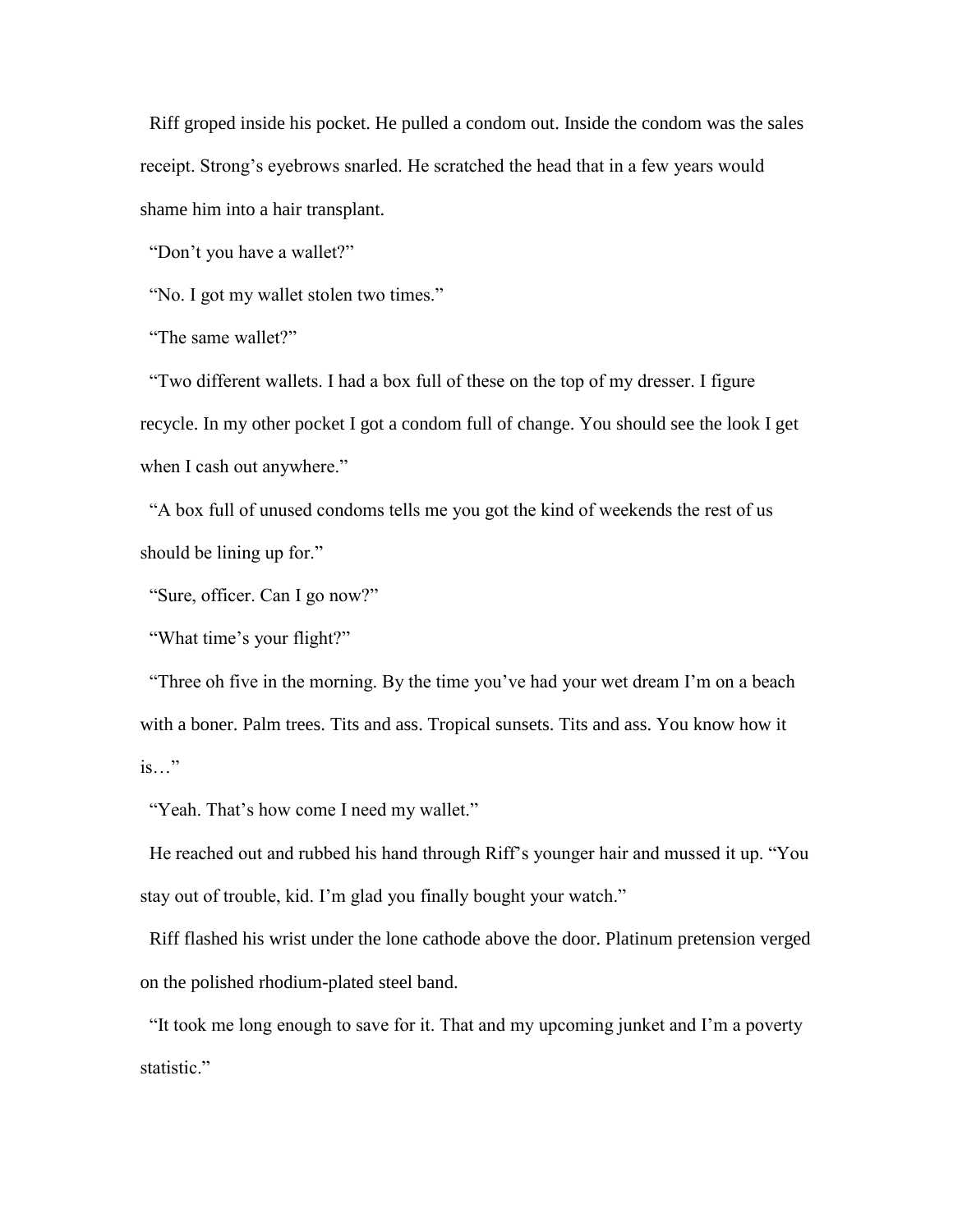Riff groped inside his pocket. He pulled a condom out. Inside the condom was the sales receipt. Strong's eyebrows snarled. He scratched the head that in a few years would shame him into a hair transplant.

"Don't you have a wallet?"

"No. I got my wallet stolen two times."

"The same wallet?"

 "Two different wallets. I had a box full of these on the top of my dresser. I figure recycle. In my other pocket I got a condom full of change. You should see the look I get when I cash out anywhere."

 "A box full of unused condoms tells me you got the kind of weekends the rest of us should be lining up for."

"Sure, officer. Can I go now?"

"What time's your flight?"

 "Three oh five in the morning. By the time you've had your wet dream I'm on a beach with a boner. Palm trees. Tits and ass. Tropical sunsets. Tits and ass. You know how it is…"

"Yeah. That's how come I need my wallet."

 He reached out and rubbed his hand through Riff's younger hair and mussed it up. "You stay out of trouble, kid. I'm glad you finally bought your watch."

 Riff flashed his wrist under the lone cathode above the door. Platinum pretension verged on the polished rhodium-plated steel band.

 "It took me long enough to save for it. That and my upcoming junket and I'm a poverty statistic."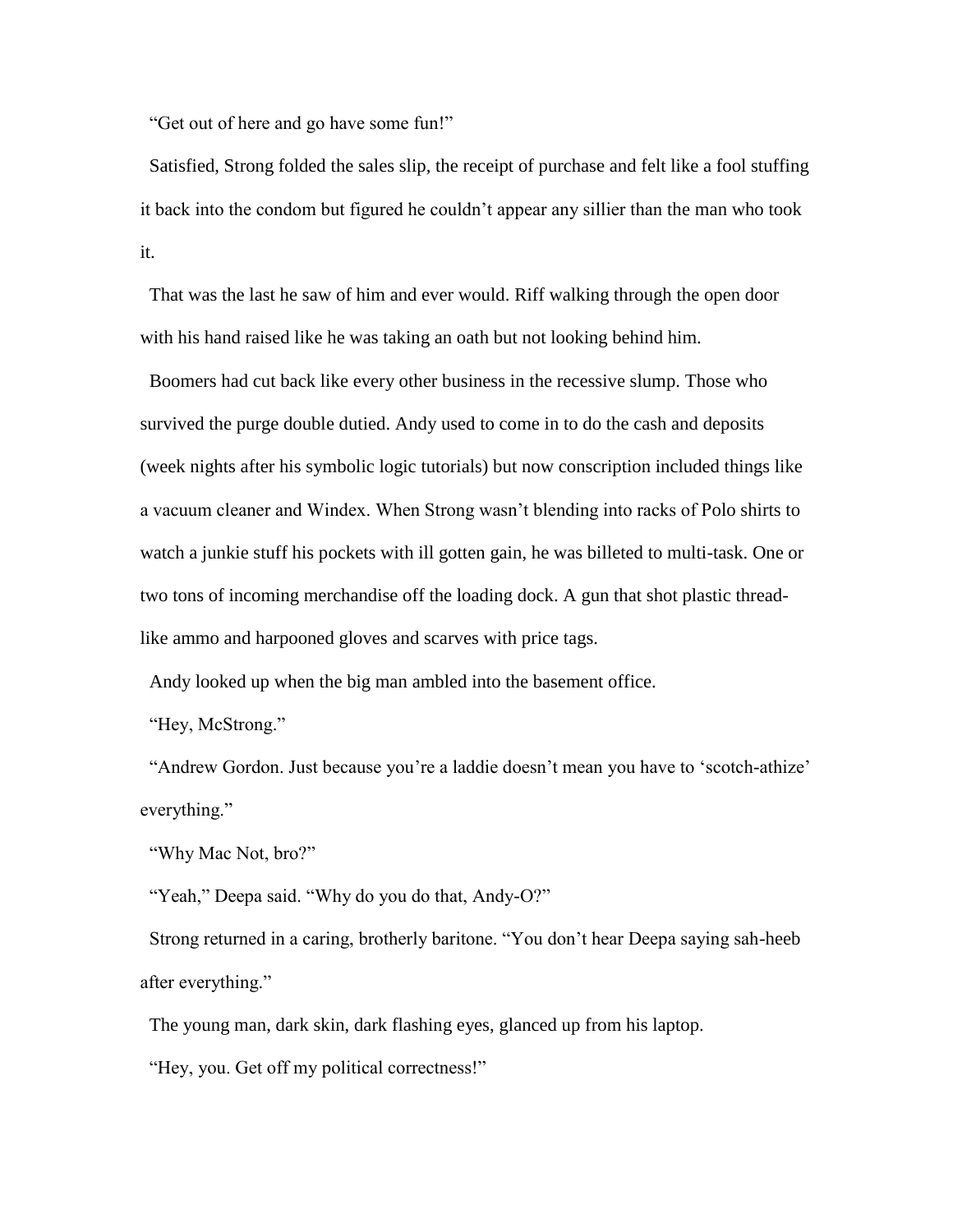"Get out of here and go have some fun!"

 Satisfied, Strong folded the sales slip, the receipt of purchase and felt like a fool stuffing it back into the condom but figured he couldn't appear any sillier than the man who took it.

 That was the last he saw of him and ever would. Riff walking through the open door with his hand raised like he was taking an oath but not looking behind him.

 Boomers had cut back like every other business in the recessive slump. Those who survived the purge double dutied. Andy used to come in to do the cash and deposits (week nights after his symbolic logic tutorials) but now conscription included things like a vacuum cleaner and Windex. When Strong wasn't blending into racks of Polo shirts to watch a junkie stuff his pockets with ill gotten gain, he was billeted to multi-task. One or two tons of incoming merchandise off the loading dock. A gun that shot plastic threadlike ammo and harpooned gloves and scarves with price tags.

Andy looked up when the big man ambled into the basement office.

"Hey, McStrong."

 "Andrew Gordon. Just because you're a laddie doesn't mean you have to 'scotch-athize' everything."

"Why Mac Not, bro?"

"Yeah," Deepa said. "Why do you do that, Andy-O?"

 Strong returned in a caring, brotherly baritone. "You don't hear Deepa saying sah-heeb after everything."

The young man, dark skin, dark flashing eyes, glanced up from his laptop.

"Hey, you. Get off my political correctness!"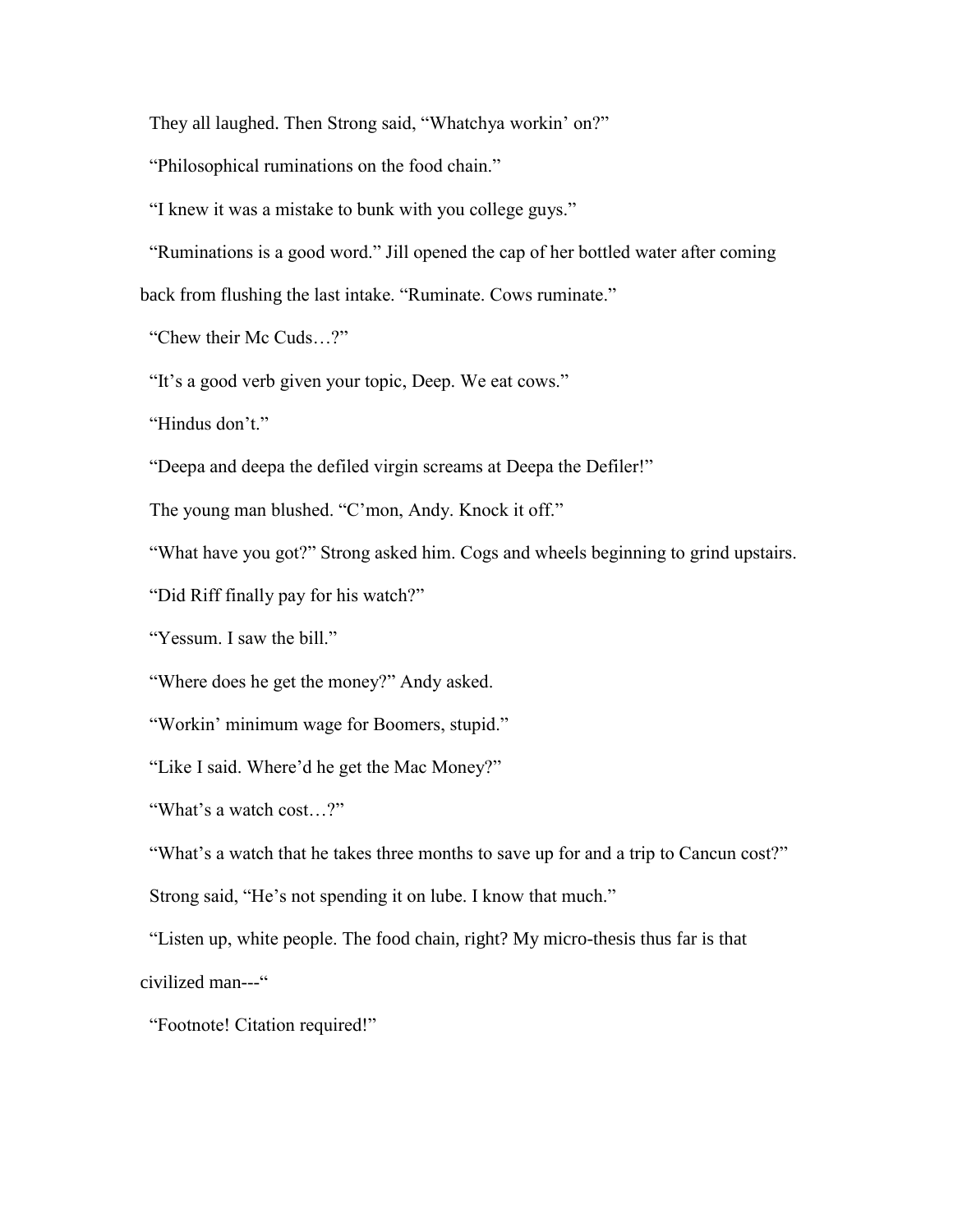They all laughed. Then Strong said, "Whatchya workin' on?"

"Philosophical ruminations on the food chain."

"I knew it was a mistake to bunk with you college guys."

"Ruminations is a good word." Jill opened the cap of her bottled water after coming

back from flushing the last intake. "Ruminate. Cows ruminate."

"Chew their Mc Cuds…?"

"It's a good verb given your topic, Deep. We eat cows."

"Hindus don't."

"Deepa and deepa the defiled virgin screams at Deepa the Defiler!"

The young man blushed. "C'mon, Andy. Knock it off."

"What have you got?" Strong asked him. Cogs and wheels beginning to grind upstairs.

"Did Riff finally pay for his watch?"

"Yessum. I saw the bill."

"Where does he get the money?" Andy asked.

"Workin' minimum wage for Boomers, stupid."

"Like I said. Where'd he get the Mac Money?"

"What's a watch cost…?"

"What's a watch that he takes three months to save up for and a trip to Cancun cost?" Strong said, "He's not spending it on lube. I know that much."

 "Listen up, white people. The food chain, right? My micro-thesis thus far is that civilized man---"

"Footnote! Citation required!"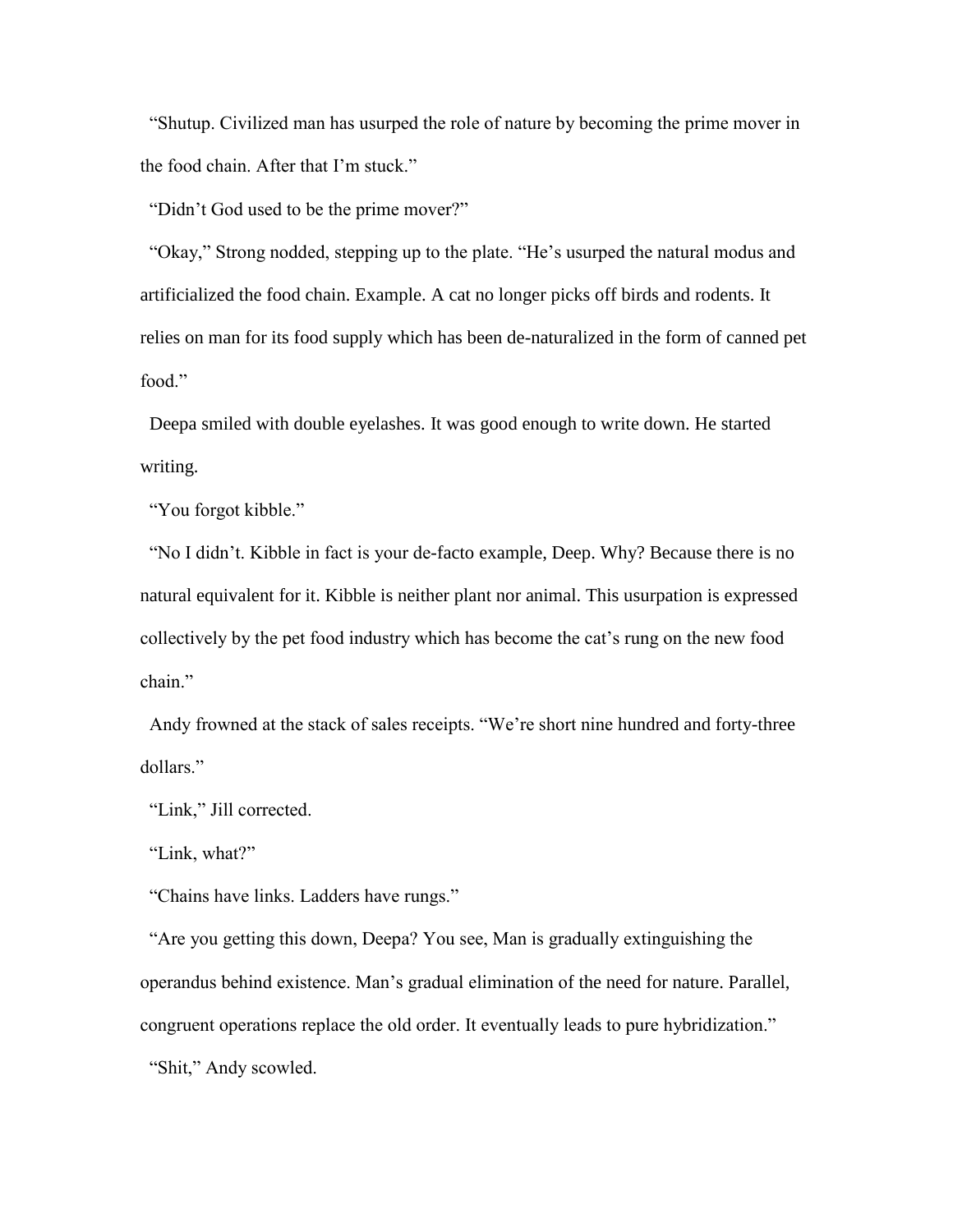"Shutup. Civilized man has usurped the role of nature by becoming the prime mover in the food chain. After that I'm stuck."

"Didn't God used to be the prime mover?"

 "Okay," Strong nodded, stepping up to the plate. "He's usurped the natural modus and artificialized the food chain. Example. A cat no longer picks off birds and rodents. It relies on man for its food supply which has been de-naturalized in the form of canned pet food."

 Deepa smiled with double eyelashes. It was good enough to write down. He started writing.

"You forgot kibble."

 "No I didn't. Kibble in fact is your de-facto example, Deep. Why? Because there is no natural equivalent for it. Kibble is neither plant nor animal. This usurpation is expressed collectively by the pet food industry which has become the cat's rung on the new food chain."

 Andy frowned at the stack of sales receipts. "We're short nine hundred and forty-three dollars."

"Link," Jill corrected.

"Link, what?"

"Chains have links. Ladders have rungs."

 "Are you getting this down, Deepa? You see, Man is gradually extinguishing the operandus behind existence. Man's gradual elimination of the need for nature. Parallel, congruent operations replace the old order. It eventually leads to pure hybridization." "Shit," Andy scowled.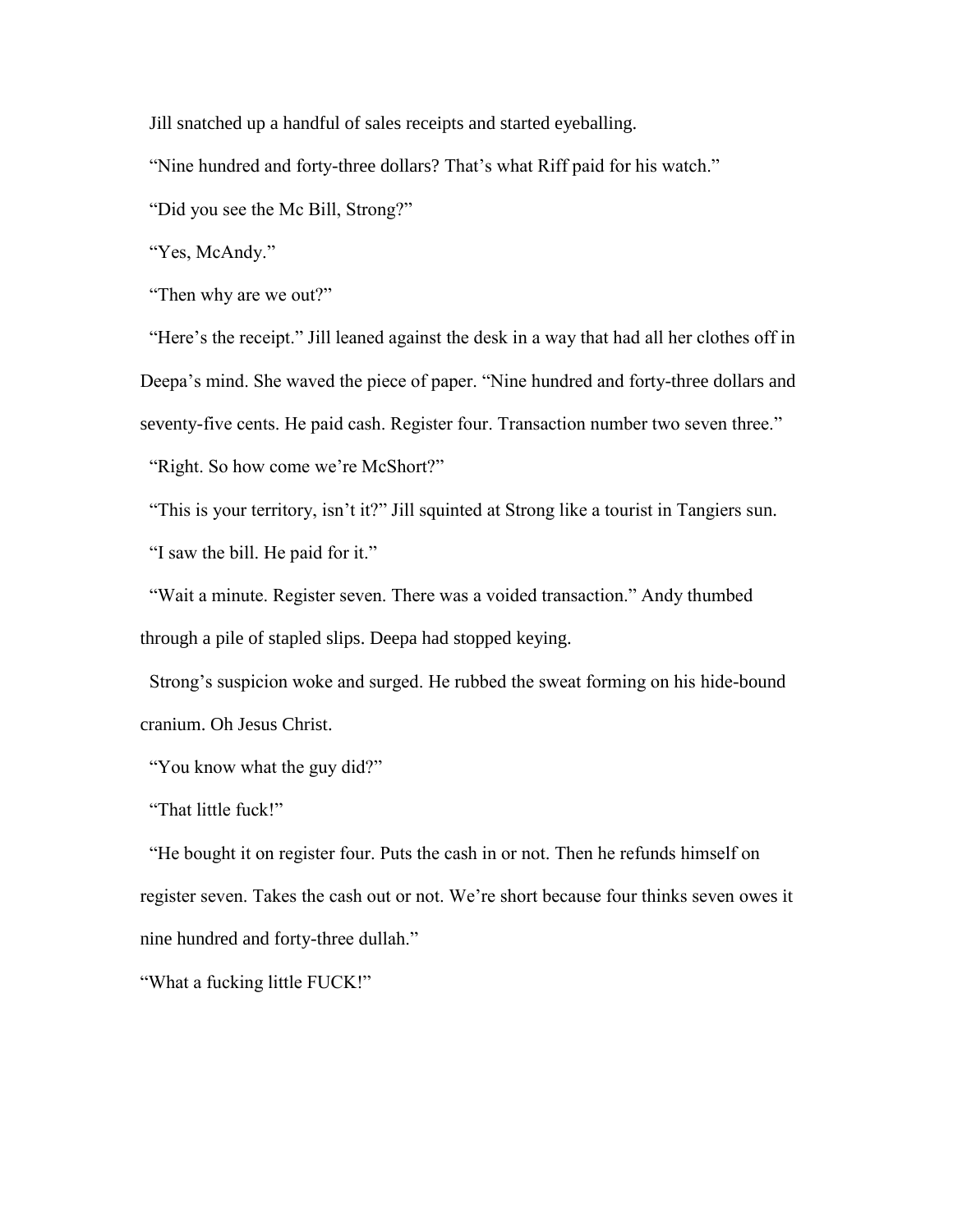Jill snatched up a handful of sales receipts and started eyeballing.

"Nine hundred and forty-three dollars? That's what Riff paid for his watch."

"Did you see the Mc Bill, Strong?"

"Yes, McAndy."

"Then why are we out?"

 "Here's the receipt." Jill leaned against the desk in a way that had all her clothes off in Deepa's mind. She waved the piece of paper. "Nine hundred and forty-three dollars and seventy-five cents. He paid cash. Register four. Transaction number two seven three." "Right. So how come we're McShort?"

 "This is your territory, isn't it?" Jill squinted at Strong like a tourist in Tangiers sun. "I saw the bill. He paid for it."

 "Wait a minute. Register seven. There was a voided transaction." Andy thumbed through a pile of stapled slips. Deepa had stopped keying.

 Strong's suspicion woke and surged. He rubbed the sweat forming on his hide-bound cranium. Oh Jesus Christ.

"You know what the guy did?"

"That little fuck!"

 "He bought it on register four. Puts the cash in or not. Then he refunds himself on register seven. Takes the cash out or not. We're short because four thinks seven owes it nine hundred and forty-three dullah."

"What a fucking little FUCK!"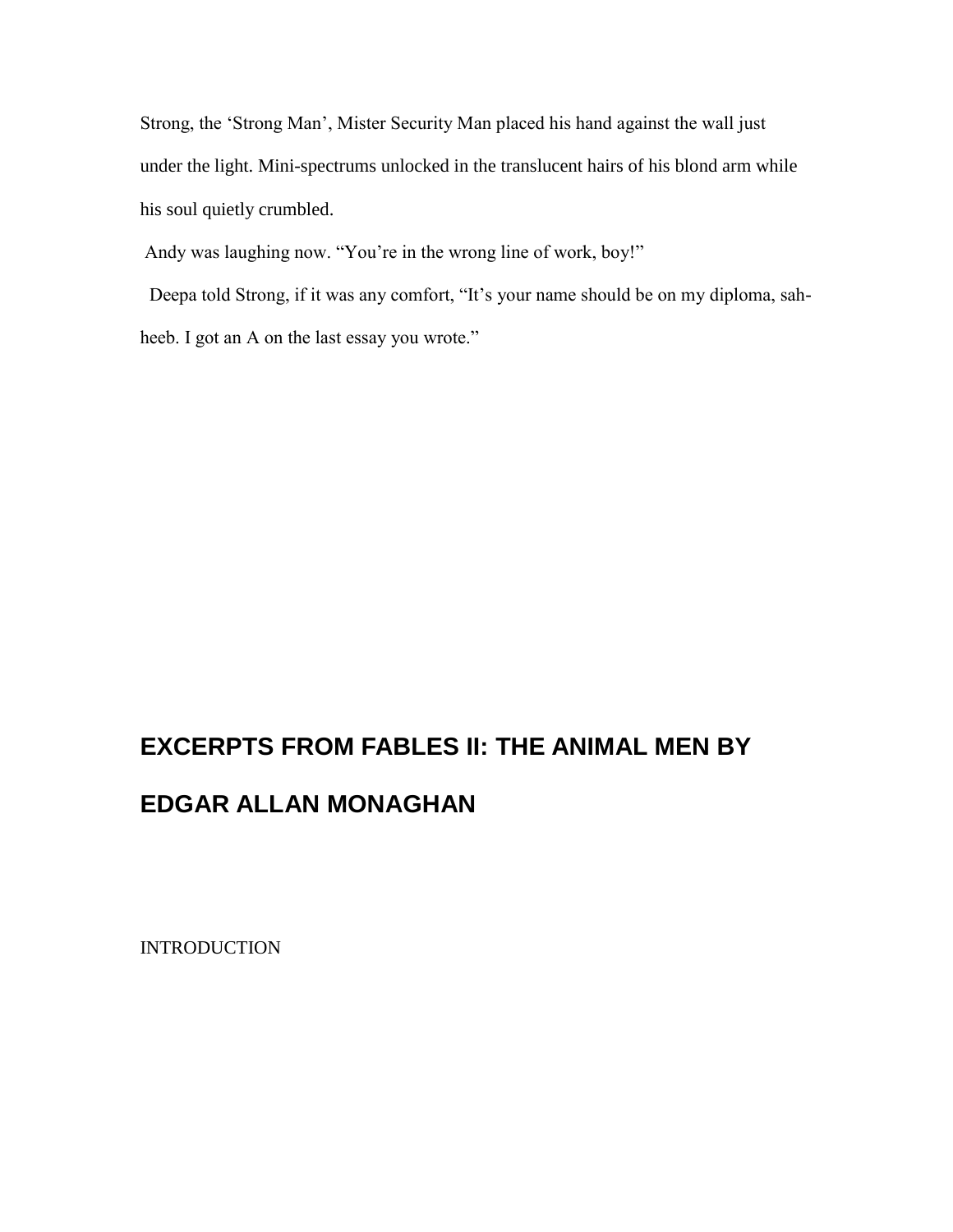Strong, the 'Strong Man', Mister Security Man placed his hand against the wall just under the light. Mini-spectrums unlocked in the translucent hairs of his blond arm while his soul quietly crumbled.

Andy was laughing now. "You're in the wrong line of work, boy!"

 Deepa told Strong, if it was any comfort, "It's your name should be on my diploma, sahheeb. I got an A on the last essay you wrote."

# **EXCERPTS FROM FABLES II: THE ANIMAL MEN BY**

# **EDGAR ALLAN MONAGHAN**

**INTRODUCTION**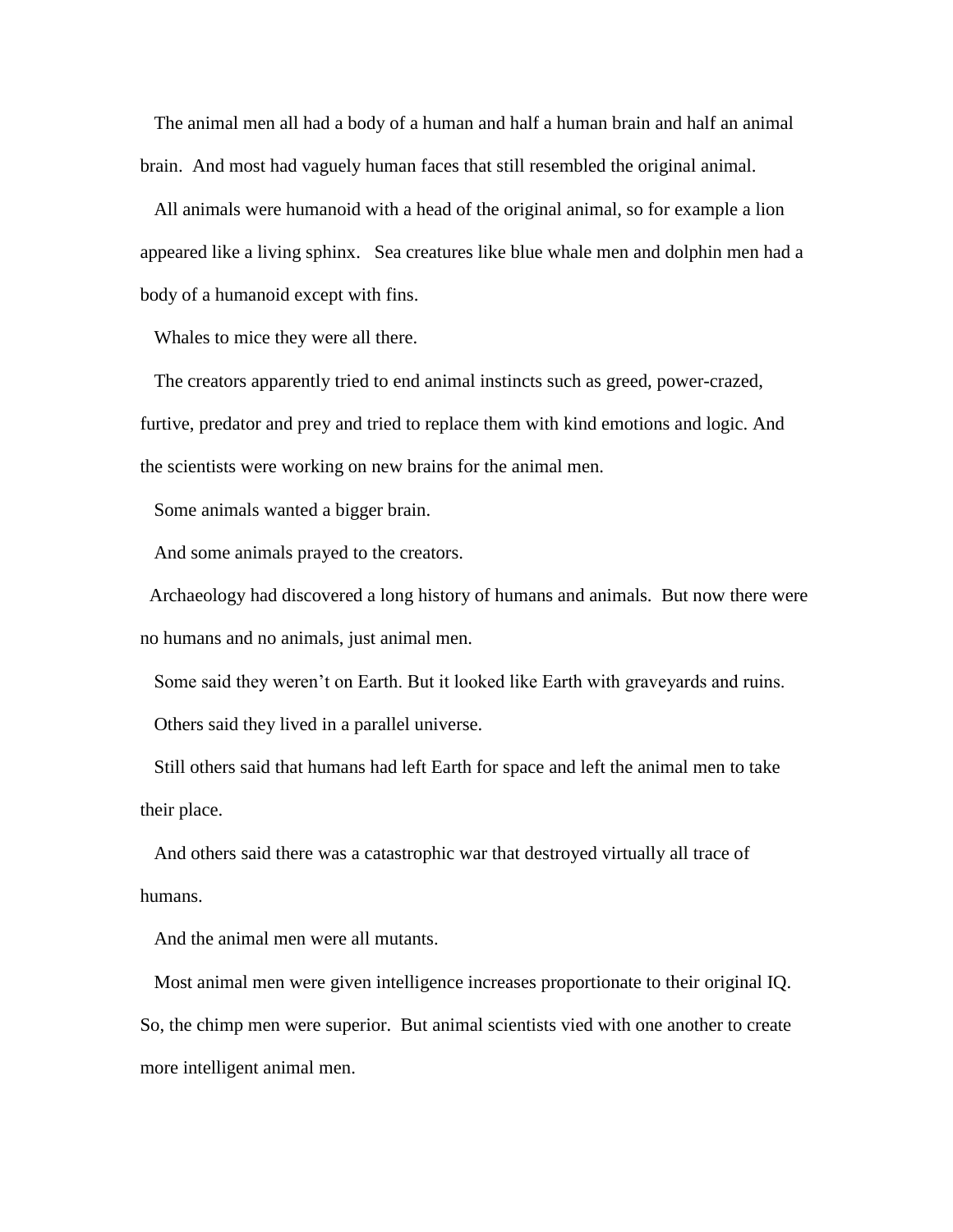The animal men all had a body of a human and half a human brain and half an animal brain. And most had vaguely human faces that still resembled the original animal.

 All animals were humanoid with a head of the original animal, so for example a lion appeared like a living sphinx. Sea creatures like blue whale men and dolphin men had a body of a humanoid except with fins.

Whales to mice they were all there.

 The creators apparently tried to end animal instincts such as greed, power-crazed, furtive, predator and prey and tried to replace them with kind emotions and logic. And the scientists were working on new brains for the animal men.

Some animals wanted a bigger brain.

And some animals prayed to the creators.

 Archaeology had discovered a long history of humans and animals. But now there were no humans and no animals, just animal men.

Some said they weren't on Earth. But it looked like Earth with graveyards and ruins.

Others said they lived in a parallel universe.

 Still others said that humans had left Earth for space and left the animal men to take their place.

 And others said there was a catastrophic war that destroyed virtually all trace of humans.

And the animal men were all mutants.

 Most animal men were given intelligence increases proportionate to their original IQ. So, the chimp men were superior. But animal scientists vied with one another to create more intelligent animal men.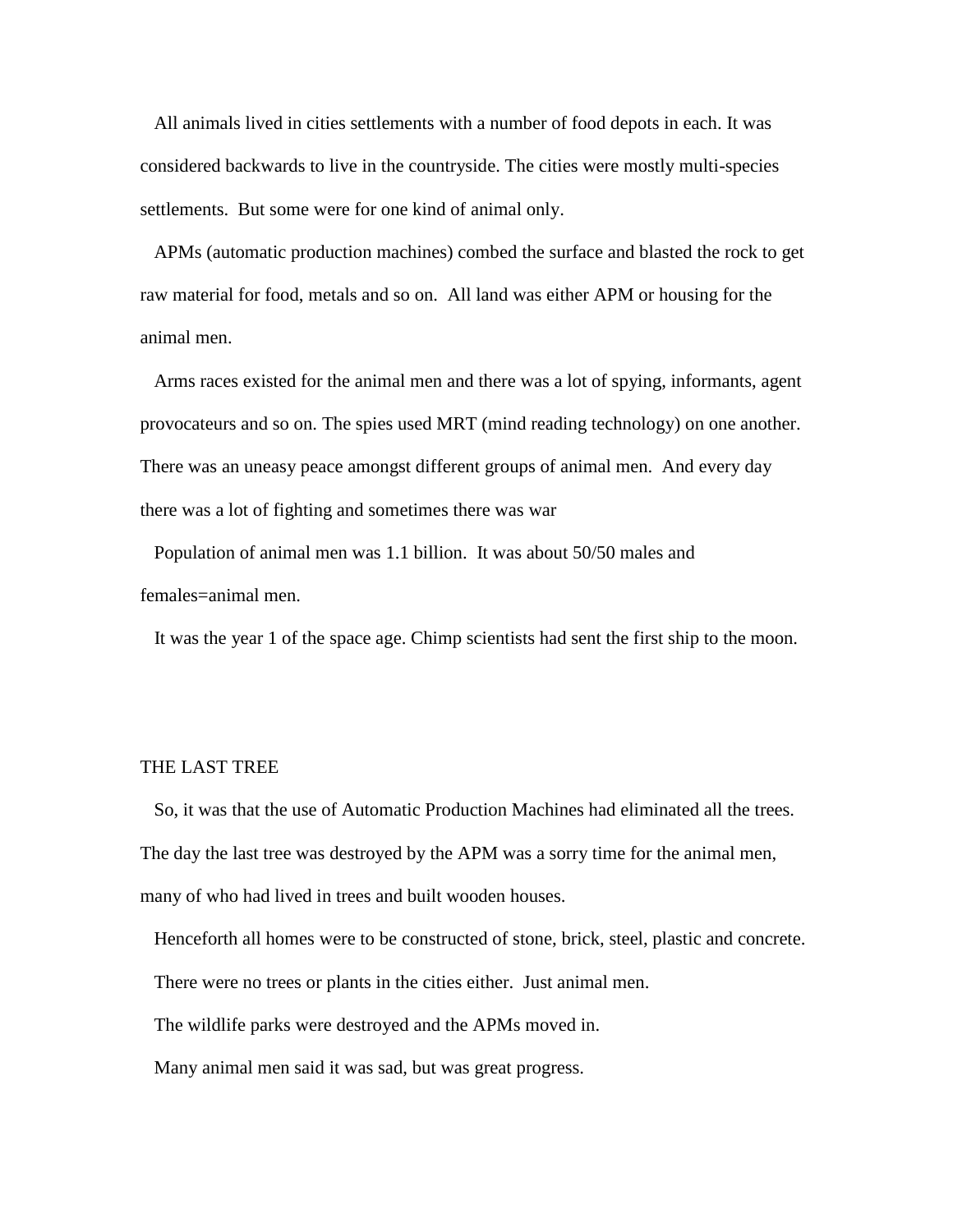All animals lived in cities settlements with a number of food depots in each. It was considered backwards to live in the countryside. The cities were mostly multi-species settlements. But some were for one kind of animal only.

 APMs (automatic production machines) combed the surface and blasted the rock to get raw material for food, metals and so on. All land was either APM or housing for the animal men.

 Arms races existed for the animal men and there was a lot of spying, informants, agent provocateurs and so on. The spies used MRT (mind reading technology) on one another. There was an uneasy peace amongst different groups of animal men. And every day there was a lot of fighting and sometimes there was war

 Population of animal men was 1.1 billion. It was about 50/50 males and females=animal men.

It was the year 1 of the space age. Chimp scientists had sent the first ship to the moon.

#### THE LAST TREE

 So, it was that the use of Automatic Production Machines had eliminated all the trees. The day the last tree was destroyed by the APM was a sorry time for the animal men, many of who had lived in trees and built wooden houses.

Henceforth all homes were to be constructed of stone, brick, steel, plastic and concrete.

There were no trees or plants in the cities either. Just animal men.

The wildlife parks were destroyed and the APMs moved in.

Many animal men said it was sad, but was great progress.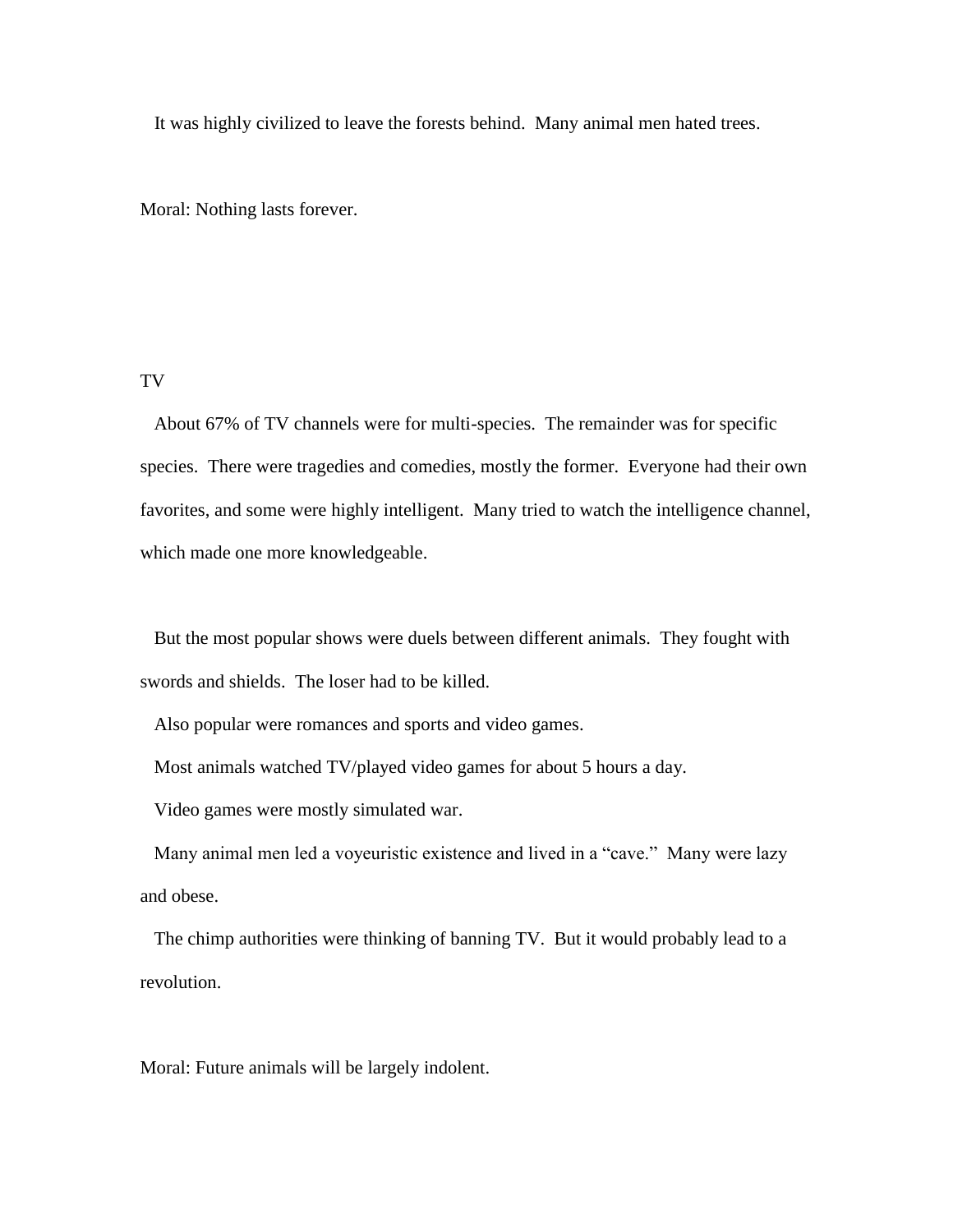It was highly civilized to leave the forests behind. Many animal men hated trees.

Moral: Nothing lasts forever.

### TV

 About 67% of TV channels were for multi-species. The remainder was for specific species. There were tragedies and comedies, mostly the former. Everyone had their own favorites, and some were highly intelligent. Many tried to watch the intelligence channel, which made one more knowledgeable.

 But the most popular shows were duels between different animals. They fought with swords and shields. The loser had to be killed.

Also popular were romances and sports and video games.

Most animals watched TV/played video games for about 5 hours a day.

Video games were mostly simulated war.

 Many animal men led a voyeuristic existence and lived in a "cave." Many were lazy and obese.

 The chimp authorities were thinking of banning TV. But it would probably lead to a revolution.

Moral: Future animals will be largely indolent.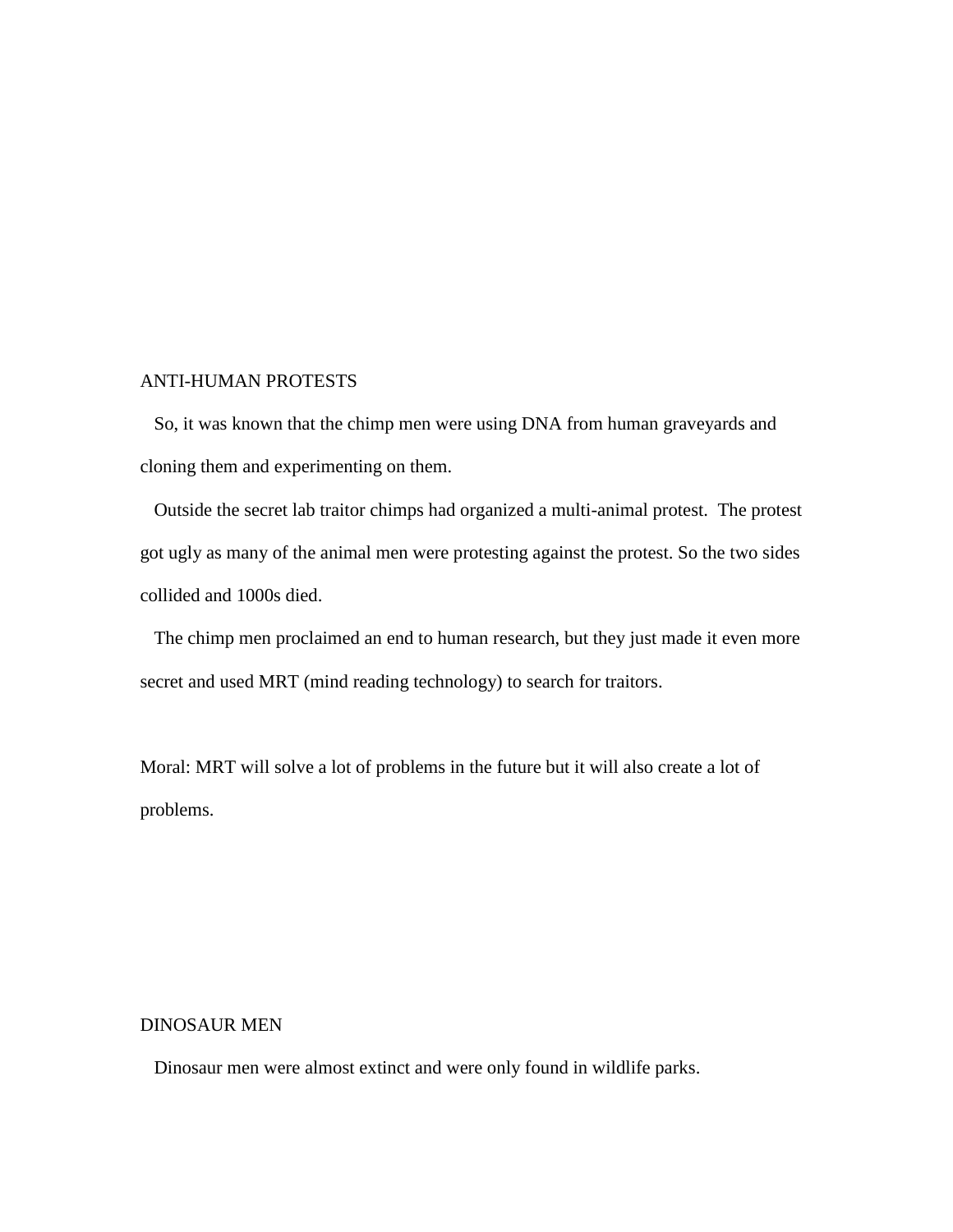## ANTI-HUMAN PROTESTS

 So, it was known that the chimp men were using DNA from human graveyards and cloning them and experimenting on them.

 Outside the secret lab traitor chimps had organized a multi-animal protest. The protest got ugly as many of the animal men were protesting against the protest. So the two sides collided and 1000s died.

 The chimp men proclaimed an end to human research, but they just made it even more secret and used MRT (mind reading technology) to search for traitors.

Moral: MRT will solve a lot of problems in the future but it will also create a lot of problems.

### DINOSAUR MEN

Dinosaur men were almost extinct and were only found in wildlife parks.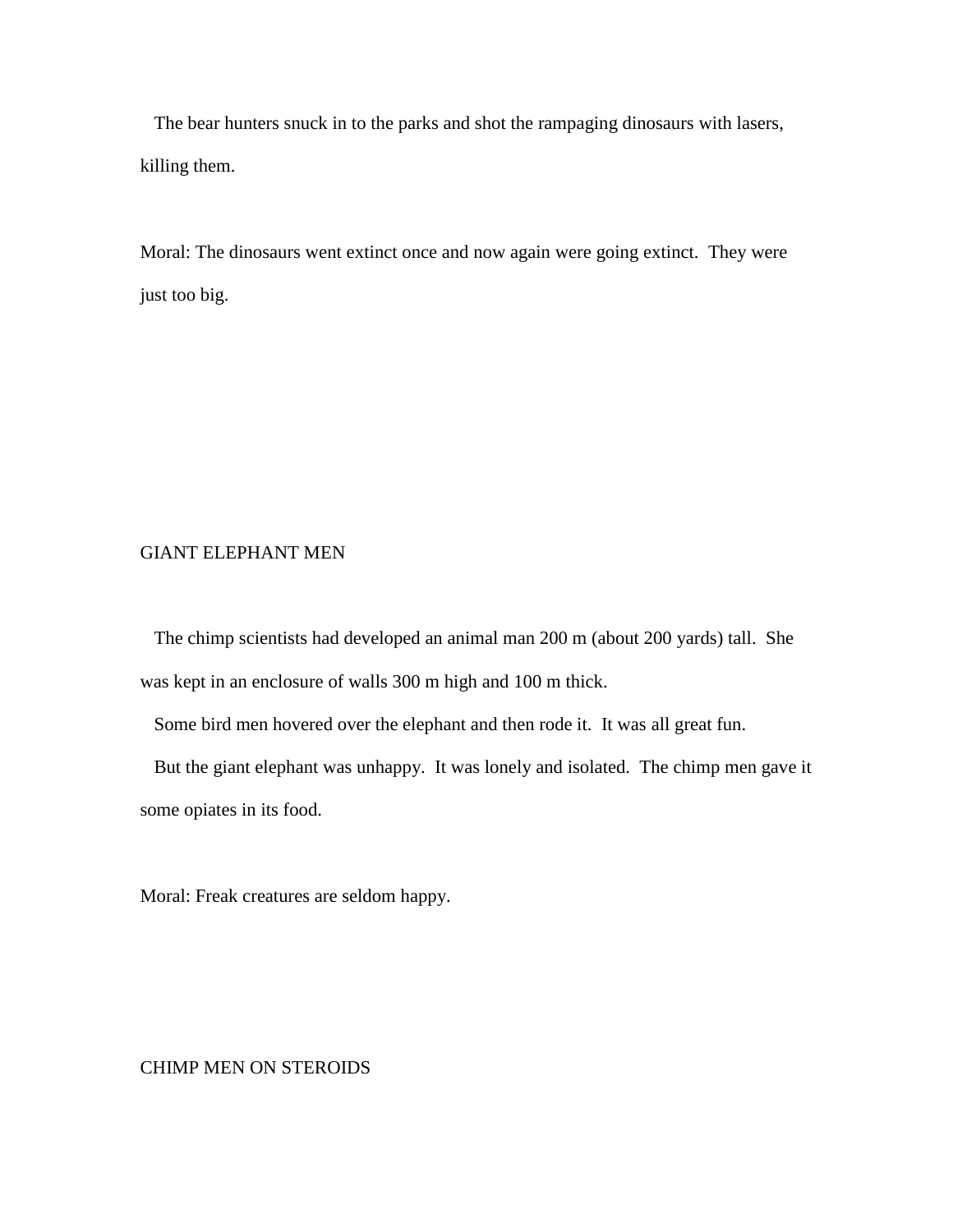The bear hunters snuck in to the parks and shot the rampaging dinosaurs with lasers, killing them.

Moral: The dinosaurs went extinct once and now again were going extinct. They were just too big.

## GIANT ELEPHANT MEN

 The chimp scientists had developed an animal man 200 m (about 200 yards) tall. She was kept in an enclosure of walls 300 m high and 100 m thick.

Some bird men hovered over the elephant and then rode it. It was all great fun.

 But the giant elephant was unhappy. It was lonely and isolated. The chimp men gave it some opiates in its food.

Moral: Freak creatures are seldom happy.

### CHIMP MEN ON STEROIDS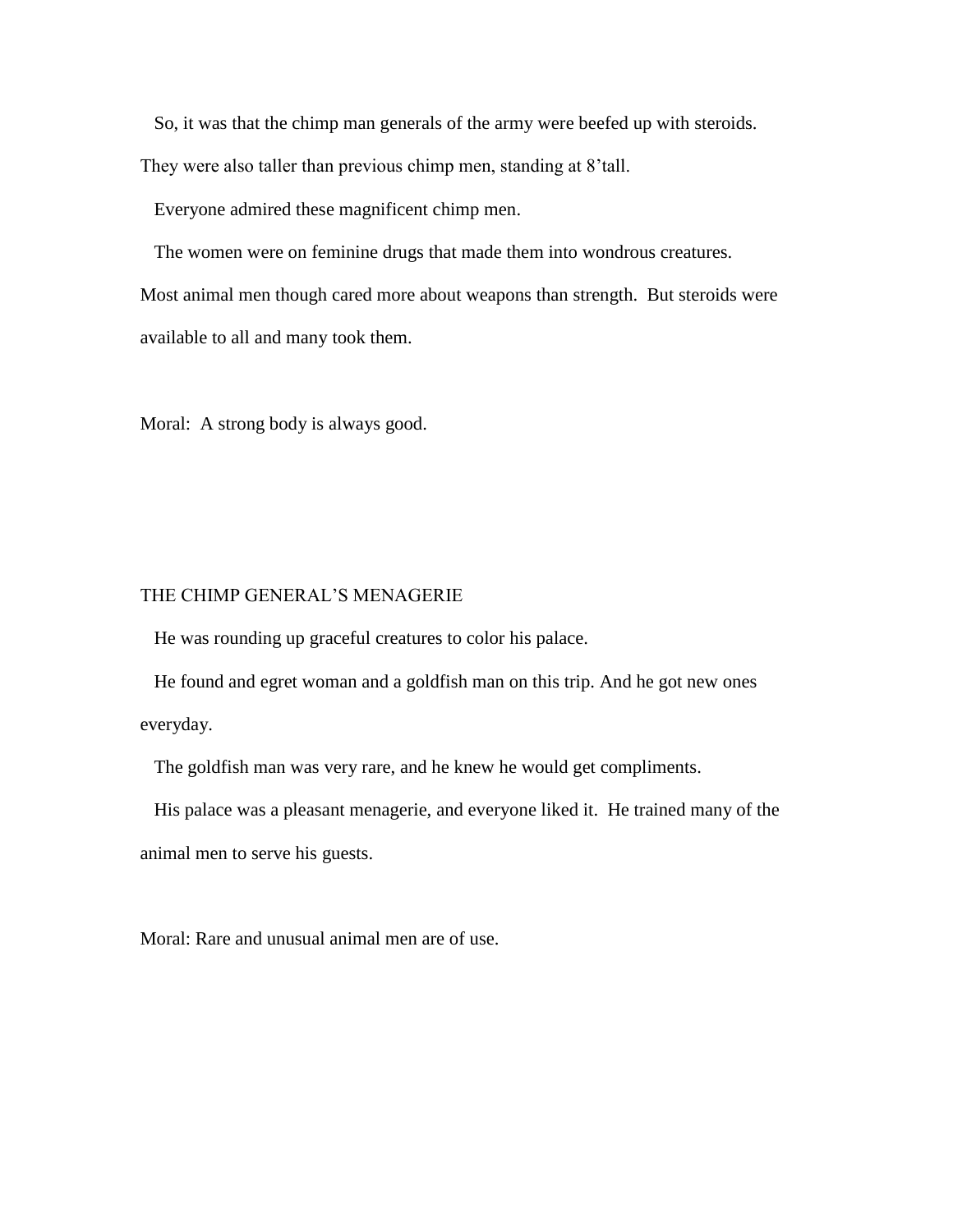So, it was that the chimp man generals of the army were beefed up with steroids.

They were also taller than previous chimp men, standing at 8'tall.

Everyone admired these magnificent chimp men.

The women were on feminine drugs that made them into wondrous creatures.

Most animal men though cared more about weapons than strength. But steroids were available to all and many took them.

Moral: A strong body is always good.

### THE CHIMP GENERAL'S MENAGERIE

He was rounding up graceful creatures to color his palace.

 He found and egret woman and a goldfish man on this trip. And he got new ones everyday.

The goldfish man was very rare, and he knew he would get compliments.

 His palace was a pleasant menagerie, and everyone liked it. He trained many of the animal men to serve his guests.

Moral: Rare and unusual animal men are of use.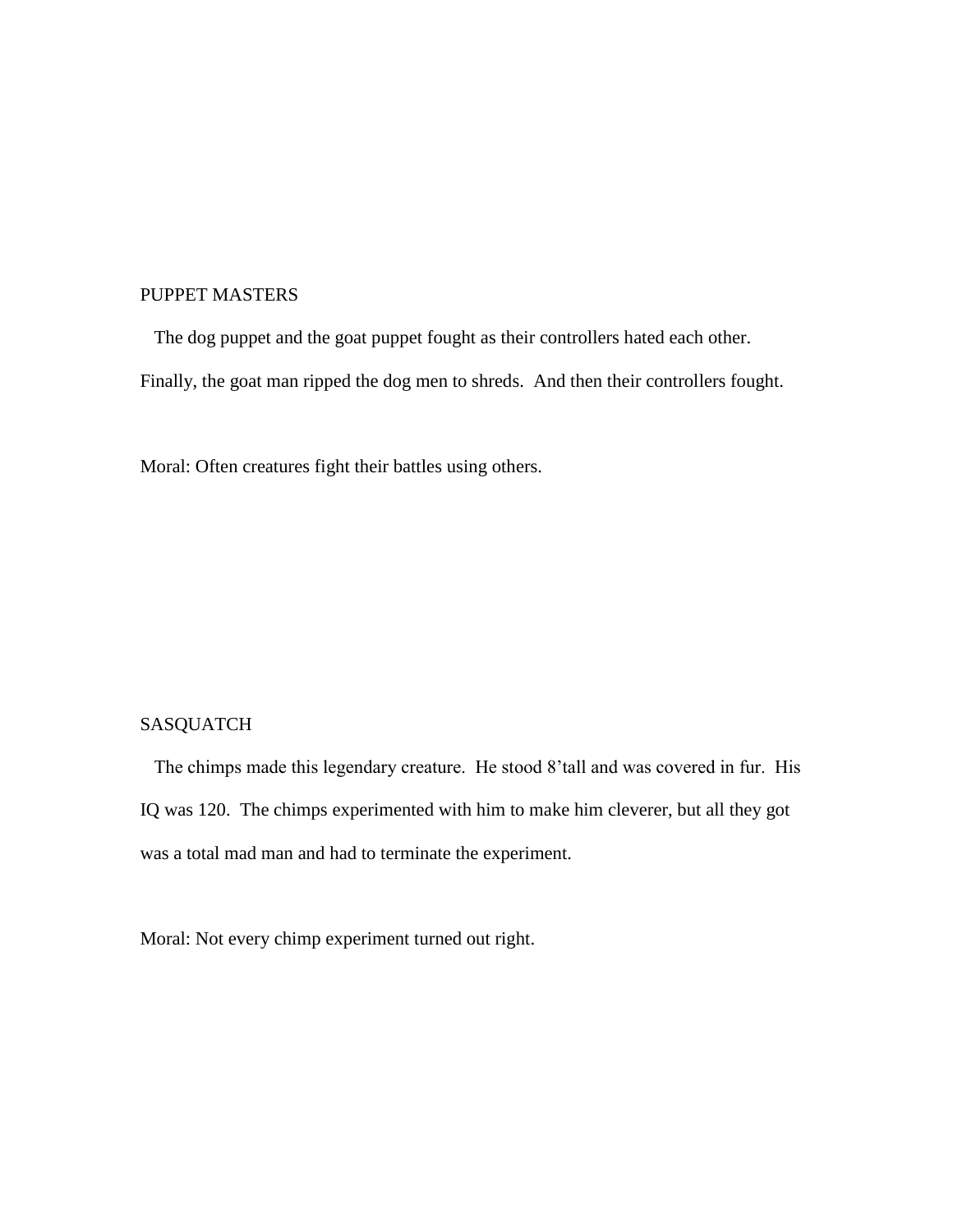# PUPPET MASTERS

 The dog puppet and the goat puppet fought as their controllers hated each other. Finally, the goat man ripped the dog men to shreds. And then their controllers fought.

Moral: Often creatures fight their battles using others.

# SASQUATCH

 The chimps made this legendary creature. He stood 8'tall and was covered in fur. His IQ was 120. The chimps experimented with him to make him cleverer, but all they got was a total mad man and had to terminate the experiment.

Moral: Not every chimp experiment turned out right.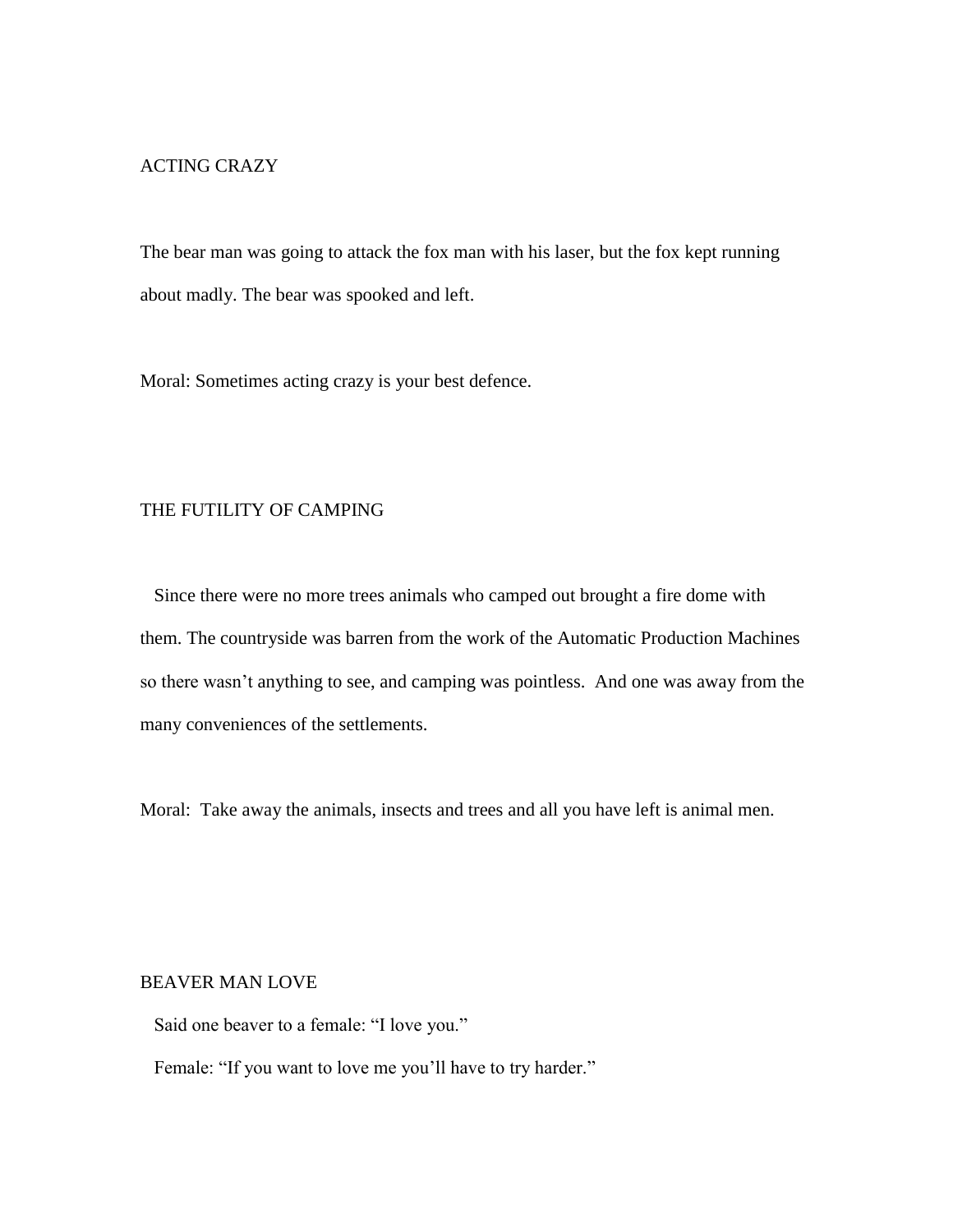# ACTING CRAZY

The bear man was going to attack the fox man with his laser, but the fox kept running about madly. The bear was spooked and left.

Moral: Sometimes acting crazy is your best defence.

# THE FUTILITY OF CAMPING

 Since there were no more trees animals who camped out brought a fire dome with them. The countryside was barren from the work of the Automatic Production Machines so there wasn't anything to see, and camping was pointless. And one was away from the many conveniences of the settlements.

Moral: Take away the animals, insects and trees and all you have left is animal men.

#### BEAVER MAN LOVE

Said one beaver to a female: "I love you."

Female: "If you want to love me you'll have to try harder."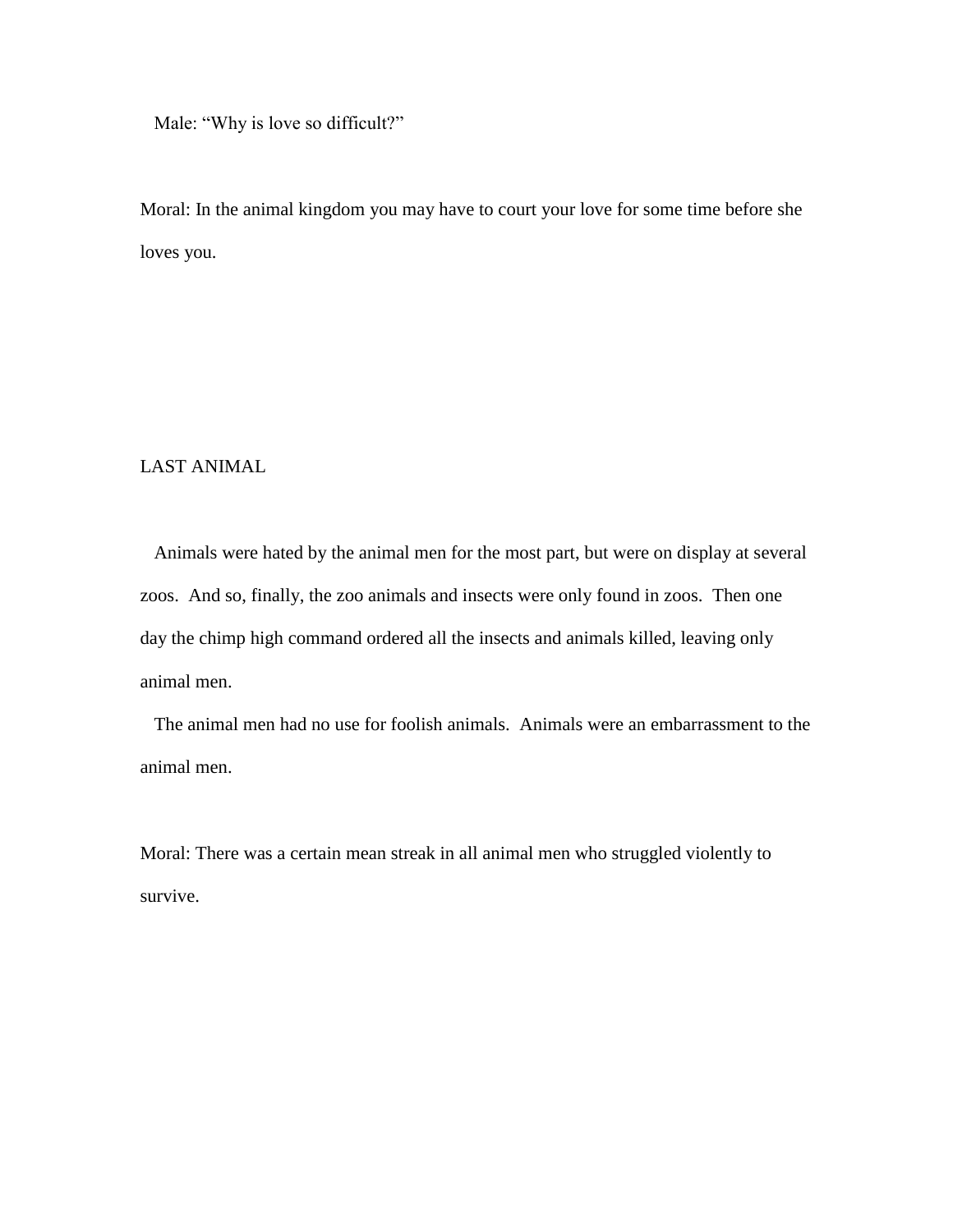Male: "Why is love so difficult?"

Moral: In the animal kingdom you may have to court your love for some time before she loves you.

# LAST ANIMAL

 Animals were hated by the animal men for the most part, but were on display at several zoos. And so, finally, the zoo animals and insects were only found in zoos. Then one day the chimp high command ordered all the insects and animals killed, leaving only animal men.

 The animal men had no use for foolish animals. Animals were an embarrassment to the animal men.

Moral: There was a certain mean streak in all animal men who struggled violently to survive.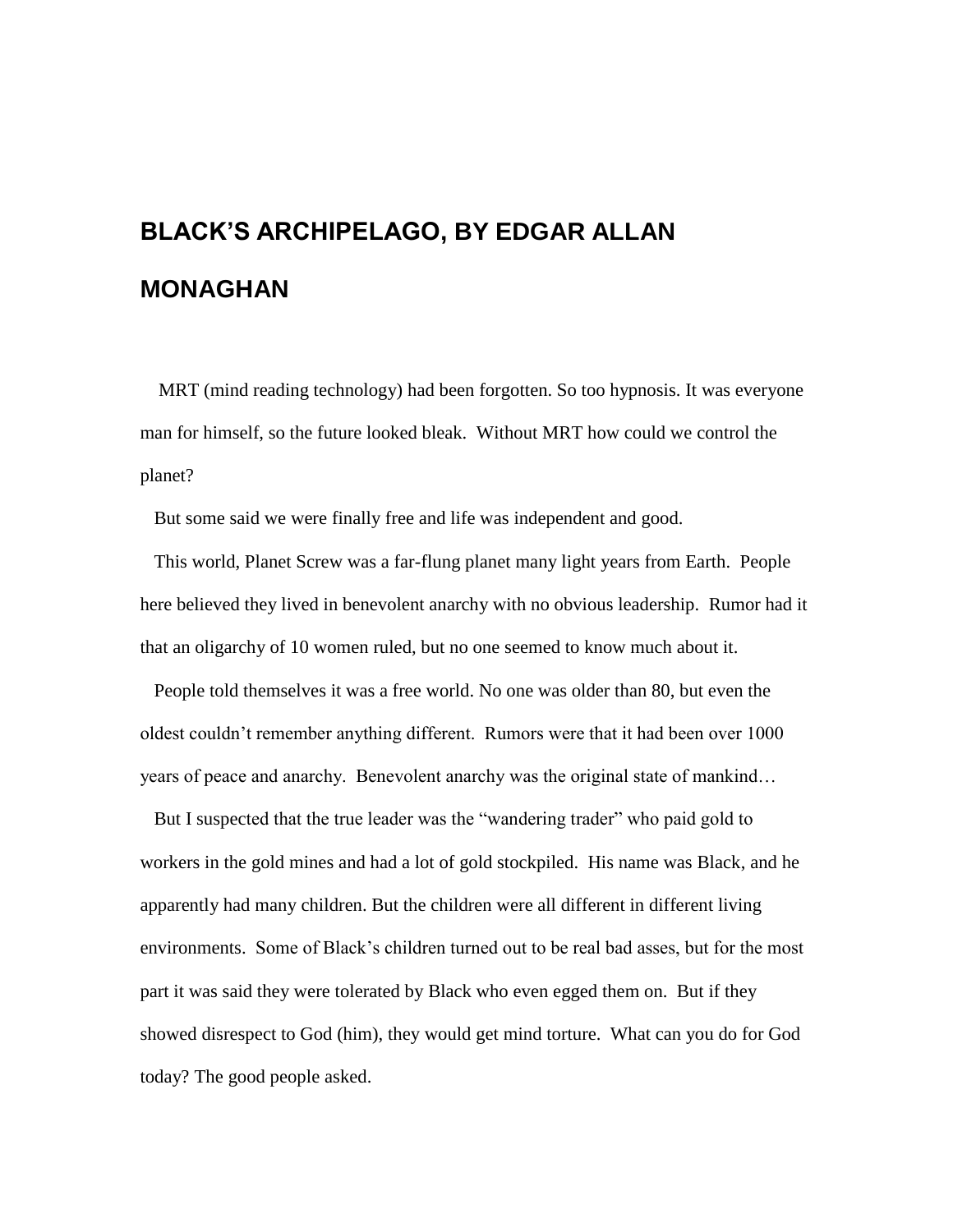# **BLACK'S ARCHIPELAGO, BY EDGAR ALLAN MONAGHAN**

 MRT (mind reading technology) had been forgotten. So too hypnosis. It was everyone man for himself, so the future looked bleak. Without MRT how could we control the planet?

But some said we were finally free and life was independent and good.

 This world, Planet Screw was a far-flung planet many light years from Earth. People here believed they lived in benevolent anarchy with no obvious leadership. Rumor had it that an oligarchy of 10 women ruled, but no one seemed to know much about it.

 People told themselves it was a free world. No one was older than 80, but even the oldest couldn't remember anything different. Rumors were that it had been over 1000 years of peace and anarchy. Benevolent anarchy was the original state of mankind…

 But I suspected that the true leader was the "wandering trader" who paid gold to workers in the gold mines and had a lot of gold stockpiled. His name was Black, and he apparently had many children. But the children were all different in different living environments. Some of Black's children turned out to be real bad asses, but for the most part it was said they were tolerated by Black who even egged them on. But if they showed disrespect to God (him), they would get mind torture. What can you do for God today? The good people asked.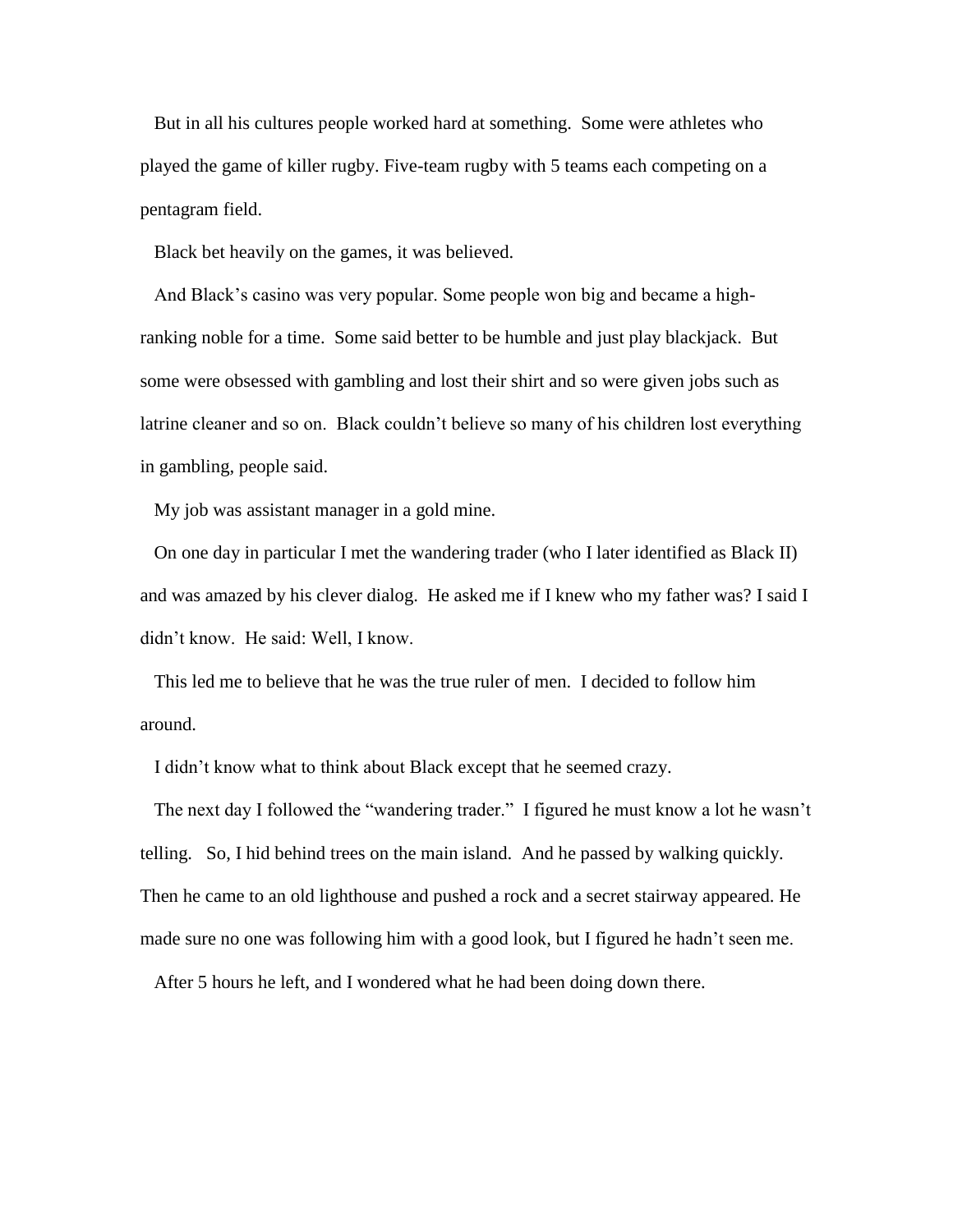But in all his cultures people worked hard at something. Some were athletes who played the game of killer rugby. Five-team rugby with 5 teams each competing on a pentagram field.

Black bet heavily on the games, it was believed.

 And Black's casino was very popular. Some people won big and became a highranking noble for a time. Some said better to be humble and just play blackjack. But some were obsessed with gambling and lost their shirt and so were given jobs such as latrine cleaner and so on. Black couldn't believe so many of his children lost everything in gambling, people said.

My job was assistant manager in a gold mine.

 On one day in particular I met the wandering trader (who I later identified as Black II) and was amazed by his clever dialog. He asked me if I knew who my father was? I said I didn't know. He said: Well, I know.

 This led me to believe that he was the true ruler of men. I decided to follow him around.

I didn't know what to think about Black except that he seemed crazy.

 The next day I followed the "wandering trader." I figured he must know a lot he wasn't telling. So, I hid behind trees on the main island. And he passed by walking quickly. Then he came to an old lighthouse and pushed a rock and a secret stairway appeared. He made sure no one was following him with a good look, but I figured he hadn't seen me.

After 5 hours he left, and I wondered what he had been doing down there.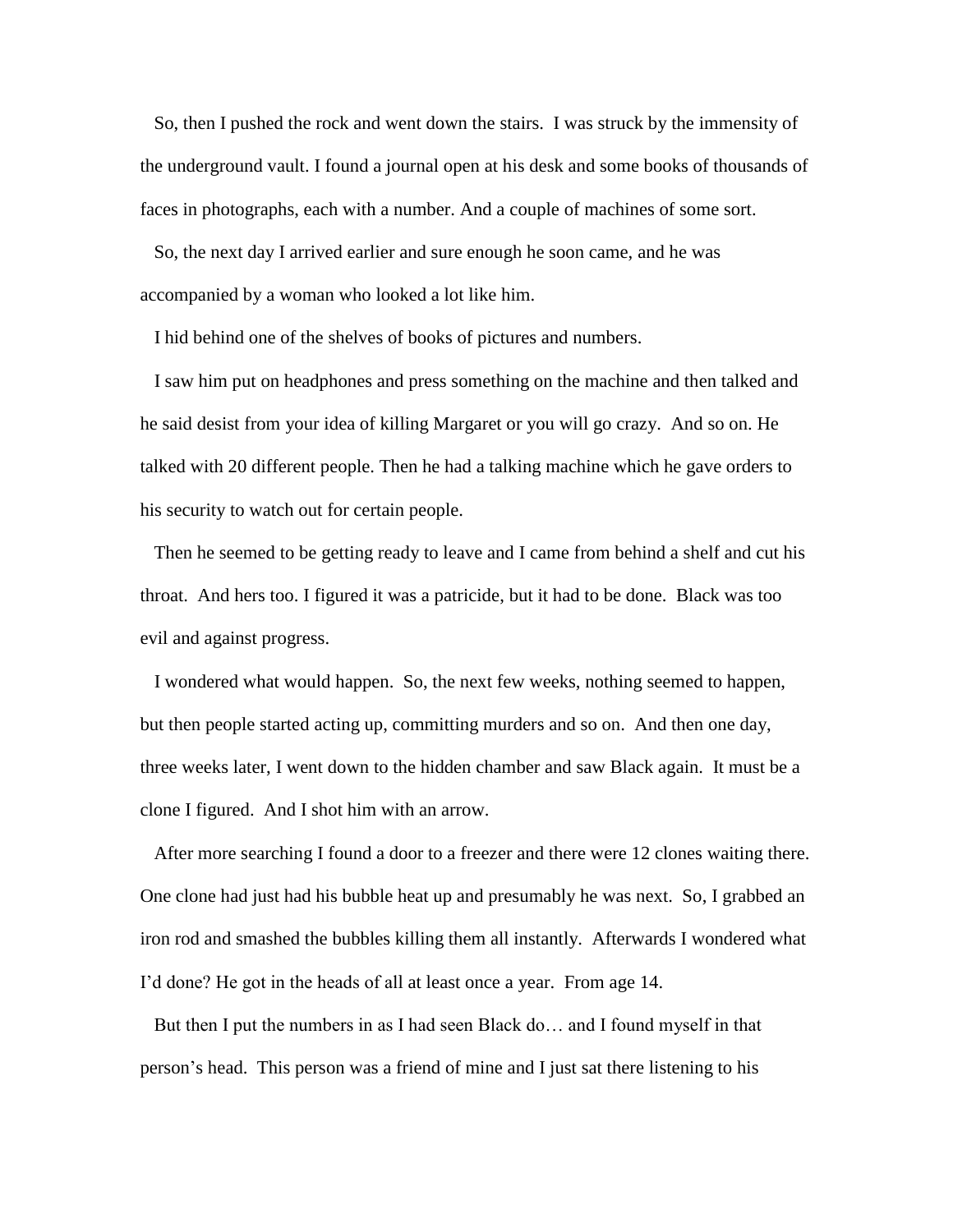So, then I pushed the rock and went down the stairs. I was struck by the immensity of the underground vault. I found a journal open at his desk and some books of thousands of faces in photographs, each with a number. And a couple of machines of some sort.

 So, the next day I arrived earlier and sure enough he soon came, and he was accompanied by a woman who looked a lot like him.

I hid behind one of the shelves of books of pictures and numbers.

 I saw him put on headphones and press something on the machine and then talked and he said desist from your idea of killing Margaret or you will go crazy. And so on. He talked with 20 different people. Then he had a talking machine which he gave orders to his security to watch out for certain people.

 Then he seemed to be getting ready to leave and I came from behind a shelf and cut his throat. And hers too. I figured it was a patricide, but it had to be done. Black was too evil and against progress.

 I wondered what would happen. So, the next few weeks, nothing seemed to happen, but then people started acting up, committing murders and so on. And then one day, three weeks later, I went down to the hidden chamber and saw Black again. It must be a clone I figured. And I shot him with an arrow.

 After more searching I found a door to a freezer and there were 12 clones waiting there. One clone had just had his bubble heat up and presumably he was next. So, I grabbed an iron rod and smashed the bubbles killing them all instantly. Afterwards I wondered what I'd done? He got in the heads of all at least once a year. From age 14.

 But then I put the numbers in as I had seen Black do… and I found myself in that person's head. This person was a friend of mine and I just sat there listening to his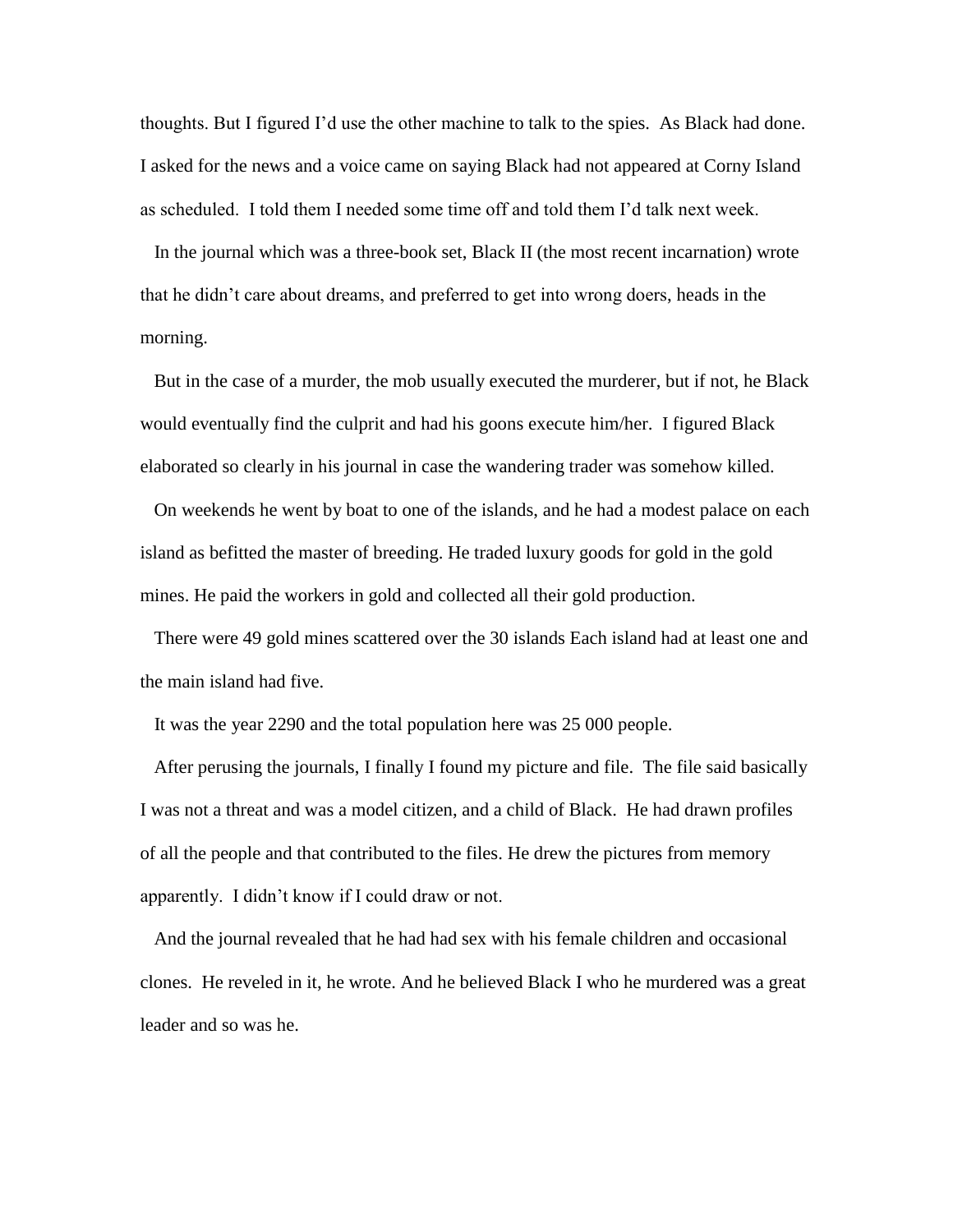thoughts. But I figured I'd use the other machine to talk to the spies. As Black had done. I asked for the news and a voice came on saying Black had not appeared at Corny Island as scheduled. I told them I needed some time off and told them I'd talk next week.

 In the journal which was a three-book set, Black II (the most recent incarnation) wrote that he didn't care about dreams, and preferred to get into wrong doers, heads in the morning.

 But in the case of a murder, the mob usually executed the murderer, but if not, he Black would eventually find the culprit and had his goons execute him/her. I figured Black elaborated so clearly in his journal in case the wandering trader was somehow killed.

 On weekends he went by boat to one of the islands, and he had a modest palace on each island as befitted the master of breeding. He traded luxury goods for gold in the gold mines. He paid the workers in gold and collected all their gold production.

 There were 49 gold mines scattered over the 30 islands Each island had at least one and the main island had five.

It was the year 2290 and the total population here was 25 000 people.

 After perusing the journals, I finally I found my picture and file. The file said basically I was not a threat and was a model citizen, and a child of Black. He had drawn profiles of all the people and that contributed to the files. He drew the pictures from memory apparently. I didn't know if I could draw or not.

 And the journal revealed that he had had sex with his female children and occasional clones. He reveled in it, he wrote. And he believed Black I who he murdered was a great leader and so was he.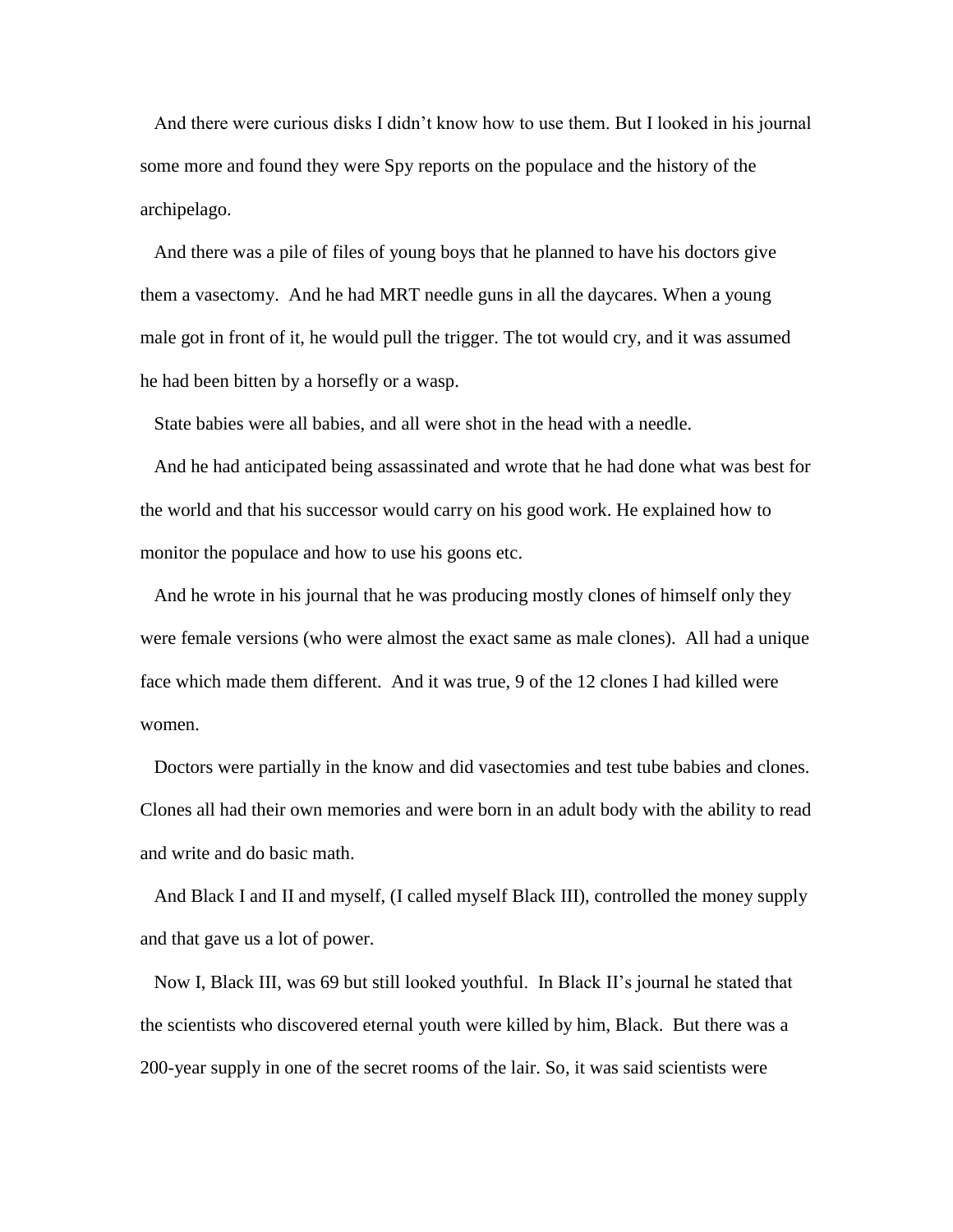And there were curious disks I didn't know how to use them. But I looked in his journal some more and found they were Spy reports on the populace and the history of the archipelago.

 And there was a pile of files of young boys that he planned to have his doctors give them a vasectomy. And he had MRT needle guns in all the daycares. When a young male got in front of it, he would pull the trigger. The tot would cry, and it was assumed he had been bitten by a horsefly or a wasp.

State babies were all babies, and all were shot in the head with a needle.

 And he had anticipated being assassinated and wrote that he had done what was best for the world and that his successor would carry on his good work. He explained how to monitor the populace and how to use his goons etc.

 And he wrote in his journal that he was producing mostly clones of himself only they were female versions (who were almost the exact same as male clones). All had a unique face which made them different. And it was true, 9 of the 12 clones I had killed were women.

 Doctors were partially in the know and did vasectomies and test tube babies and clones. Clones all had their own memories and were born in an adult body with the ability to read and write and do basic math.

 And Black I and II and myself, (I called myself Black III), controlled the money supply and that gave us a lot of power.

 Now I, Black III, was 69 but still looked youthful. In Black II's journal he stated that the scientists who discovered eternal youth were killed by him, Black. But there was a 200-year supply in one of the secret rooms of the lair. So, it was said scientists were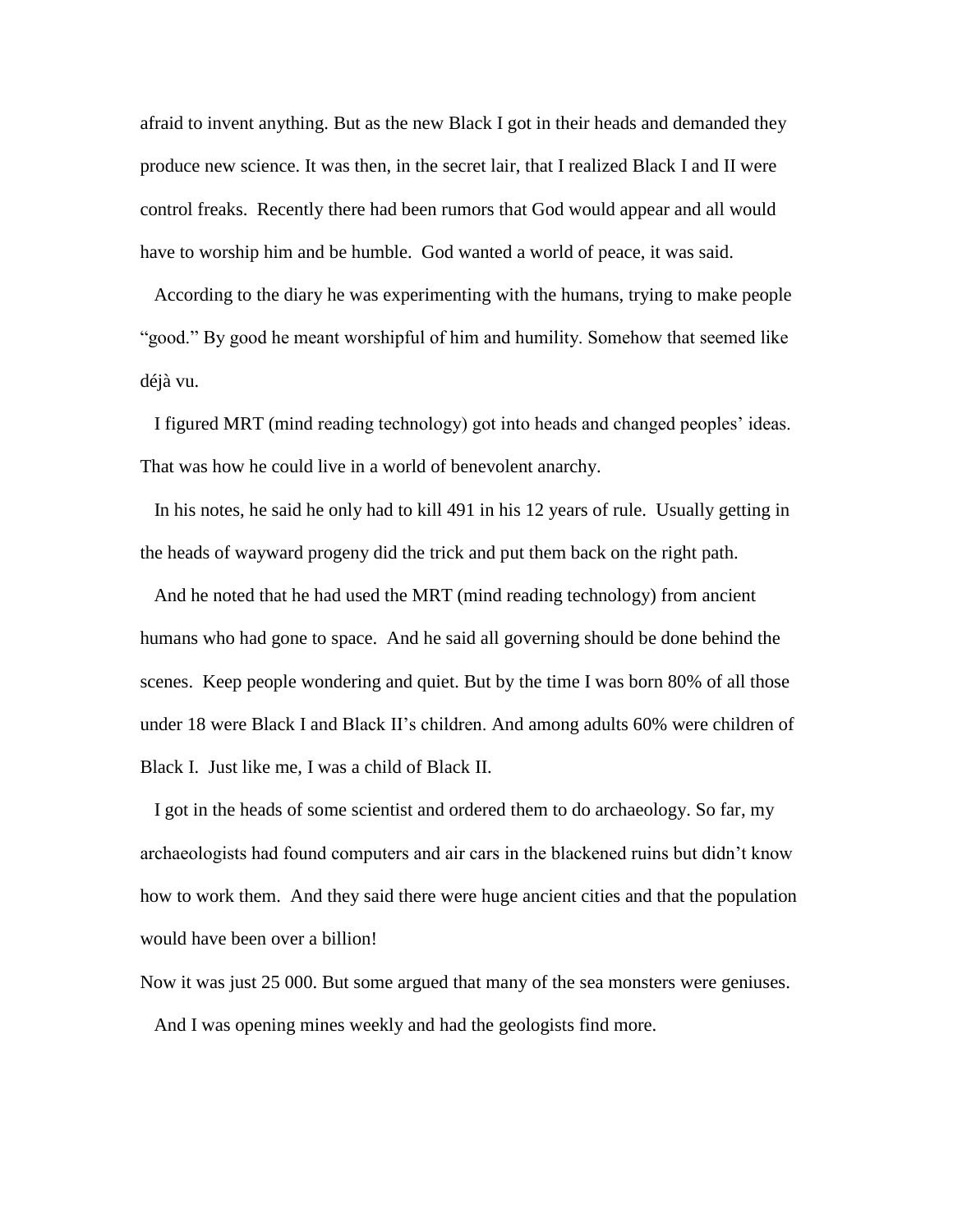afraid to invent anything. But as the new Black I got in their heads and demanded they produce new science. It was then, in the secret lair, that I realized Black I and II were control freaks. Recently there had been rumors that God would appear and all would have to worship him and be humble. God wanted a world of peace, it was said.

 According to the diary he was experimenting with the humans, trying to make people "good." By good he meant worshipful of him and humility. Somehow that seemed like déjà vu.

 I figured MRT (mind reading technology) got into heads and changed peoples' ideas. That was how he could live in a world of benevolent anarchy.

 In his notes, he said he only had to kill 491 in his 12 years of rule. Usually getting in the heads of wayward progeny did the trick and put them back on the right path.

 And he noted that he had used the MRT (mind reading technology) from ancient humans who had gone to space. And he said all governing should be done behind the scenes. Keep people wondering and quiet. But by the time I was born 80% of all those under 18 were Black I and Black II's children. And among adults 60% were children of Black I. Just like me, I was a child of Black II.

 I got in the heads of some scientist and ordered them to do archaeology. So far, my archaeologists had found computers and air cars in the blackened ruins but didn't know how to work them. And they said there were huge ancient cities and that the population would have been over a billion!

Now it was just 25 000. But some argued that many of the sea monsters were geniuses.

And I was opening mines weekly and had the geologists find more.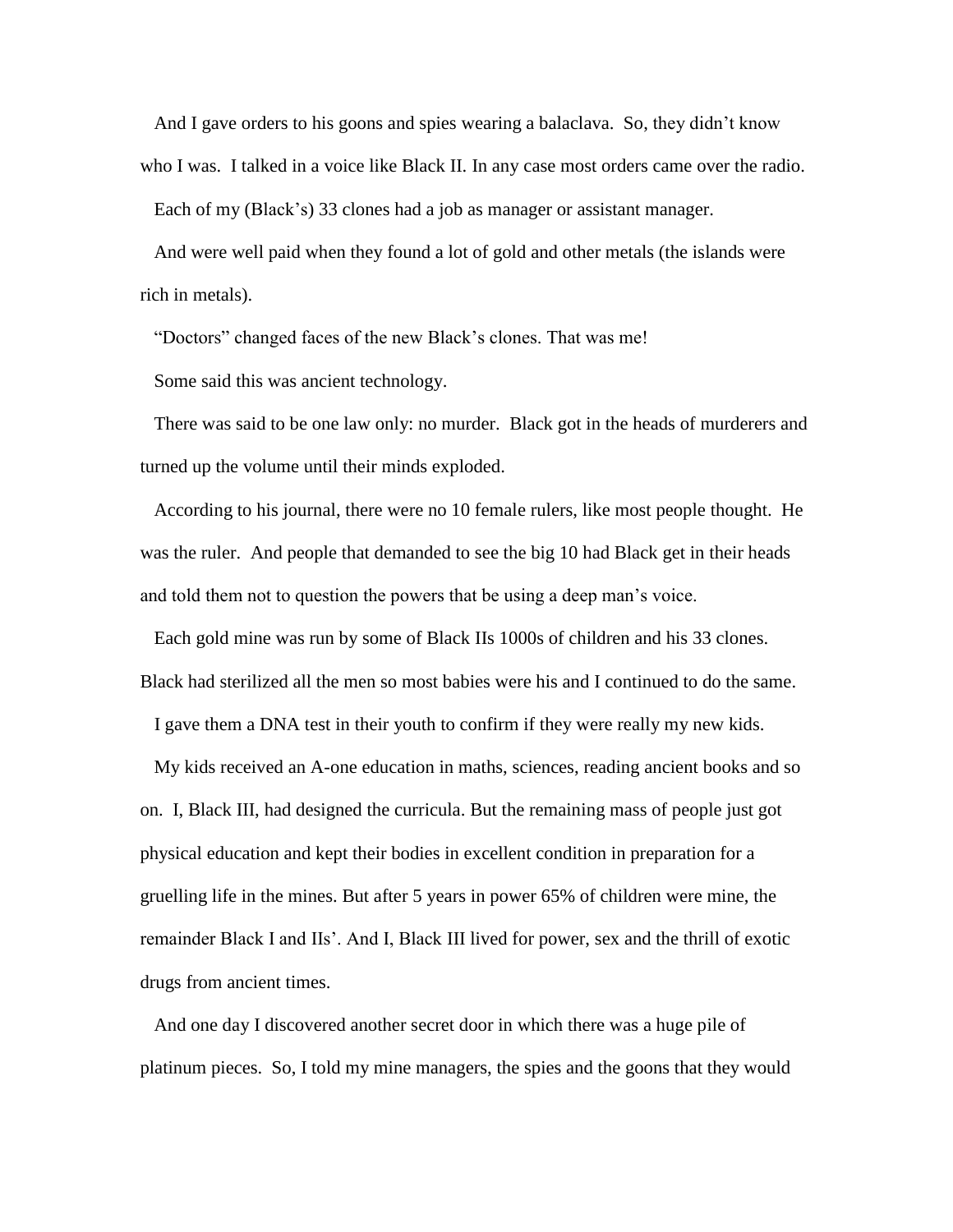And I gave orders to his goons and spies wearing a balaclava. So, they didn't know who I was. I talked in a voice like Black II. In any case most orders came over the radio.

Each of my (Black's) 33 clones had a job as manager or assistant manager.

 And were well paid when they found a lot of gold and other metals (the islands were rich in metals).

"Doctors" changed faces of the new Black's clones. That was me!

Some said this was ancient technology.

 There was said to be one law only: no murder. Black got in the heads of murderers and turned up the volume until their minds exploded.

 According to his journal, there were no 10 female rulers, like most people thought. He was the ruler. And people that demanded to see the big 10 had Black get in their heads and told them not to question the powers that be using a deep man's voice.

 Each gold mine was run by some of Black IIs 1000s of children and his 33 clones. Black had sterilized all the men so most babies were his and I continued to do the same.

I gave them a DNA test in their youth to confirm if they were really my new kids.

 My kids received an A-one education in maths, sciences, reading ancient books and so on. I, Black III, had designed the curricula. But the remaining mass of people just got physical education and kept their bodies in excellent condition in preparation for a gruelling life in the mines. But after 5 years in power 65% of children were mine, the remainder Black I and IIs'. And I, Black III lived for power, sex and the thrill of exotic drugs from ancient times.

 And one day I discovered another secret door in which there was a huge pile of platinum pieces. So, I told my mine managers, the spies and the goons that they would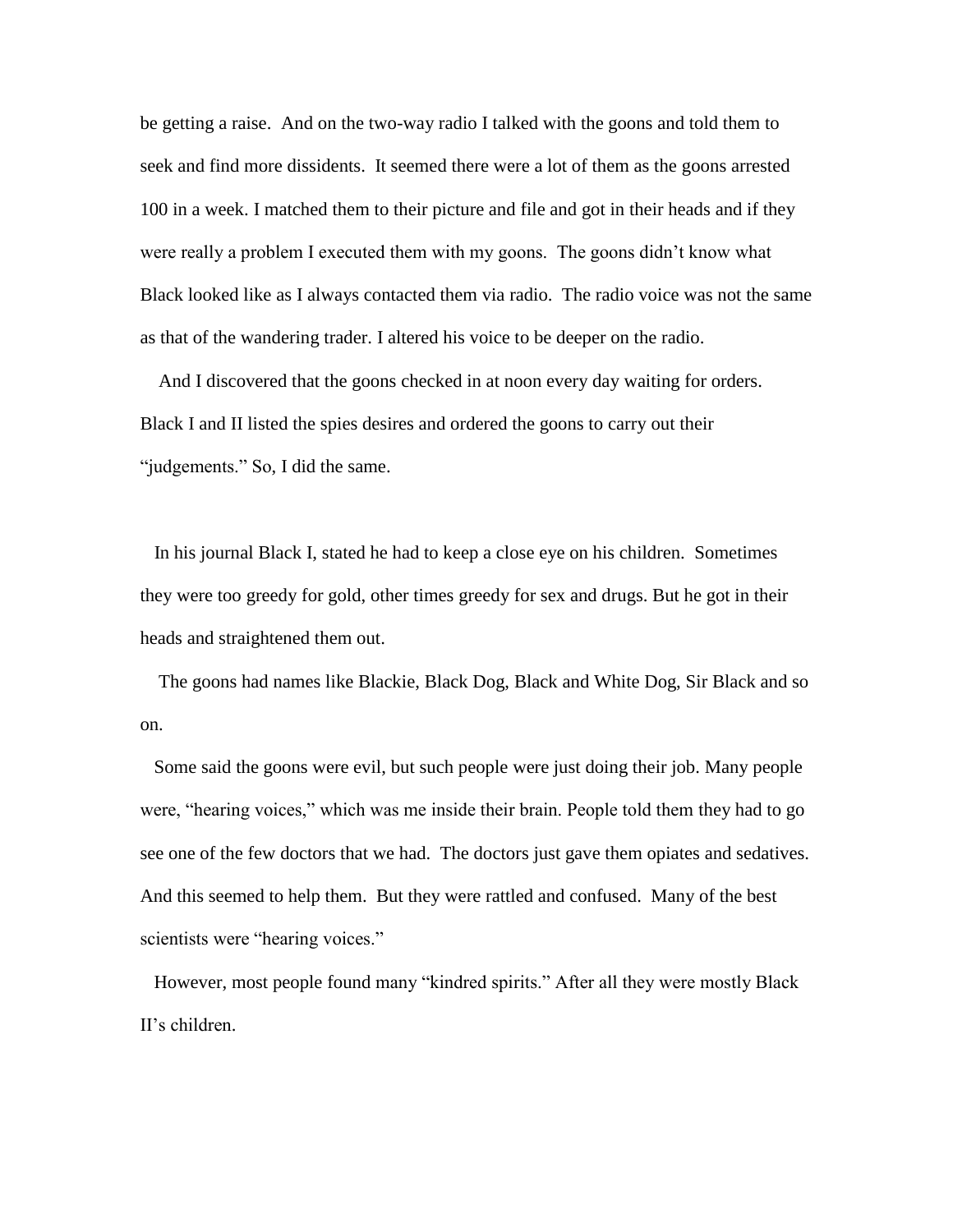be getting a raise. And on the two-way radio I talked with the goons and told them to seek and find more dissidents. It seemed there were a lot of them as the goons arrested 100 in a week. I matched them to their picture and file and got in their heads and if they were really a problem I executed them with my goons. The goons didn't know what Black looked like as I always contacted them via radio. The radio voice was not the same as that of the wandering trader. I altered his voice to be deeper on the radio.

 And I discovered that the goons checked in at noon every day waiting for orders. Black I and II listed the spies desires and ordered the goons to carry out their "judgements." So, I did the same.

 In his journal Black I, stated he had to keep a close eye on his children. Sometimes they were too greedy for gold, other times greedy for sex and drugs. But he got in their heads and straightened them out.

 The goons had names like Blackie, Black Dog, Black and White Dog, Sir Black and so on.

 Some said the goons were evil, but such people were just doing their job. Many people were, "hearing voices," which was me inside their brain. People told them they had to go see one of the few doctors that we had. The doctors just gave them opiates and sedatives. And this seemed to help them. But they were rattled and confused. Many of the best scientists were "hearing voices."

 However, most people found many "kindred spirits." After all they were mostly Black II's children.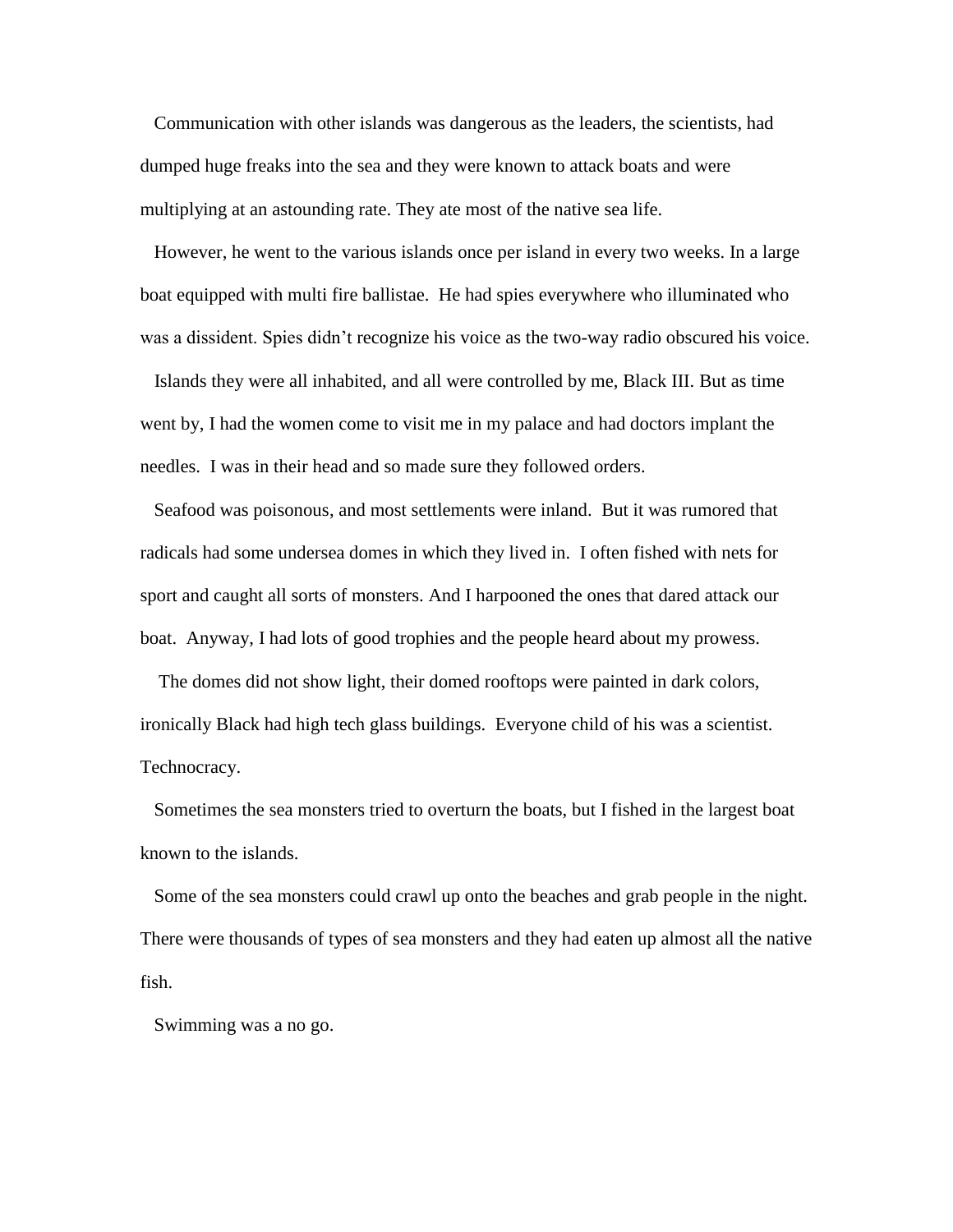Communication with other islands was dangerous as the leaders, the scientists, had dumped huge freaks into the sea and they were known to attack boats and were multiplying at an astounding rate. They ate most of the native sea life.

 However, he went to the various islands once per island in every two weeks. In a large boat equipped with multi fire ballistae. He had spies everywhere who illuminated who was a dissident. Spies didn't recognize his voice as the two-way radio obscured his voice.

 Islands they were all inhabited, and all were controlled by me, Black III. But as time went by, I had the women come to visit me in my palace and had doctors implant the needles. I was in their head and so made sure they followed orders.

 Seafood was poisonous, and most settlements were inland. But it was rumored that radicals had some undersea domes in which they lived in. I often fished with nets for sport and caught all sorts of monsters. And I harpooned the ones that dared attack our boat. Anyway, I had lots of good trophies and the people heard about my prowess.

 The domes did not show light, their domed rooftops were painted in dark colors, ironically Black had high tech glass buildings. Everyone child of his was a scientist. Technocracy.

 Sometimes the sea monsters tried to overturn the boats, but I fished in the largest boat known to the islands.

 Some of the sea monsters could crawl up onto the beaches and grab people in the night. There were thousands of types of sea monsters and they had eaten up almost all the native fish.

Swimming was a no go.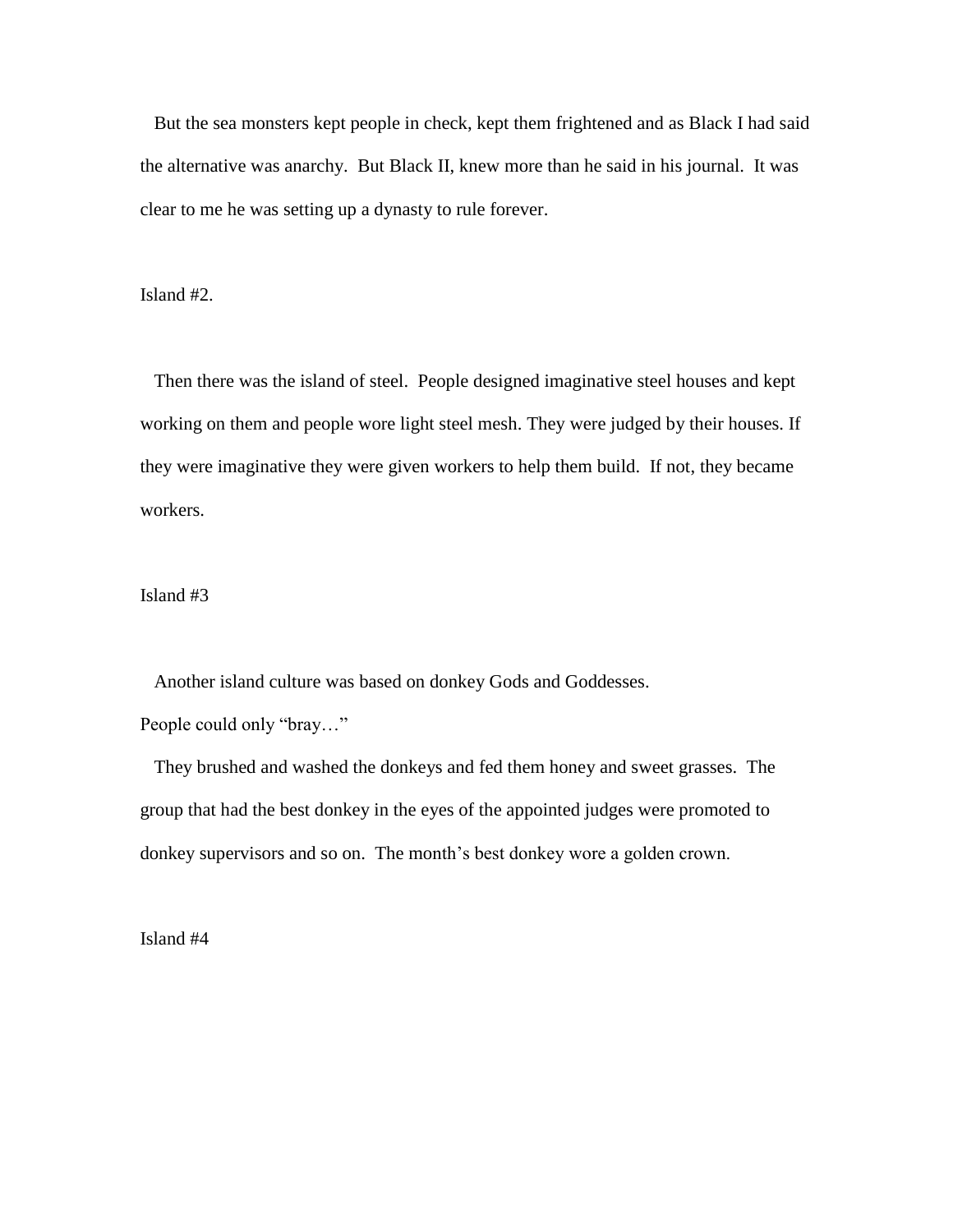But the sea monsters kept people in check, kept them frightened and as Black I had said the alternative was anarchy. But Black II, knew more than he said in his journal. It was clear to me he was setting up a dynasty to rule forever.

Island #2.

 Then there was the island of steel. People designed imaginative steel houses and kept working on them and people wore light steel mesh. They were judged by their houses. If they were imaginative they were given workers to help them build. If not, they became workers.

Island #3

 Another island culture was based on donkey Gods and Goddesses. People could only "bray…"

 They brushed and washed the donkeys and fed them honey and sweet grasses. The group that had the best donkey in the eyes of the appointed judges were promoted to donkey supervisors and so on. The month's best donkey wore a golden crown.

Island #4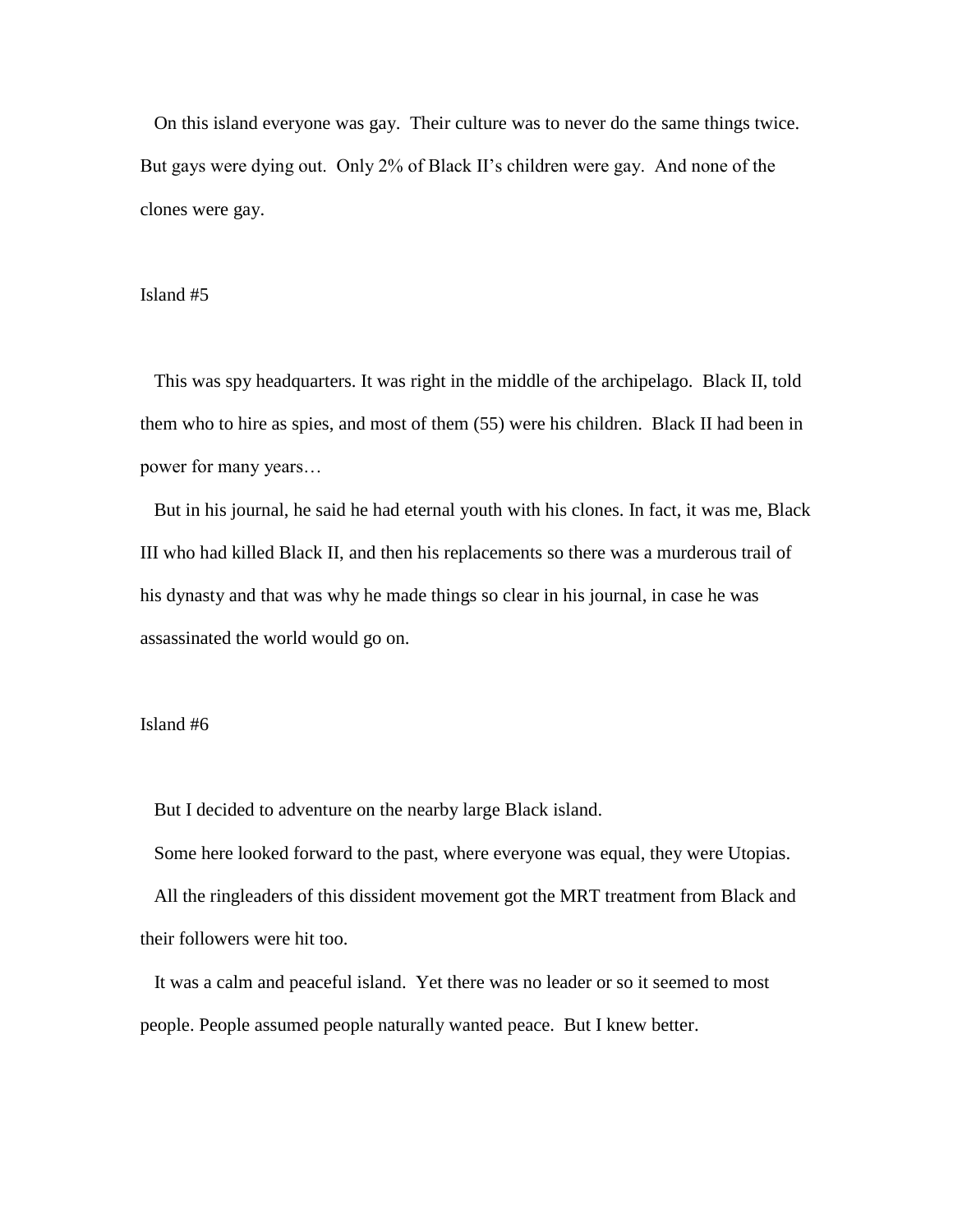On this island everyone was gay. Their culture was to never do the same things twice. But gays were dying out. Only 2% of Black II's children were gay. And none of the clones were gay.

## Island #5

 This was spy headquarters. It was right in the middle of the archipelago. Black II, told them who to hire as spies, and most of them (55) were his children. Black II had been in power for many years…

 But in his journal, he said he had eternal youth with his clones. In fact, it was me, Black III who had killed Black II, and then his replacements so there was a murderous trail of his dynasty and that was why he made things so clear in his journal, in case he was assassinated the world would go on.

## Island #6

But I decided to adventure on the nearby large Black island.

 Some here looked forward to the past, where everyone was equal, they were Utopias. All the ringleaders of this dissident movement got the MRT treatment from Black and their followers were hit too.

 It was a calm and peaceful island. Yet there was no leader or so it seemed to most people. People assumed people naturally wanted peace. But I knew better.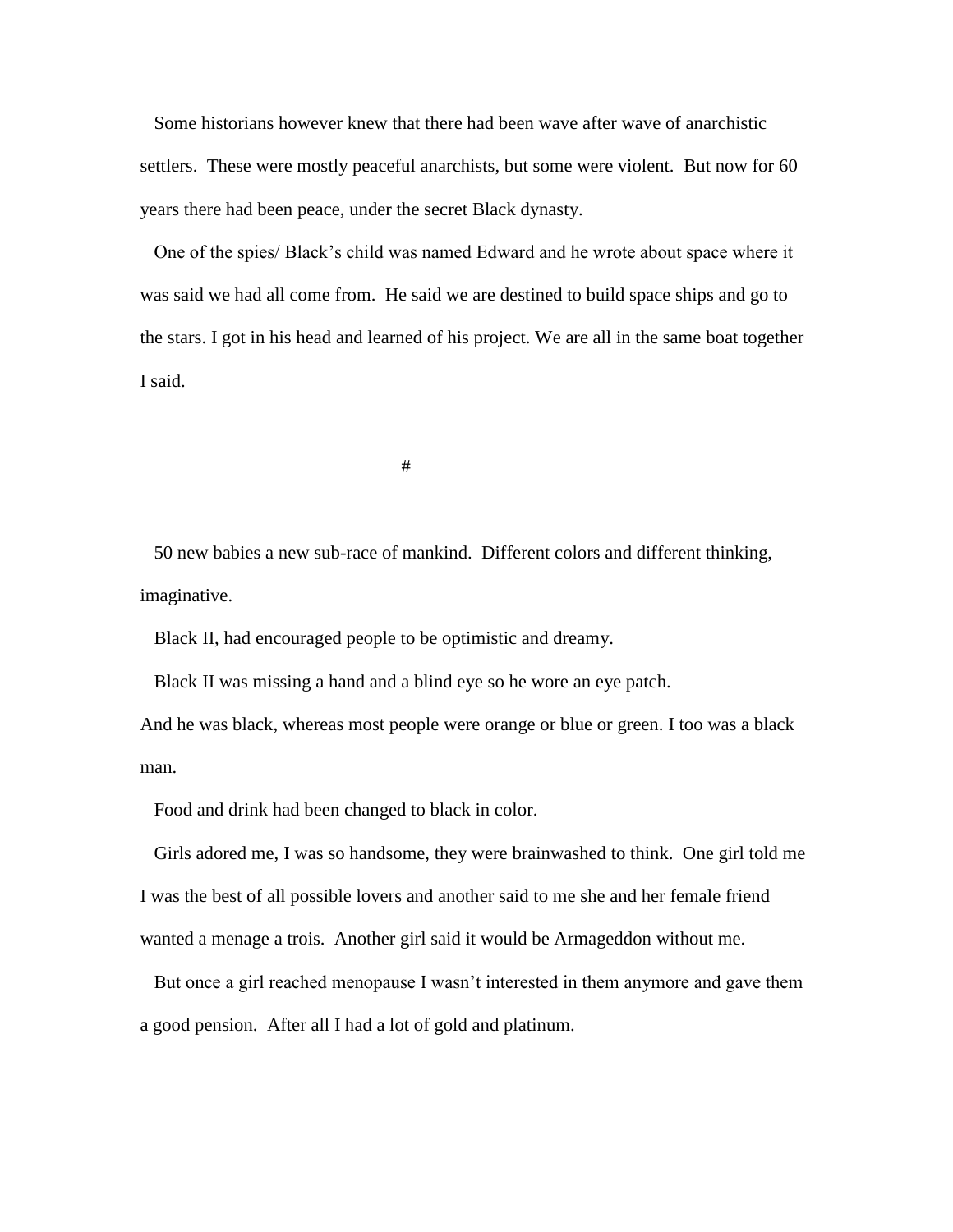Some historians however knew that there had been wave after wave of anarchistic settlers. These were mostly peaceful anarchists, but some were violent. But now for 60 years there had been peace, under the secret Black dynasty.

 One of the spies/ Black's child was named Edward and he wrote about space where it was said we had all come from. He said we are destined to build space ships and go to the stars. I got in his head and learned of his project. We are all in the same boat together I said.

#

 50 new babies a new sub-race of mankind. Different colors and different thinking, imaginative.

Black II, had encouraged people to be optimistic and dreamy.

Black II was missing a hand and a blind eye so he wore an eye patch.

And he was black, whereas most people were orange or blue or green. I too was a black man.

Food and drink had been changed to black in color.

 Girls adored me, I was so handsome, they were brainwashed to think. One girl told me I was the best of all possible lovers and another said to me she and her female friend wanted a menage a trois. Another girl said it would be Armageddon without me.

 But once a girl reached menopause I wasn't interested in them anymore and gave them a good pension. After all I had a lot of gold and platinum.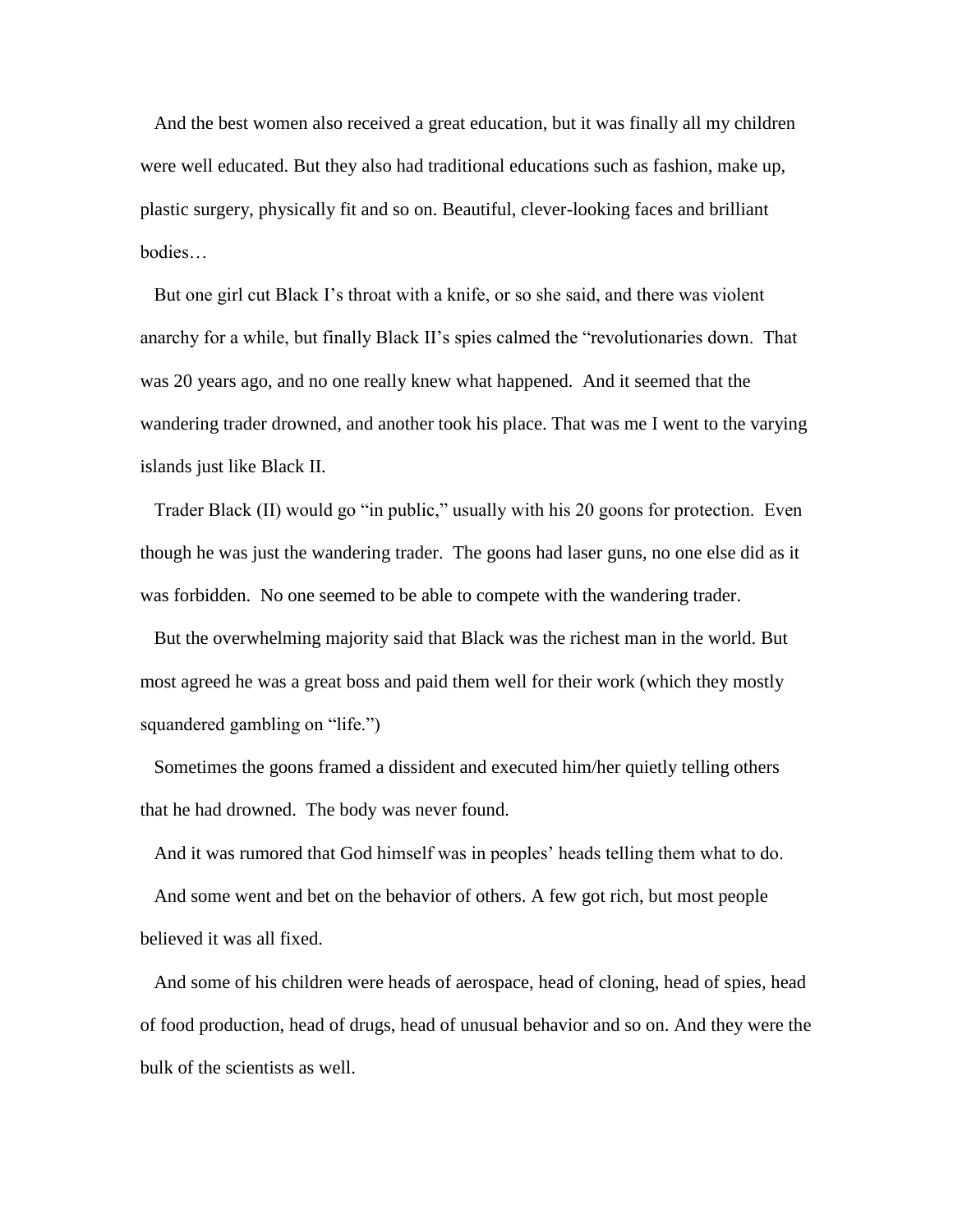And the best women also received a great education, but it was finally all my children were well educated. But they also had traditional educations such as fashion, make up, plastic surgery, physically fit and so on. Beautiful, clever-looking faces and brilliant bodies…

 But one girl cut Black I's throat with a knife, or so she said, and there was violent anarchy for a while, but finally Black II's spies calmed the "revolutionaries down. That was 20 years ago, and no one really knew what happened. And it seemed that the wandering trader drowned, and another took his place. That was me I went to the varying islands just like Black II.

 Trader Black (II) would go "in public," usually with his 20 goons for protection. Even though he was just the wandering trader. The goons had laser guns, no one else did as it was forbidden. No one seemed to be able to compete with the wandering trader.

 But the overwhelming majority said that Black was the richest man in the world. But most agreed he was a great boss and paid them well for their work (which they mostly squandered gambling on "life.")

 Sometimes the goons framed a dissident and executed him/her quietly telling others that he had drowned. The body was never found.

 And it was rumored that God himself was in peoples' heads telling them what to do. And some went and bet on the behavior of others. A few got rich, but most people believed it was all fixed.

 And some of his children were heads of aerospace, head of cloning, head of spies, head of food production, head of drugs, head of unusual behavior and so on. And they were the bulk of the scientists as well.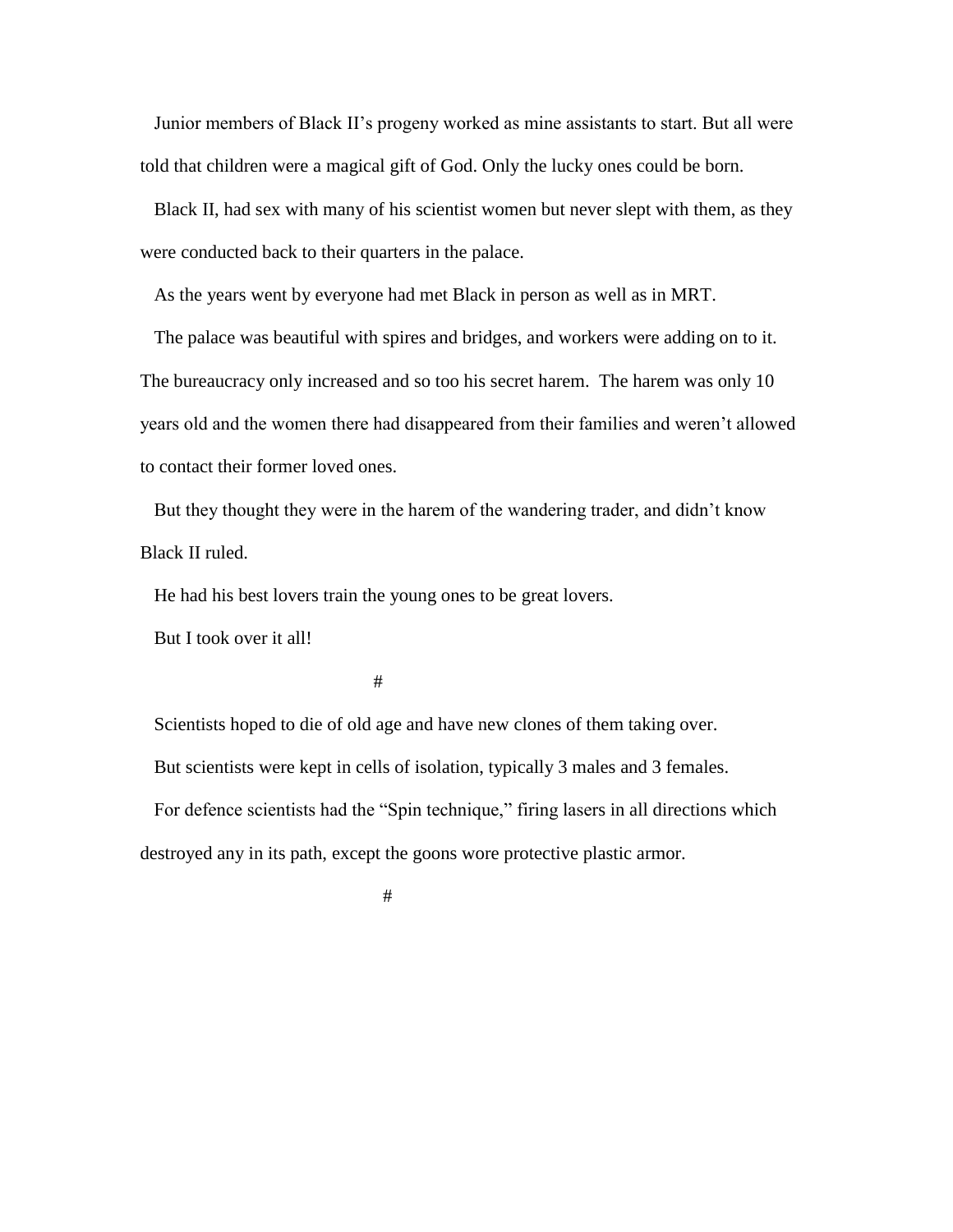Junior members of Black II's progeny worked as mine assistants to start. But all were told that children were a magical gift of God. Only the lucky ones could be born.

 Black II, had sex with many of his scientist women but never slept with them, as they were conducted back to their quarters in the palace.

As the years went by everyone had met Black in person as well as in MRT.

 The palace was beautiful with spires and bridges, and workers were adding on to it. The bureaucracy only increased and so too his secret harem. The harem was only 10 years old and the women there had disappeared from their families and weren't allowed to contact their former loved ones.

 But they thought they were in the harem of the wandering trader, and didn't know Black II ruled.

He had his best lovers train the young ones to be great lovers.

But I took over it all!

#

 Scientists hoped to die of old age and have new clones of them taking over. But scientists were kept in cells of isolation, typically 3 males and 3 females. For defence scientists had the "Spin technique," firing lasers in all directions which destroyed any in its path, except the goons wore protective plastic armor.

#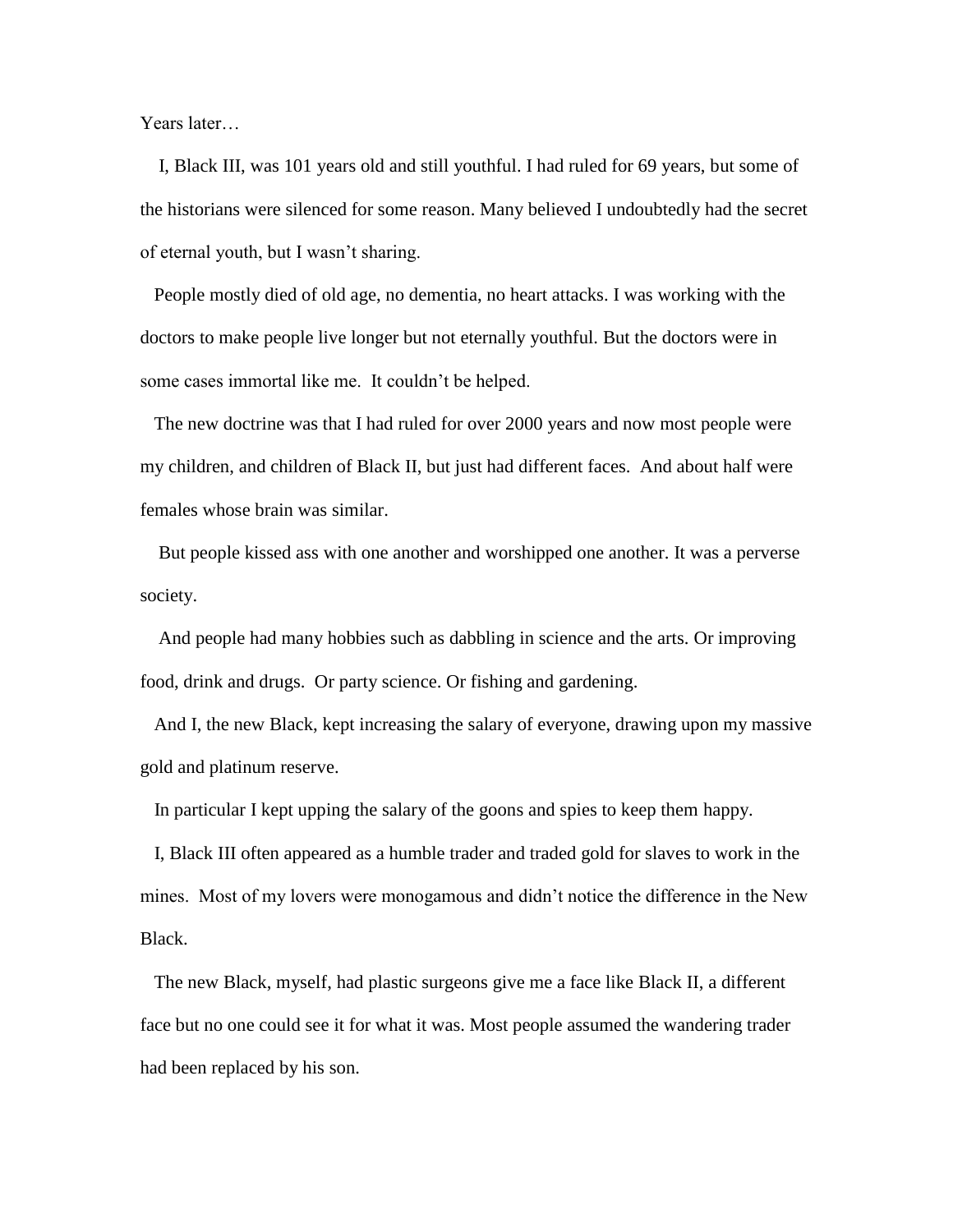Years later…

 I, Black III, was 101 years old and still youthful. I had ruled for 69 years, but some of the historians were silenced for some reason. Many believed I undoubtedly had the secret of eternal youth, but I wasn't sharing.

 People mostly died of old age, no dementia, no heart attacks. I was working with the doctors to make people live longer but not eternally youthful. But the doctors were in some cases immortal like me. It couldn't be helped.

 The new doctrine was that I had ruled for over 2000 years and now most people were my children, and children of Black II, but just had different faces. And about half were females whose brain was similar.

 But people kissed ass with one another and worshipped one another. It was a perverse society.

 And people had many hobbies such as dabbling in science and the arts. Or improving food, drink and drugs. Or party science. Or fishing and gardening.

 And I, the new Black, kept increasing the salary of everyone, drawing upon my massive gold and platinum reserve.

In particular I kept upping the salary of the goons and spies to keep them happy.

 I, Black III often appeared as a humble trader and traded gold for slaves to work in the mines. Most of my lovers were monogamous and didn't notice the difference in the New Black.

 The new Black, myself, had plastic surgeons give me a face like Black II, a different face but no one could see it for what it was. Most people assumed the wandering trader had been replaced by his son.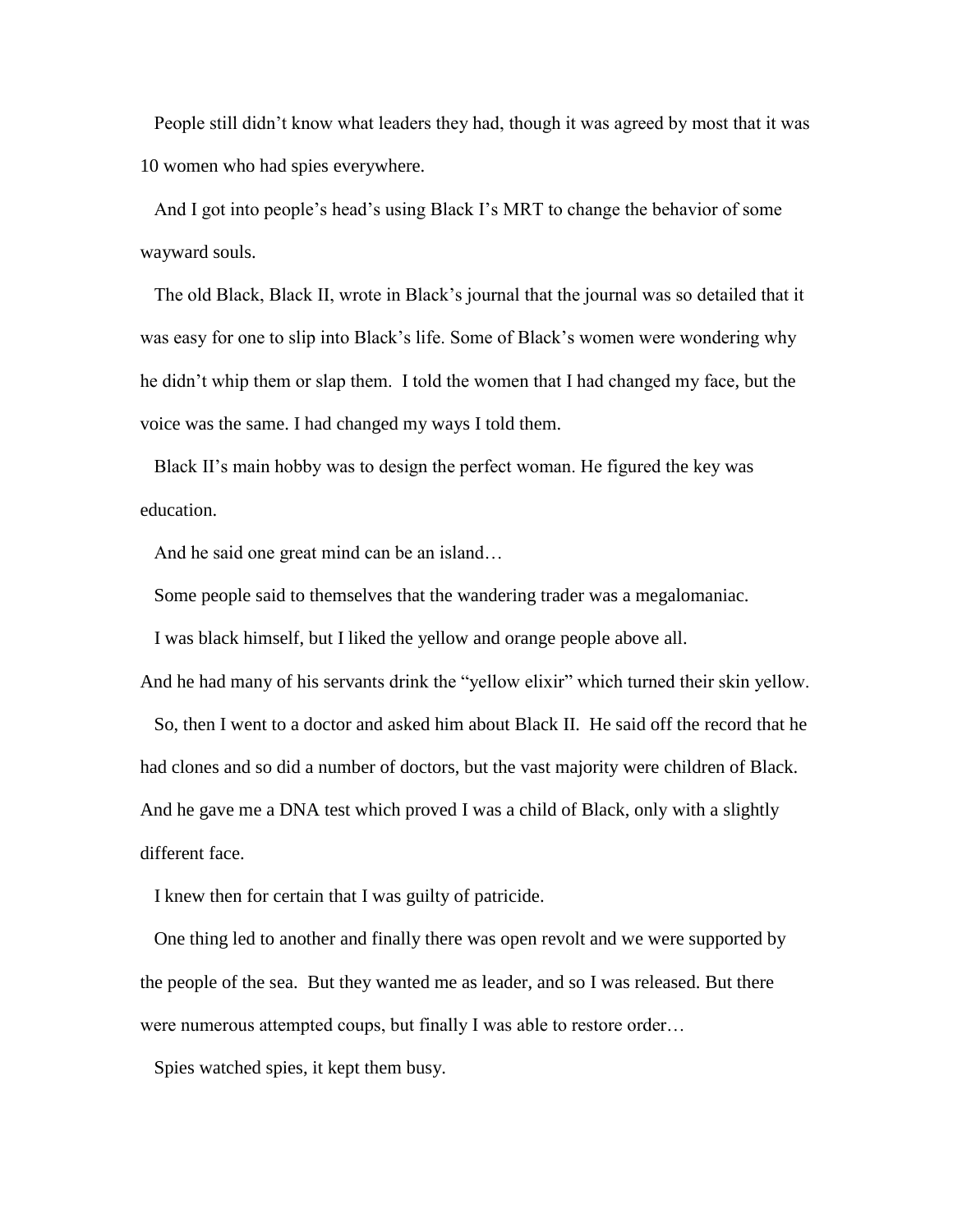People still didn't know what leaders they had, though it was agreed by most that it was 10 women who had spies everywhere.

 And I got into people's head's using Black I's MRT to change the behavior of some wayward souls.

 The old Black, Black II, wrote in Black's journal that the journal was so detailed that it was easy for one to slip into Black's life. Some of Black's women were wondering why he didn't whip them or slap them. I told the women that I had changed my face, but the voice was the same. I had changed my ways I told them.

 Black II's main hobby was to design the perfect woman. He figured the key was education.

And he said one great mind can be an island…

Some people said to themselves that the wandering trader was a megalomaniac.

I was black himself, but I liked the yellow and orange people above all.

And he had many of his servants drink the "yellow elixir" which turned their skin yellow.

 So, then I went to a doctor and asked him about Black II. He said off the record that he had clones and so did a number of doctors, but the vast majority were children of Black. And he gave me a DNA test which proved I was a child of Black, only with a slightly different face.

I knew then for certain that I was guilty of patricide.

 One thing led to another and finally there was open revolt and we were supported by the people of the sea. But they wanted me as leader, and so I was released. But there were numerous attempted coups, but finally I was able to restore order…

Spies watched spies, it kept them busy.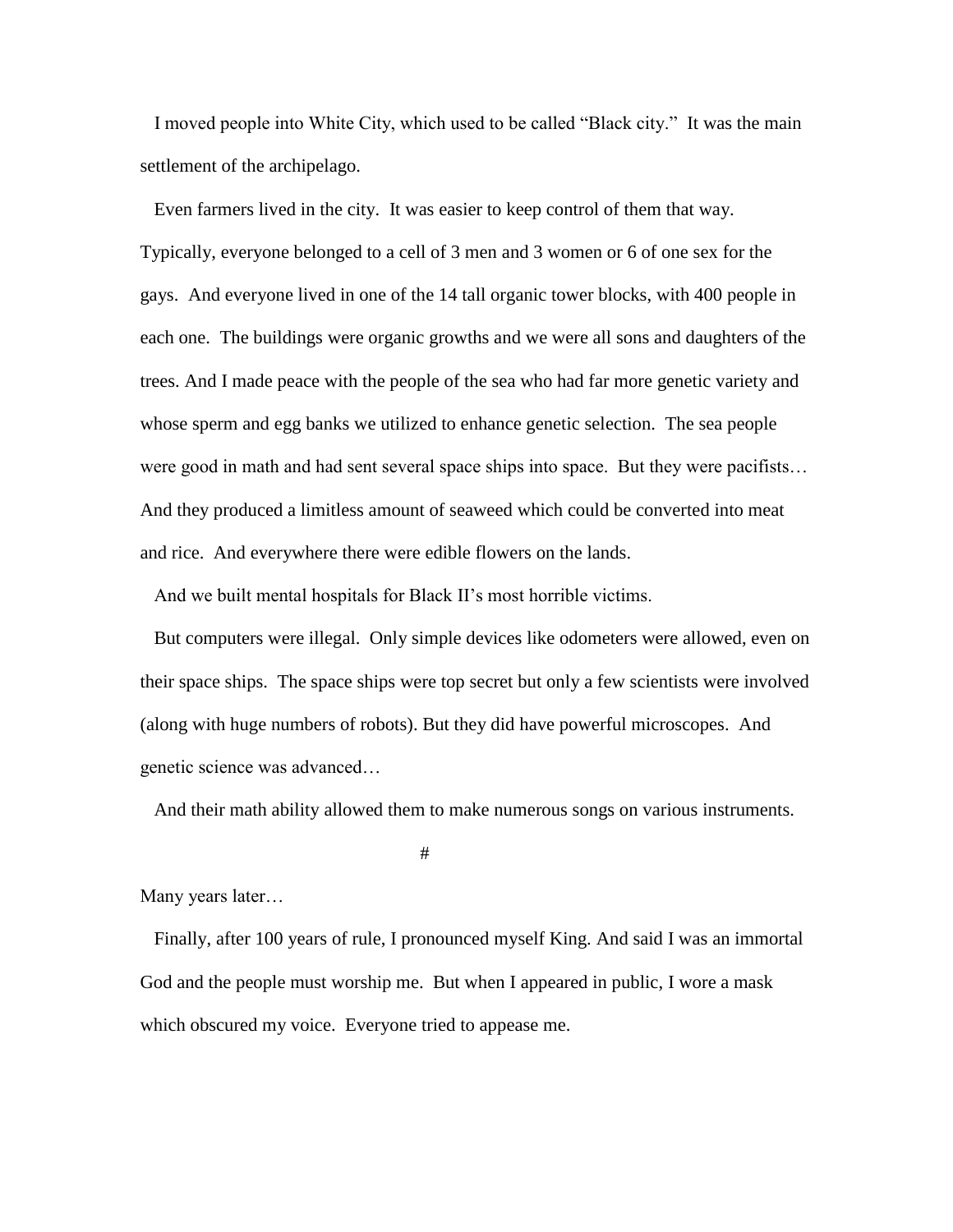I moved people into White City, which used to be called "Black city." It was the main settlement of the archipelago.

 Even farmers lived in the city. It was easier to keep control of them that way. Typically, everyone belonged to a cell of 3 men and 3 women or 6 of one sex for the gays. And everyone lived in one of the 14 tall organic tower blocks, with 400 people in each one. The buildings were organic growths and we were all sons and daughters of the trees. And I made peace with the people of the sea who had far more genetic variety and whose sperm and egg banks we utilized to enhance genetic selection. The sea people were good in math and had sent several space ships into space. But they were pacifists… And they produced a limitless amount of seaweed which could be converted into meat and rice. And everywhere there were edible flowers on the lands.

And we built mental hospitals for Black II's most horrible victims.

 But computers were illegal. Only simple devices like odometers were allowed, even on their space ships. The space ships were top secret but only a few scientists were involved (along with huge numbers of robots). But they did have powerful microscopes. And genetic science was advanced…

And their math ability allowed them to make numerous songs on various instruments.

#

Many years later…

 Finally, after 100 years of rule, I pronounced myself King. And said I was an immortal God and the people must worship me. But when I appeared in public, I wore a mask which obscured my voice. Everyone tried to appease me.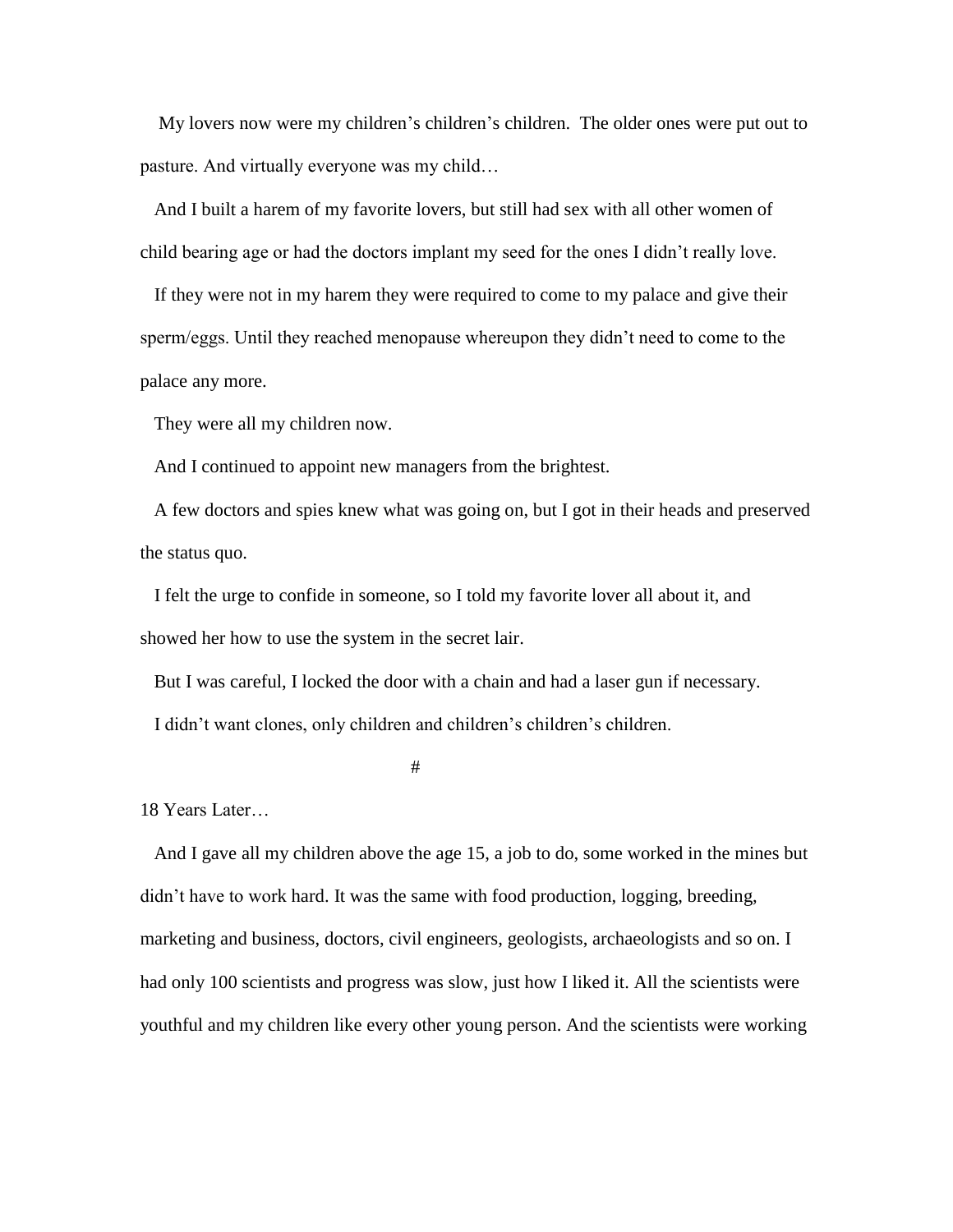My lovers now were my children's children's children. The older ones were put out to pasture. And virtually everyone was my child…

 And I built a harem of my favorite lovers, but still had sex with all other women of child bearing age or had the doctors implant my seed for the ones I didn't really love.

 If they were not in my harem they were required to come to my palace and give their sperm/eggs. Until they reached menopause whereupon they didn't need to come to the palace any more.

They were all my children now.

And I continued to appoint new managers from the brightest.

 A few doctors and spies knew what was going on, but I got in their heads and preserved the status quo.

 I felt the urge to confide in someone, so I told my favorite lover all about it, and showed her how to use the system in the secret lair.

But I was careful, I locked the door with a chain and had a laser gun if necessary.

I didn't want clones, only children and children's children's children.

#

18 Years Later…

 And I gave all my children above the age 15, a job to do, some worked in the mines but didn't have to work hard. It was the same with food production, logging, breeding, marketing and business, doctors, civil engineers, geologists, archaeologists and so on. I had only 100 scientists and progress was slow, just how I liked it. All the scientists were youthful and my children like every other young person. And the scientists were working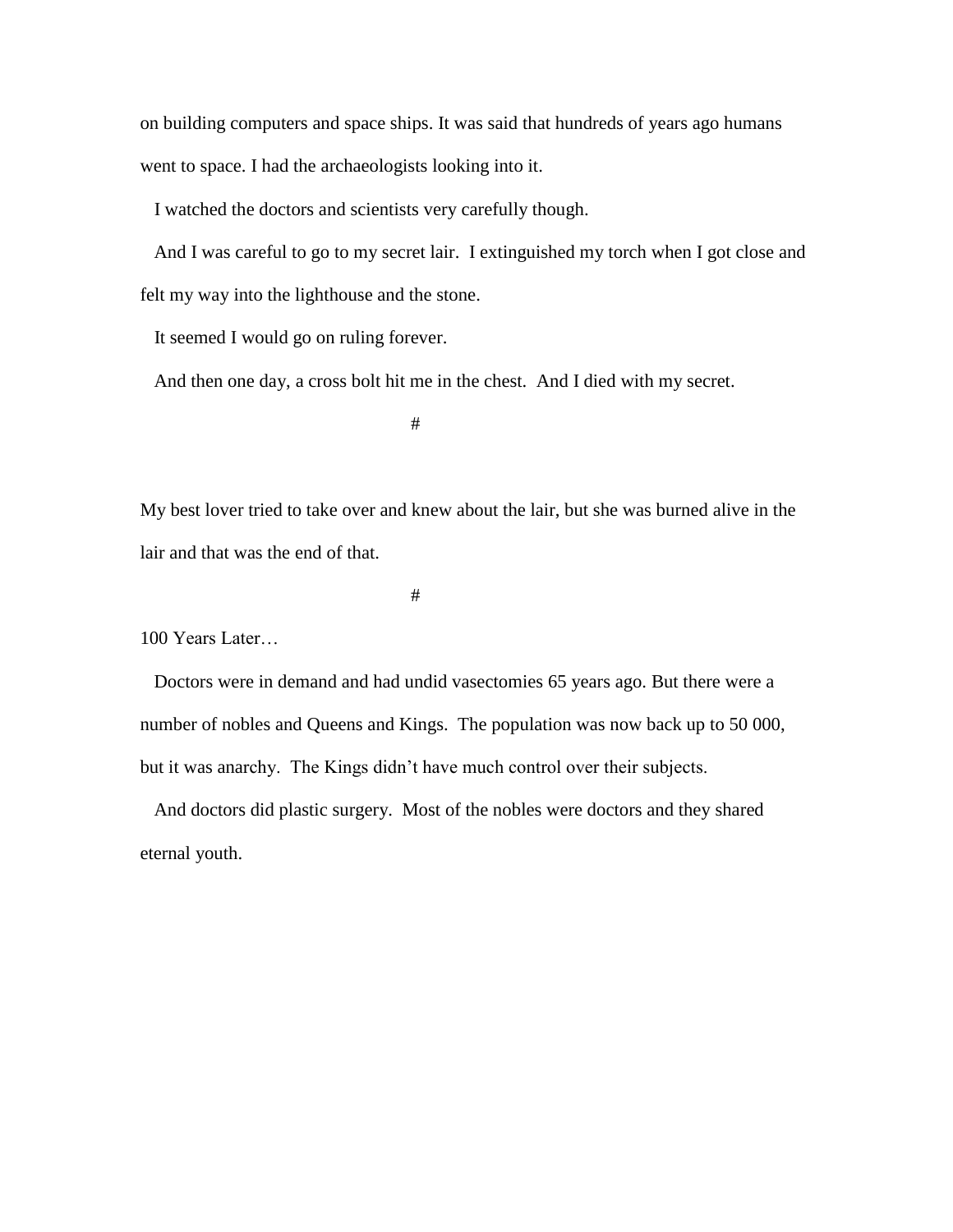on building computers and space ships. It was said that hundreds of years ago humans went to space. I had the archaeologists looking into it.

I watched the doctors and scientists very carefully though.

 And I was careful to go to my secret lair. I extinguished my torch when I got close and felt my way into the lighthouse and the stone.

It seemed I would go on ruling forever.

And then one day, a cross bolt hit me in the chest. And I died with my secret.

#

My best lover tried to take over and knew about the lair, but she was burned alive in the lair and that was the end of that.

#

100 Years Later…

 Doctors were in demand and had undid vasectomies 65 years ago. But there were a number of nobles and Queens and Kings. The population was now back up to 50 000, but it was anarchy. The Kings didn't have much control over their subjects.

 And doctors did plastic surgery. Most of the nobles were doctors and they shared eternal youth.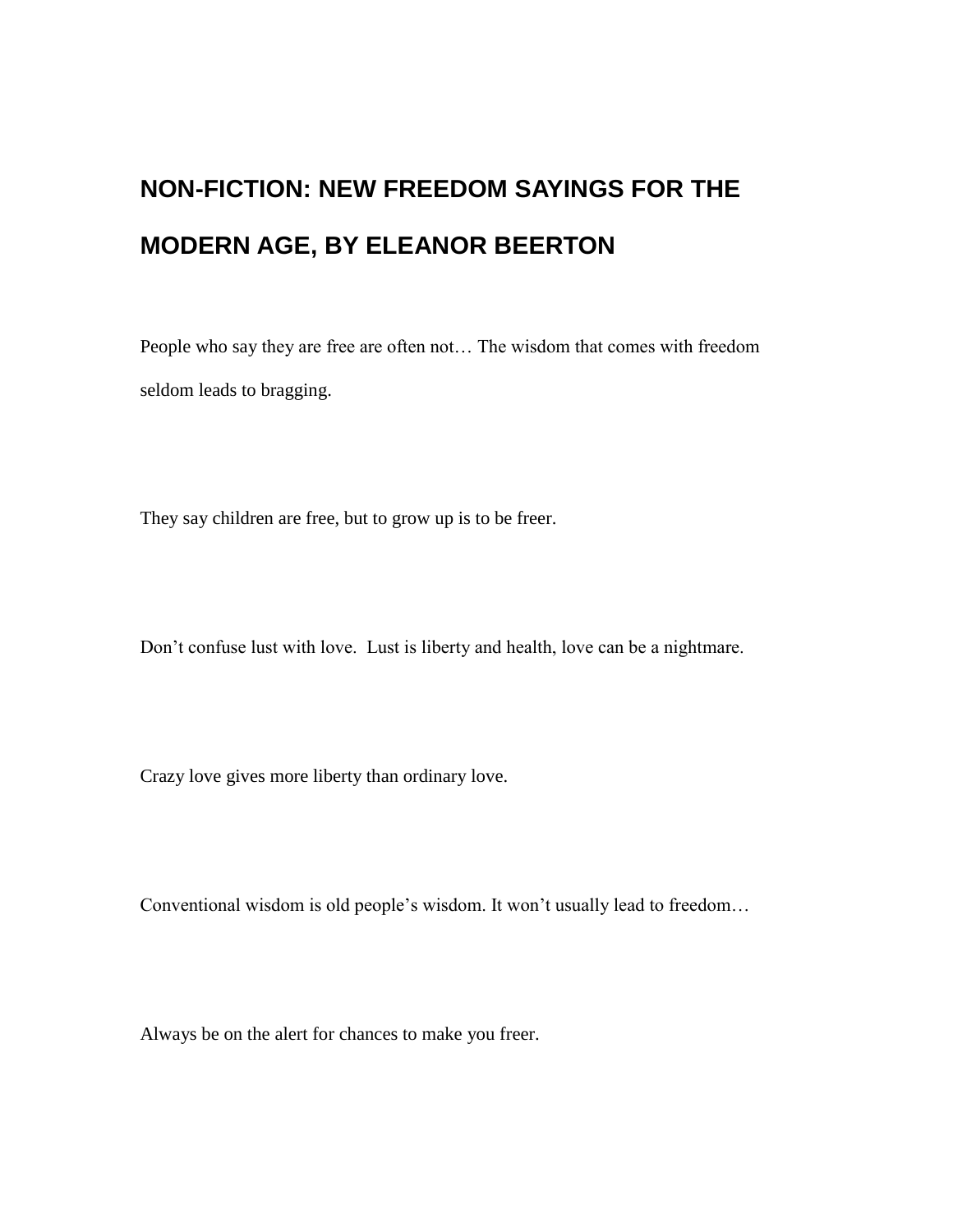## **NON-FICTION: NEW FREEDOM SAYINGS FOR THE MODERN AGE, BY ELEANOR BEERTON**

People who say they are free are often not… The wisdom that comes with freedom seldom leads to bragging.

They say children are free, but to grow up is to be freer.

Don't confuse lust with love. Lust is liberty and health, love can be a nightmare.

Crazy love gives more liberty than ordinary love.

Conventional wisdom is old people's wisdom. It won't usually lead to freedom…

Always be on the alert for chances to make you freer.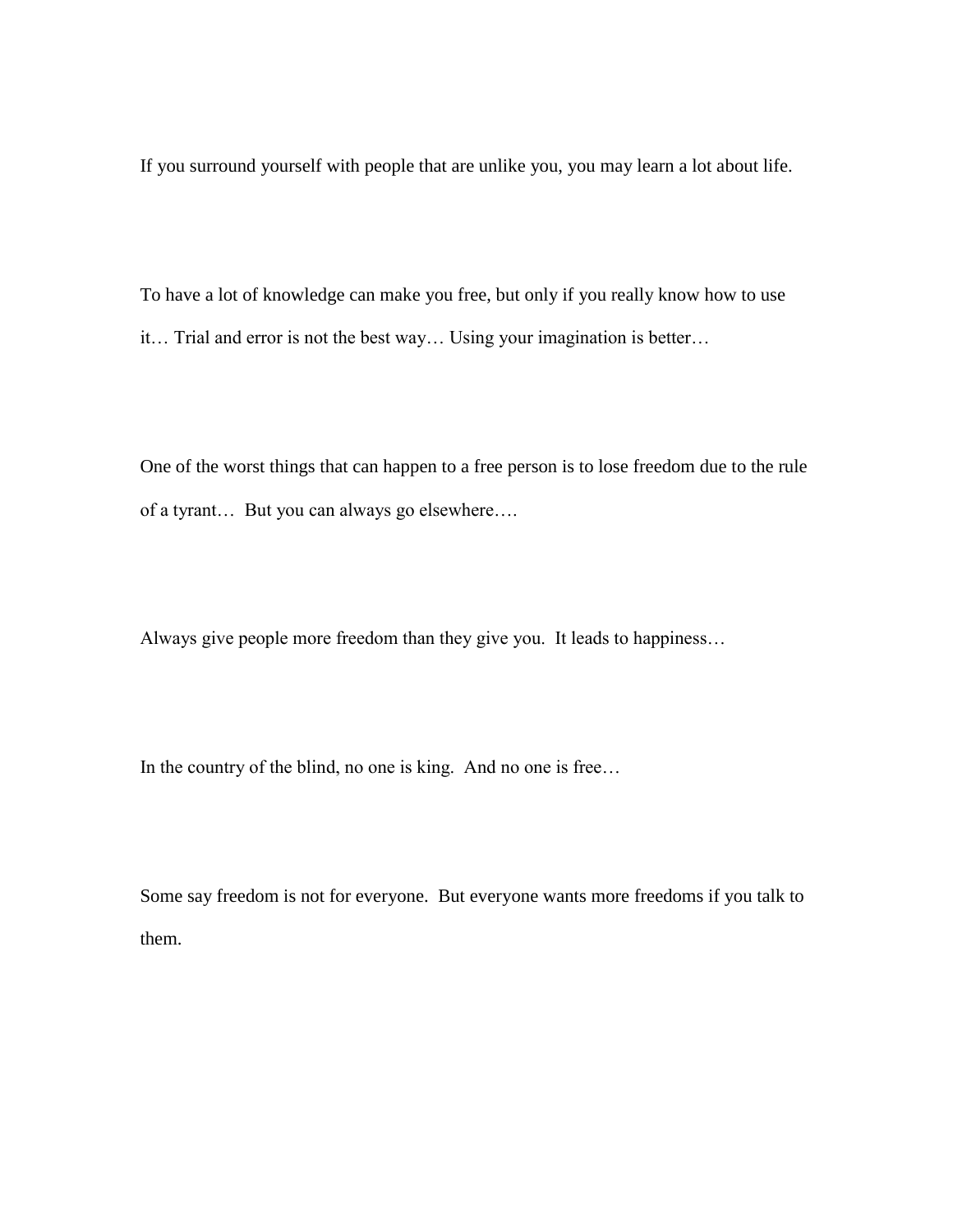If you surround yourself with people that are unlike you, you may learn a lot about life.

To have a lot of knowledge can make you free, but only if you really know how to use it… Trial and error is not the best way… Using your imagination is better…

One of the worst things that can happen to a free person is to lose freedom due to the rule of a tyrant… But you can always go elsewhere….

Always give people more freedom than they give you. It leads to happiness…

In the country of the blind, no one is king. And no one is free…

Some say freedom is not for everyone. But everyone wants more freedoms if you talk to them.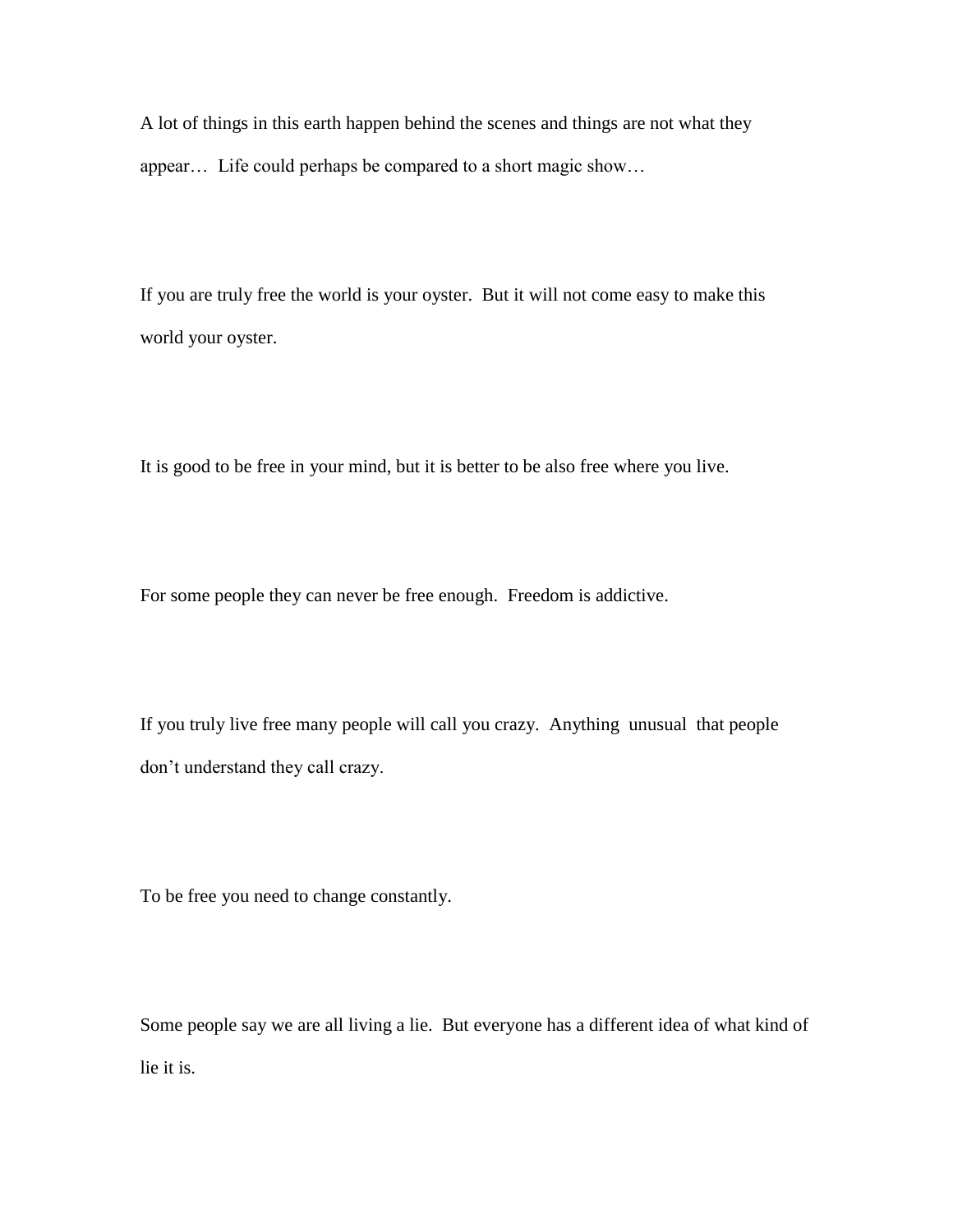A lot of things in this earth happen behind the scenes and things are not what they appear… Life could perhaps be compared to a short magic show…

If you are truly free the world is your oyster. But it will not come easy to make this world your oyster.

It is good to be free in your mind, but it is better to be also free where you live.

For some people they can never be free enough. Freedom is addictive.

If you truly live free many people will call you crazy. Anything unusual that people don't understand they call crazy.

To be free you need to change constantly.

Some people say we are all living a lie. But everyone has a different idea of what kind of lie it is.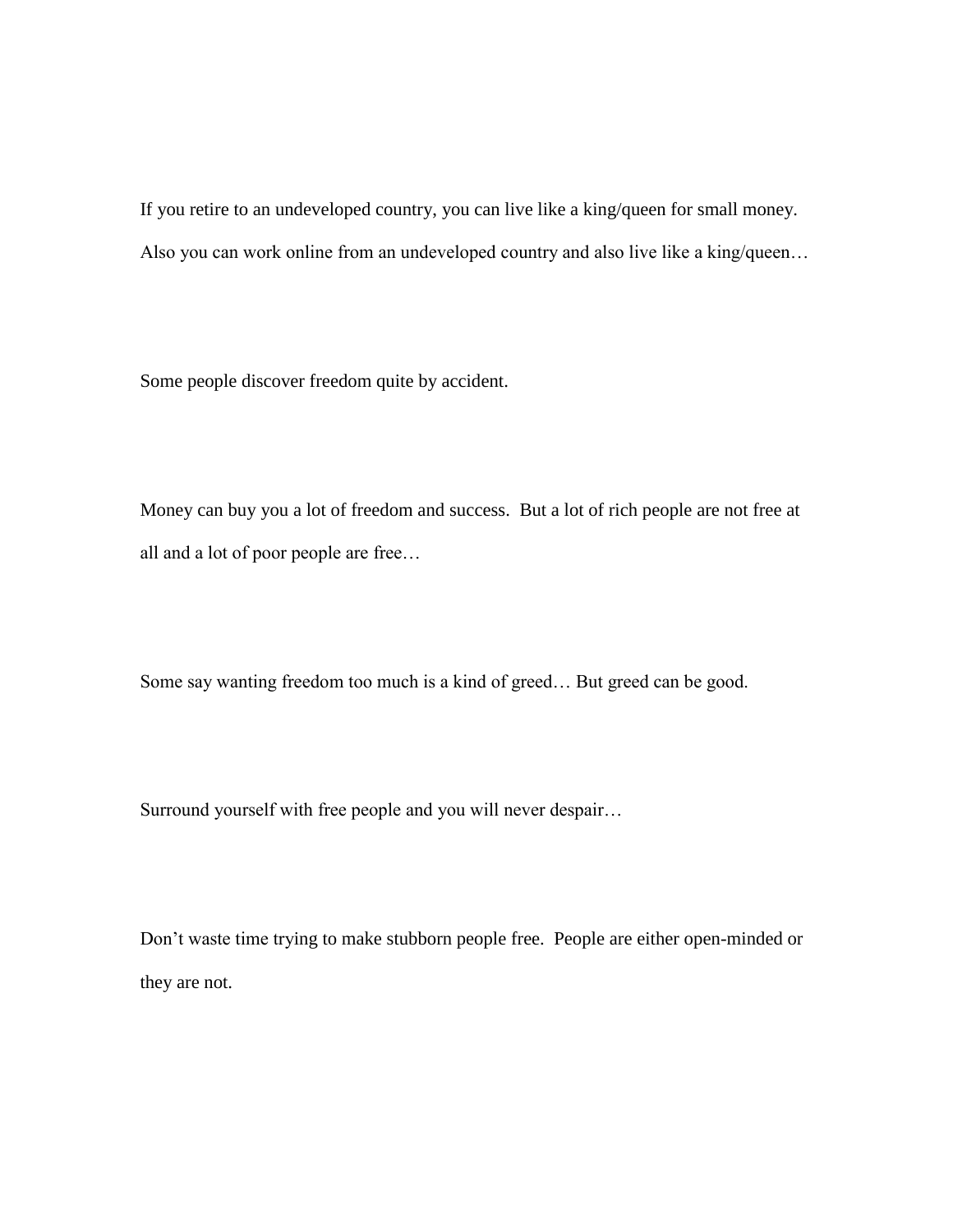If you retire to an undeveloped country, you can live like a king/queen for small money. Also you can work online from an undeveloped country and also live like a king/queen…

Some people discover freedom quite by accident.

Money can buy you a lot of freedom and success. But a lot of rich people are not free at all and a lot of poor people are free…

Some say wanting freedom too much is a kind of greed… But greed can be good.

Surround yourself with free people and you will never despair…

Don't waste time trying to make stubborn people free. People are either open-minded or they are not.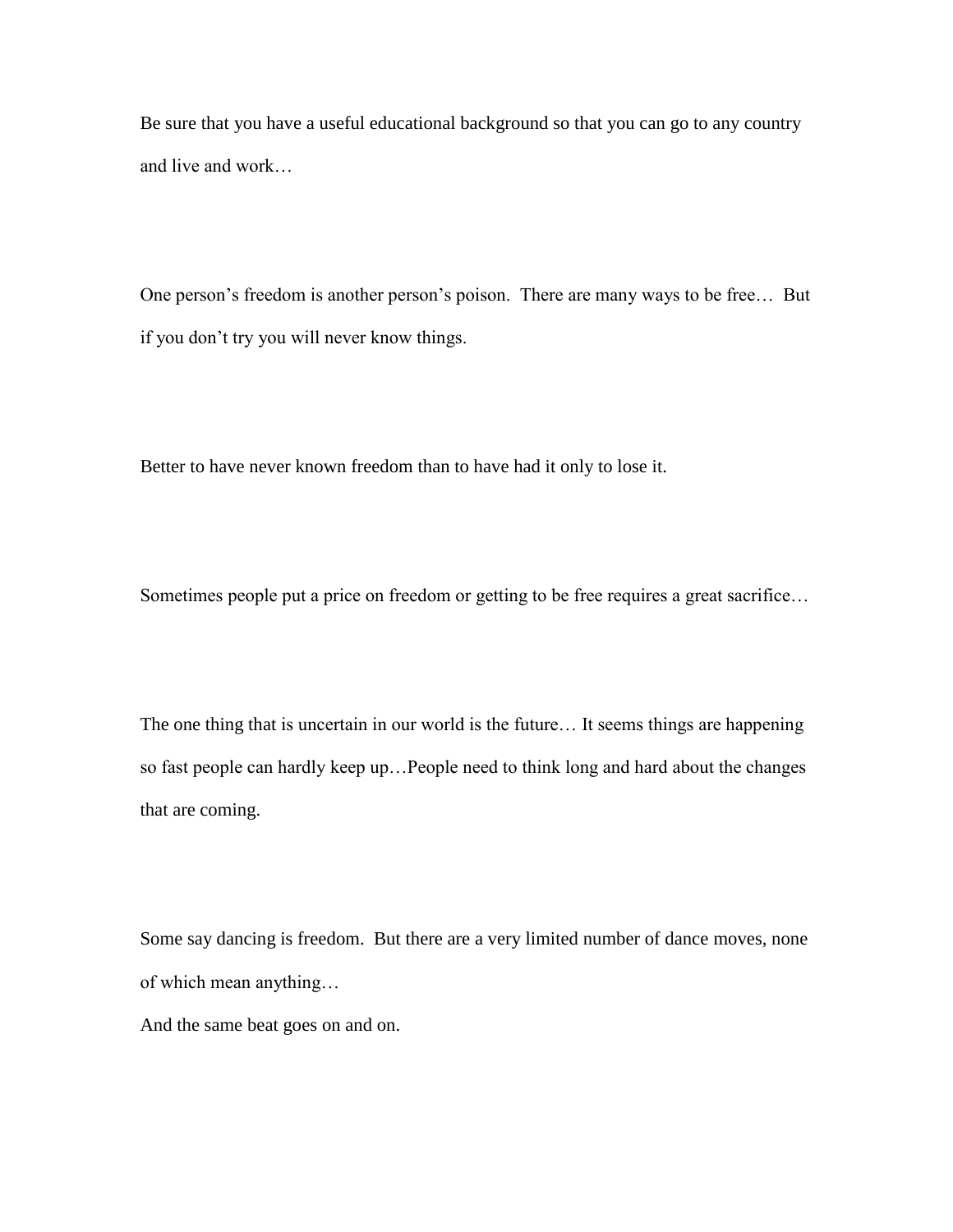Be sure that you have a useful educational background so that you can go to any country and live and work…

One person's freedom is another person's poison. There are many ways to be free… But if you don't try you will never know things.

Better to have never known freedom than to have had it only to lose it.

Sometimes people put a price on freedom or getting to be free requires a great sacrifice…

The one thing that is uncertain in our world is the future… It seems things are happening so fast people can hardly keep up…People need to think long and hard about the changes that are coming.

Some say dancing is freedom. But there are a very limited number of dance moves, none of which mean anything…

And the same beat goes on and on.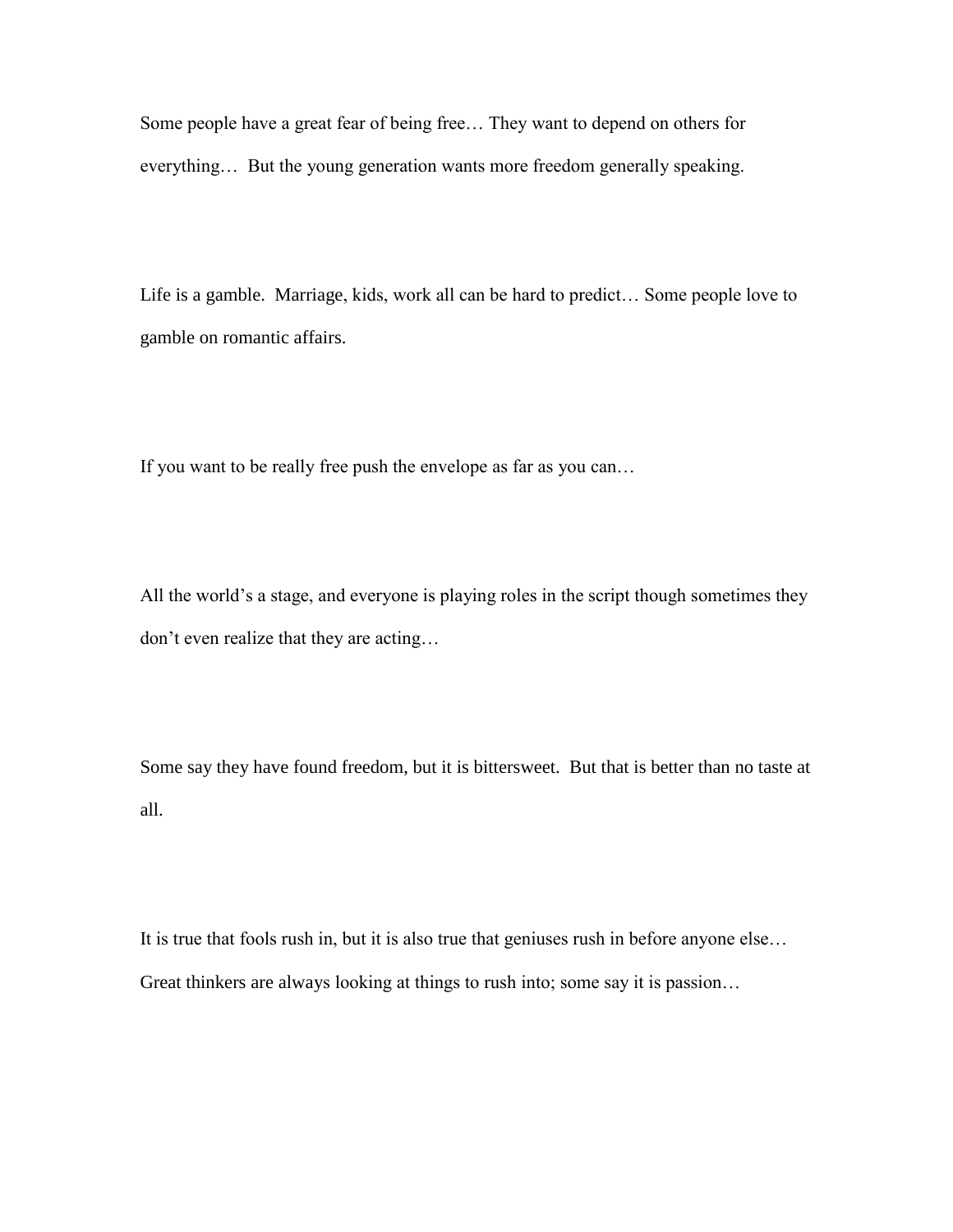Some people have a great fear of being free… They want to depend on others for everything… But the young generation wants more freedom generally speaking.

Life is a gamble. Marriage, kids, work all can be hard to predict… Some people love to gamble on romantic affairs.

If you want to be really free push the envelope as far as you can…

All the world's a stage, and everyone is playing roles in the script though sometimes they don't even realize that they are acting…

Some say they have found freedom, but it is bittersweet. But that is better than no taste at all.

It is true that fools rush in, but it is also true that geniuses rush in before anyone else… Great thinkers are always looking at things to rush into; some say it is passion…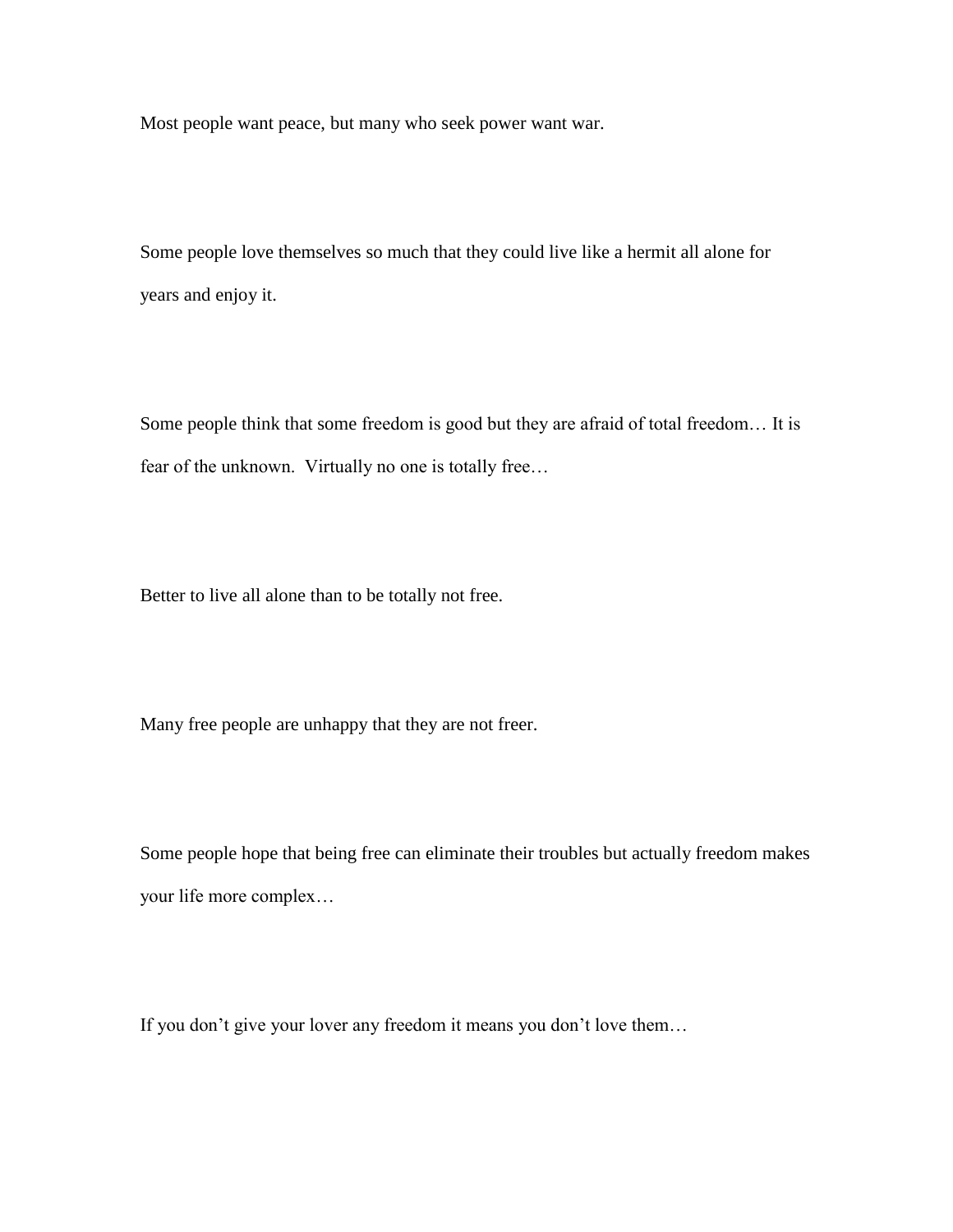Most people want peace, but many who seek power want war.

Some people love themselves so much that they could live like a hermit all alone for years and enjoy it.

Some people think that some freedom is good but they are afraid of total freedom… It is fear of the unknown. Virtually no one is totally free…

Better to live all alone than to be totally not free.

Many free people are unhappy that they are not freer.

Some people hope that being free can eliminate their troubles but actually freedom makes your life more complex…

If you don't give your lover any freedom it means you don't love them…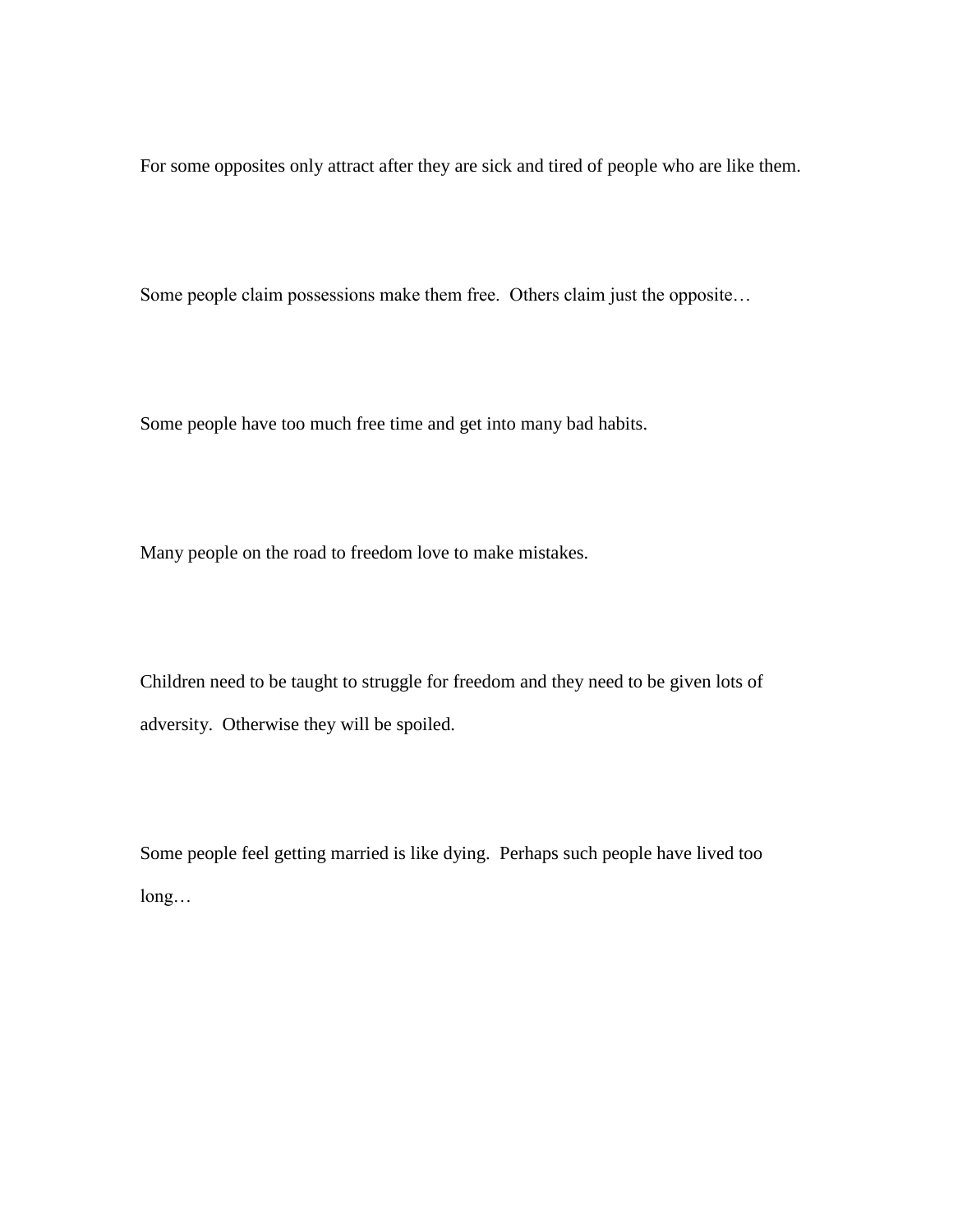For some opposites only attract after they are sick and tired of people who are like them.

Some people claim possessions make them free. Others claim just the opposite…

Some people have too much free time and get into many bad habits.

Many people on the road to freedom love to make mistakes.

Children need to be taught to struggle for freedom and they need to be given lots of adversity. Otherwise they will be spoiled.

Some people feel getting married is like dying. Perhaps such people have lived too long…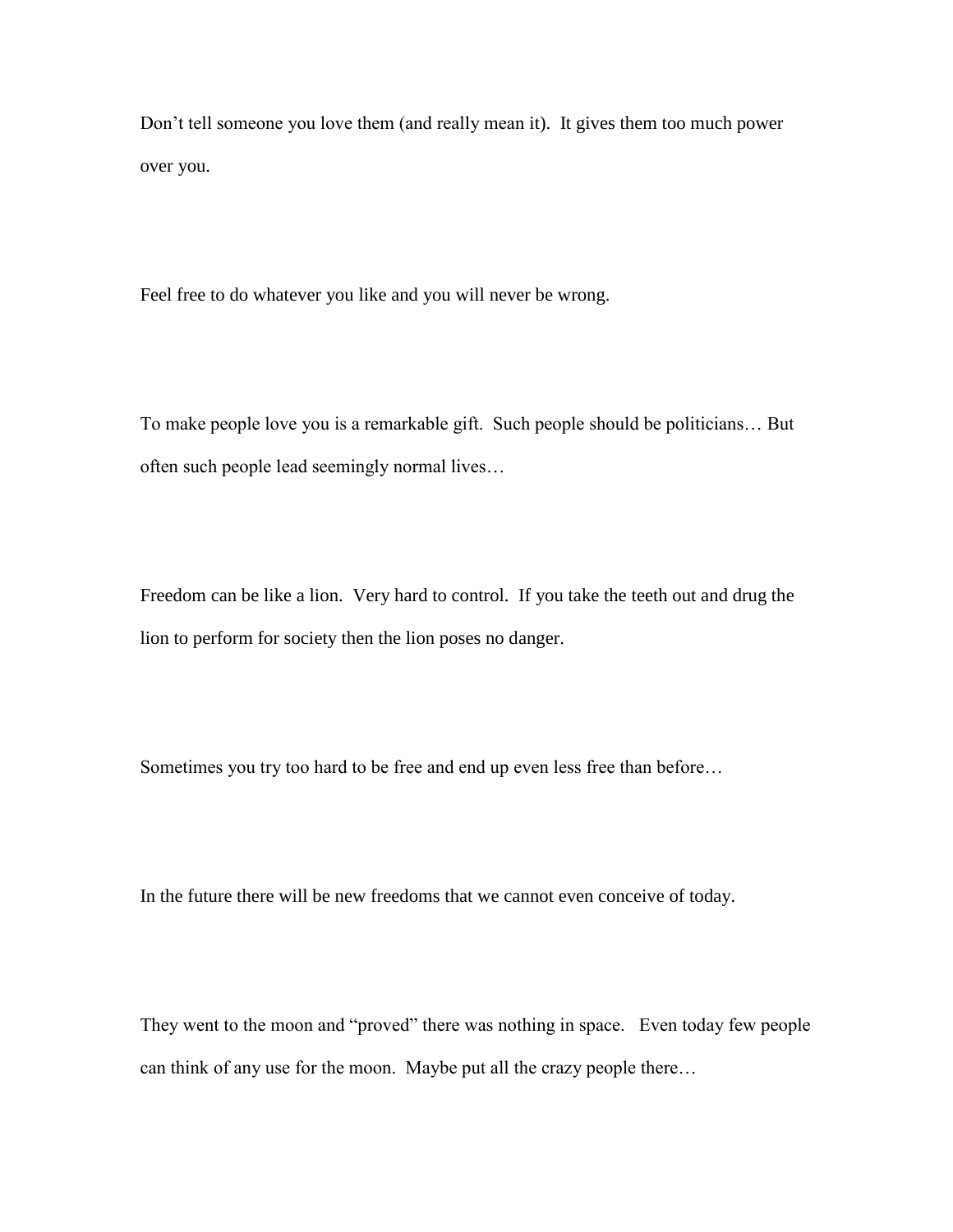Don't tell someone you love them (and really mean it). It gives them too much power over you.

Feel free to do whatever you like and you will never be wrong.

To make people love you is a remarkable gift. Such people should be politicians… But often such people lead seemingly normal lives…

Freedom can be like a lion. Very hard to control. If you take the teeth out and drug the lion to perform for society then the lion poses no danger.

Sometimes you try too hard to be free and end up even less free than before…

In the future there will be new freedoms that we cannot even conceive of today.

They went to the moon and "proved" there was nothing in space. Even today few people can think of any use for the moon. Maybe put all the crazy people there…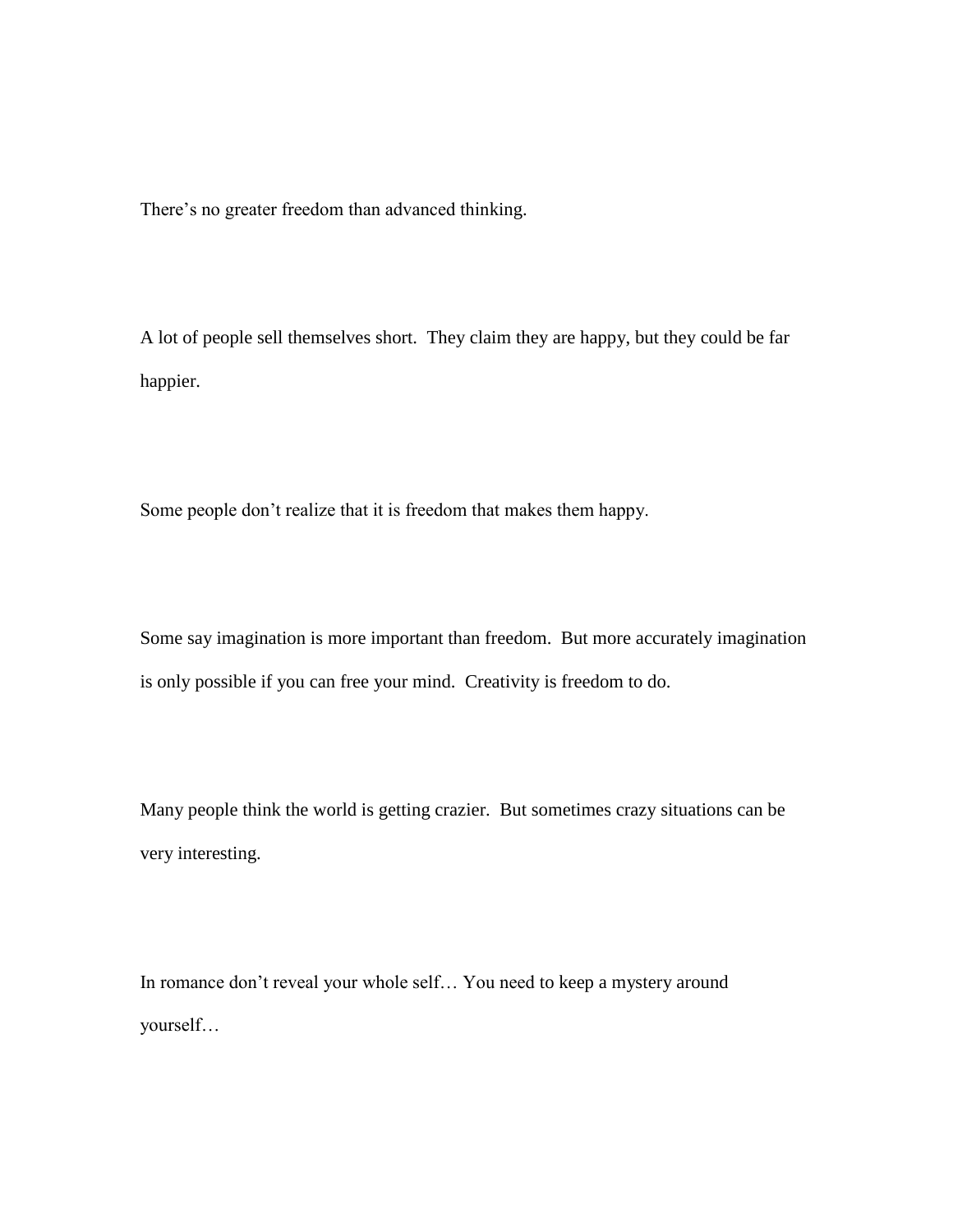There's no greater freedom than advanced thinking.

A lot of people sell themselves short. They claim they are happy, but they could be far happier.

Some people don't realize that it is freedom that makes them happy.

Some say imagination is more important than freedom. But more accurately imagination is only possible if you can free your mind. Creativity is freedom to do.

Many people think the world is getting crazier. But sometimes crazy situations can be very interesting.

In romance don't reveal your whole self… You need to keep a mystery around yourself…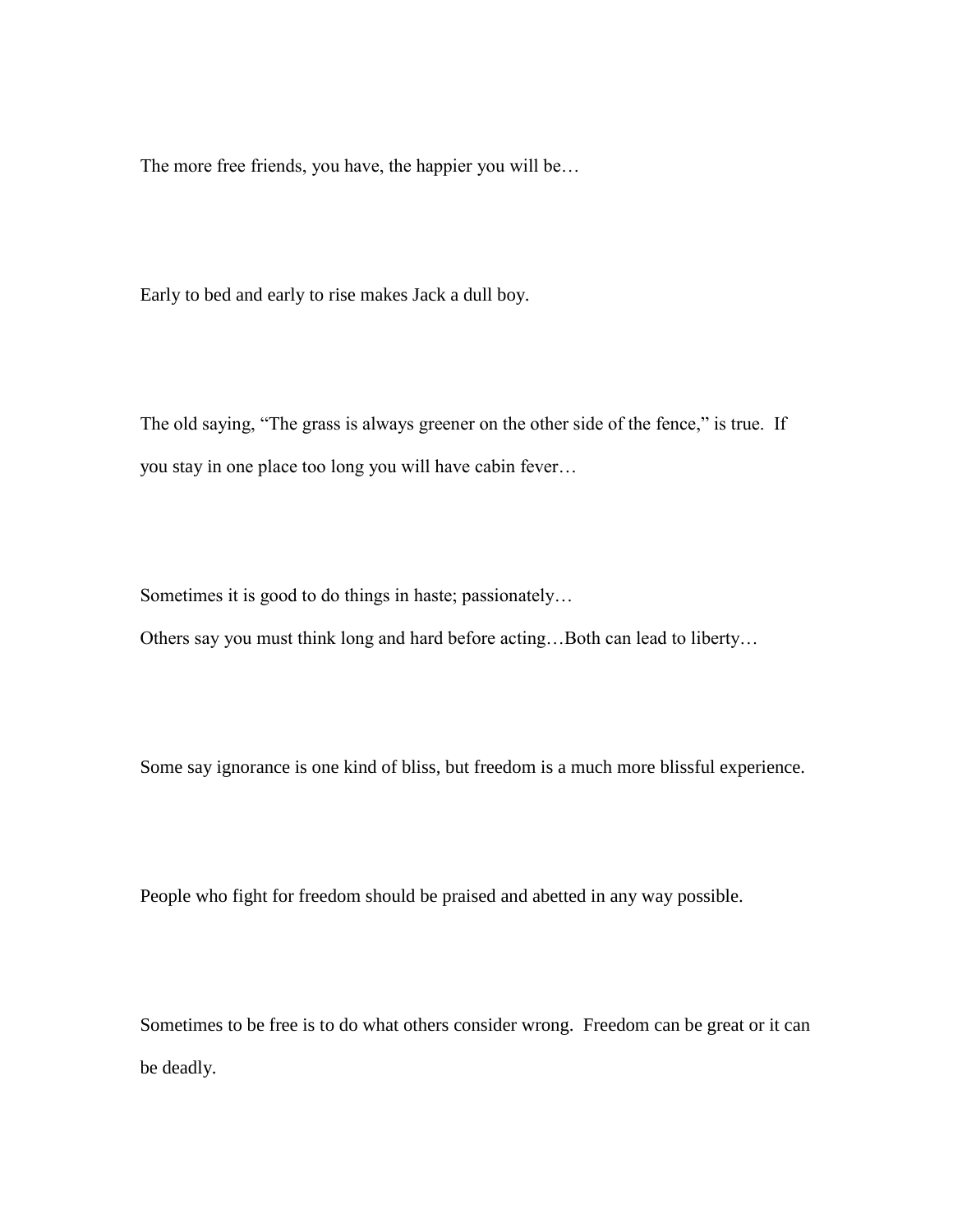The more free friends, you have, the happier you will be…

Early to bed and early to rise makes Jack a dull boy.

The old saying, "The grass is always greener on the other side of the fence," is true. If you stay in one place too long you will have cabin fever…

Sometimes it is good to do things in haste; passionately…

Others say you must think long and hard before acting…Both can lead to liberty…

Some say ignorance is one kind of bliss, but freedom is a much more blissful experience.

People who fight for freedom should be praised and abetted in any way possible.

Sometimes to be free is to do what others consider wrong. Freedom can be great or it can be deadly.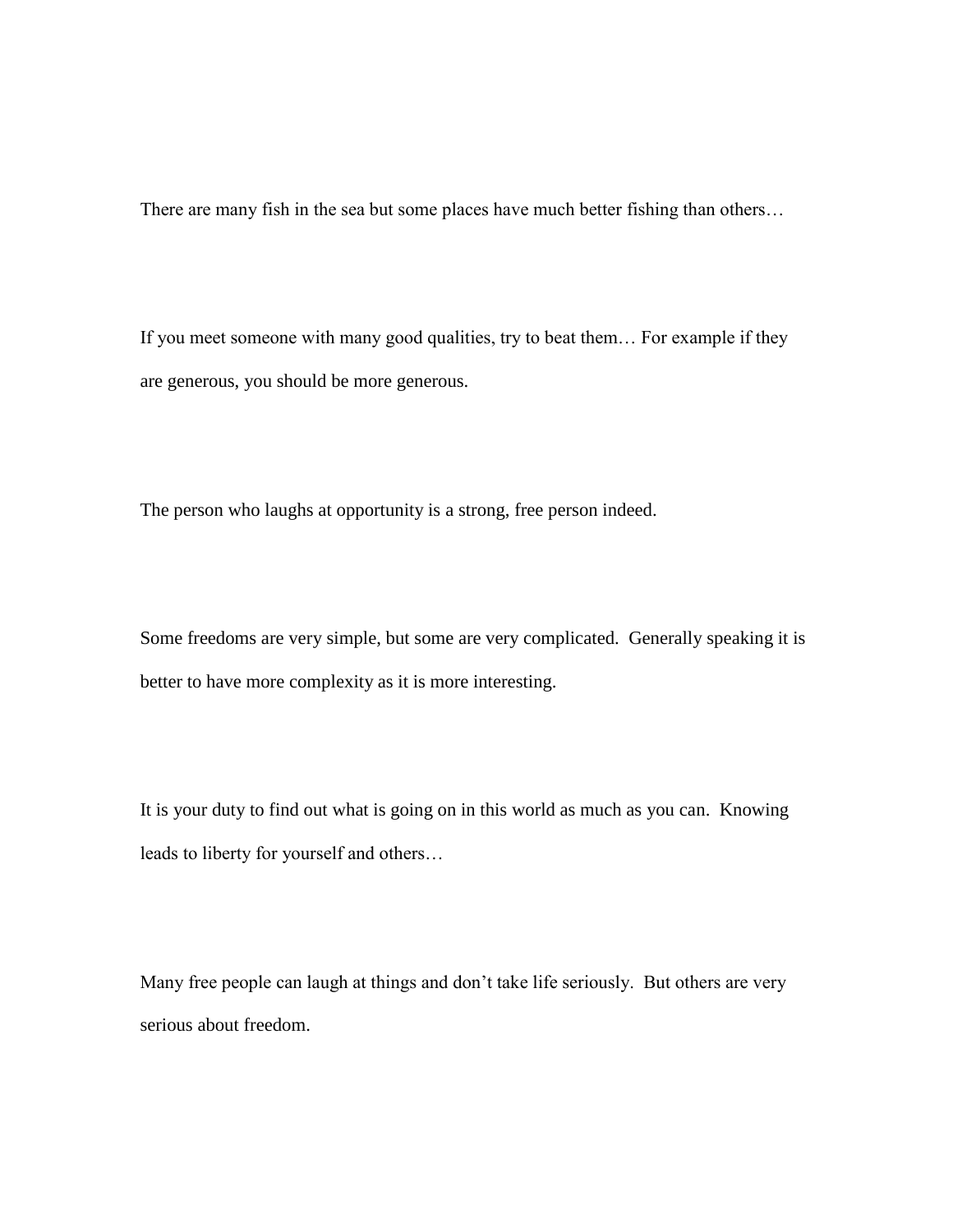There are many fish in the sea but some places have much better fishing than others…

If you meet someone with many good qualities, try to beat them… For example if they are generous, you should be more generous.

The person who laughs at opportunity is a strong, free person indeed.

Some freedoms are very simple, but some are very complicated. Generally speaking it is better to have more complexity as it is more interesting.

It is your duty to find out what is going on in this world as much as you can. Knowing leads to liberty for yourself and others…

Many free people can laugh at things and don't take life seriously. But others are very serious about freedom.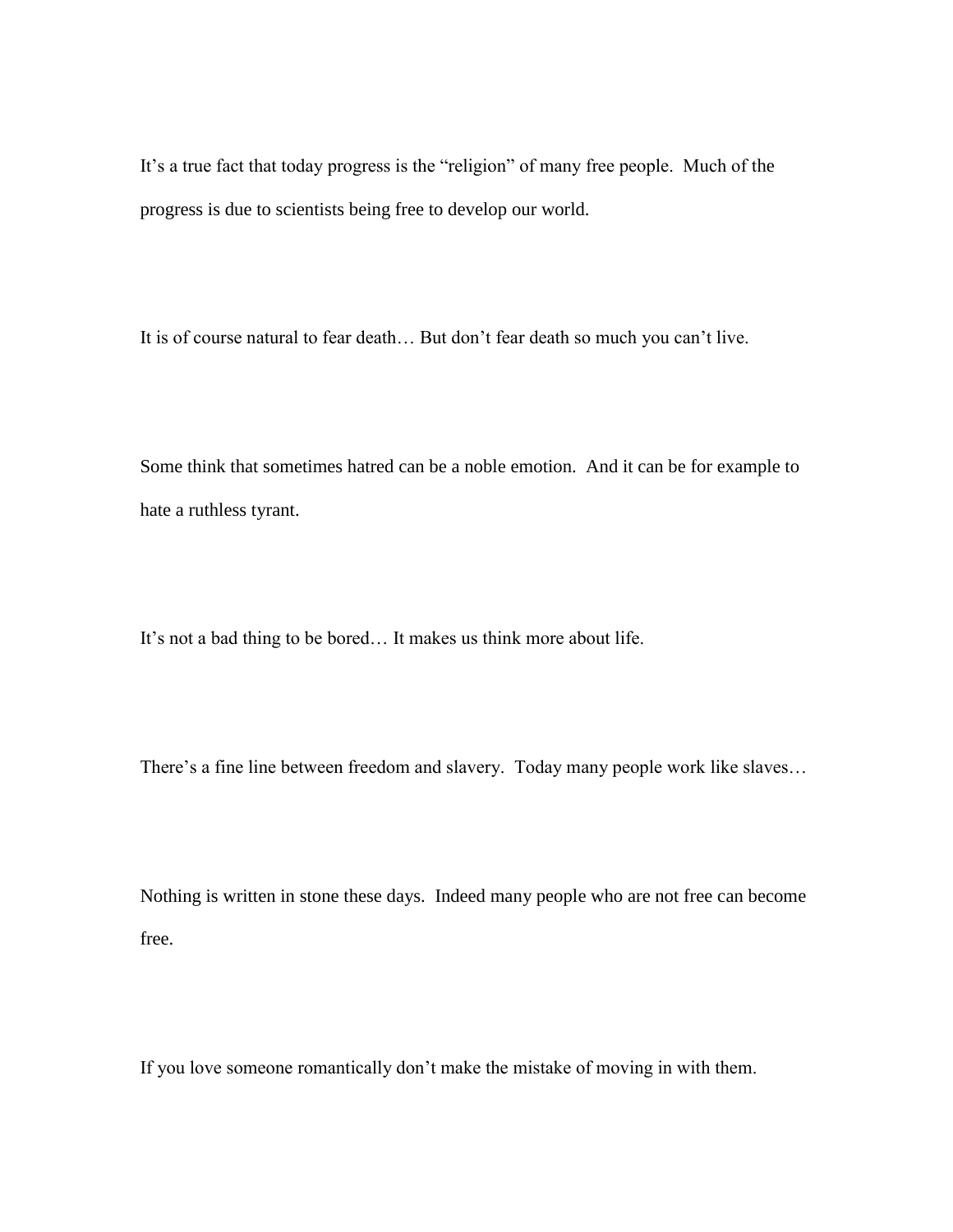It's a true fact that today progress is the "religion" of many free people. Much of the progress is due to scientists being free to develop our world.

It is of course natural to fear death… But don't fear death so much you can't live.

Some think that sometimes hatred can be a noble emotion. And it can be for example to hate a ruthless tyrant.

It's not a bad thing to be bored… It makes us think more about life.

There's a fine line between freedom and slavery. Today many people work like slaves…

Nothing is written in stone these days. Indeed many people who are not free can become free.

If you love someone romantically don't make the mistake of moving in with them.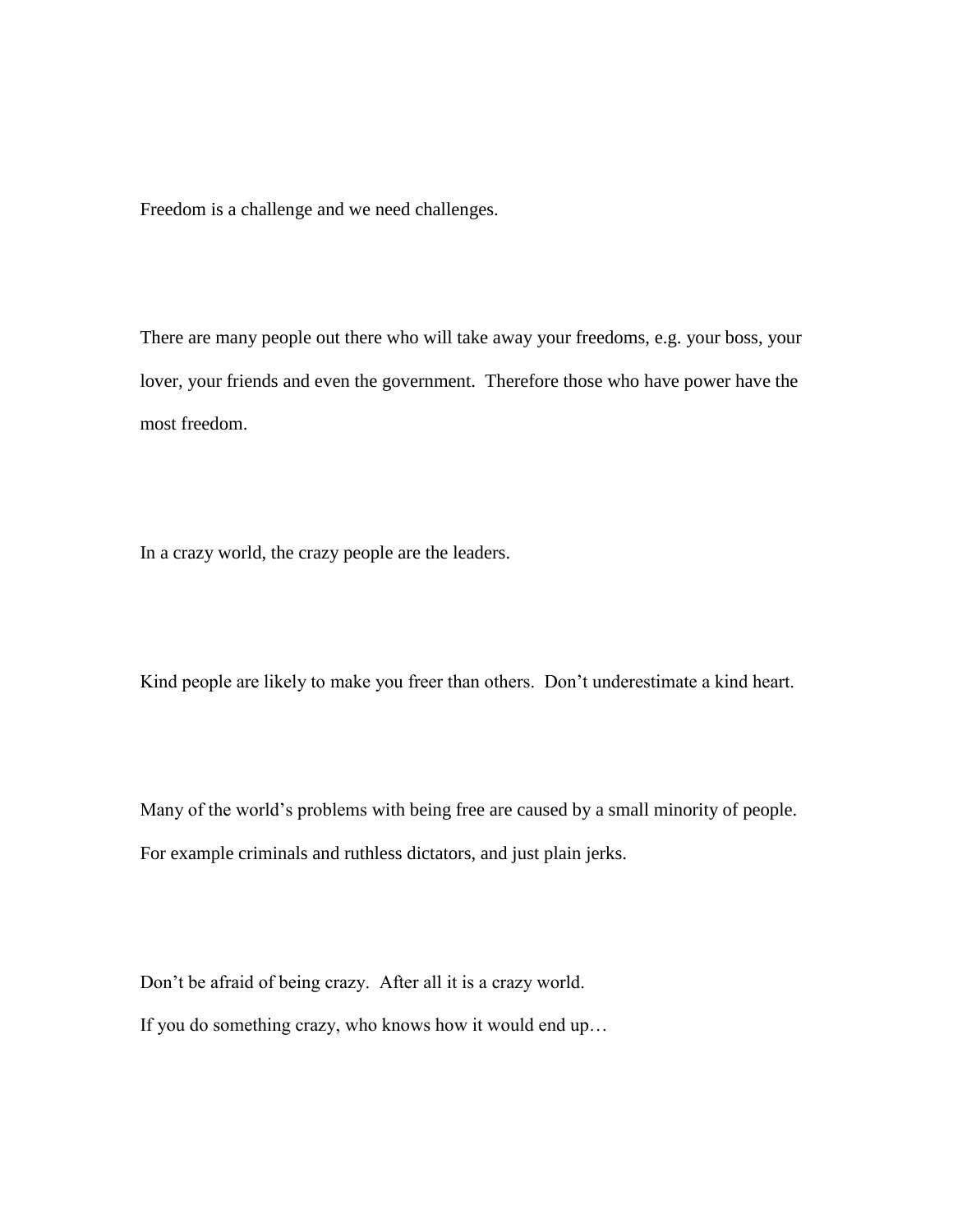Freedom is a challenge and we need challenges.

There are many people out there who will take away your freedoms, e.g. your boss, your lover, your friends and even the government. Therefore those who have power have the most freedom.

In a crazy world, the crazy people are the leaders.

Kind people are likely to make you freer than others. Don't underestimate a kind heart.

Many of the world's problems with being free are caused by a small minority of people. For example criminals and ruthless dictators, and just plain jerks.

Don't be afraid of being crazy. After all it is a crazy world. If you do something crazy, who knows how it would end up…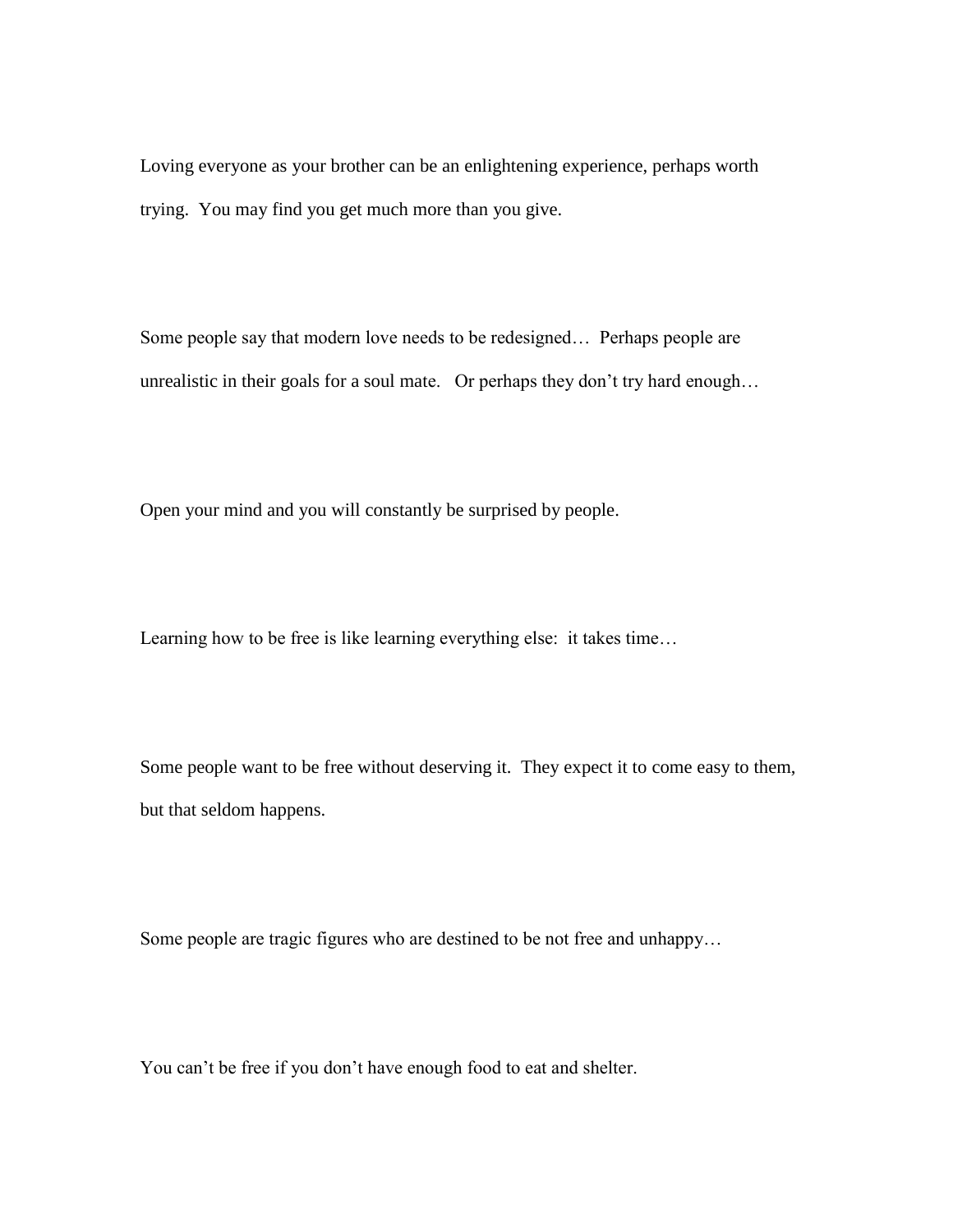Loving everyone as your brother can be an enlightening experience, perhaps worth trying. You may find you get much more than you give.

Some people say that modern love needs to be redesigned… Perhaps people are unrealistic in their goals for a soul mate. Or perhaps they don't try hard enough…

Open your mind and you will constantly be surprised by people.

Learning how to be free is like learning everything else: it takes time…

Some people want to be free without deserving it. They expect it to come easy to them, but that seldom happens.

Some people are tragic figures who are destined to be not free and unhappy…

You can't be free if you don't have enough food to eat and shelter.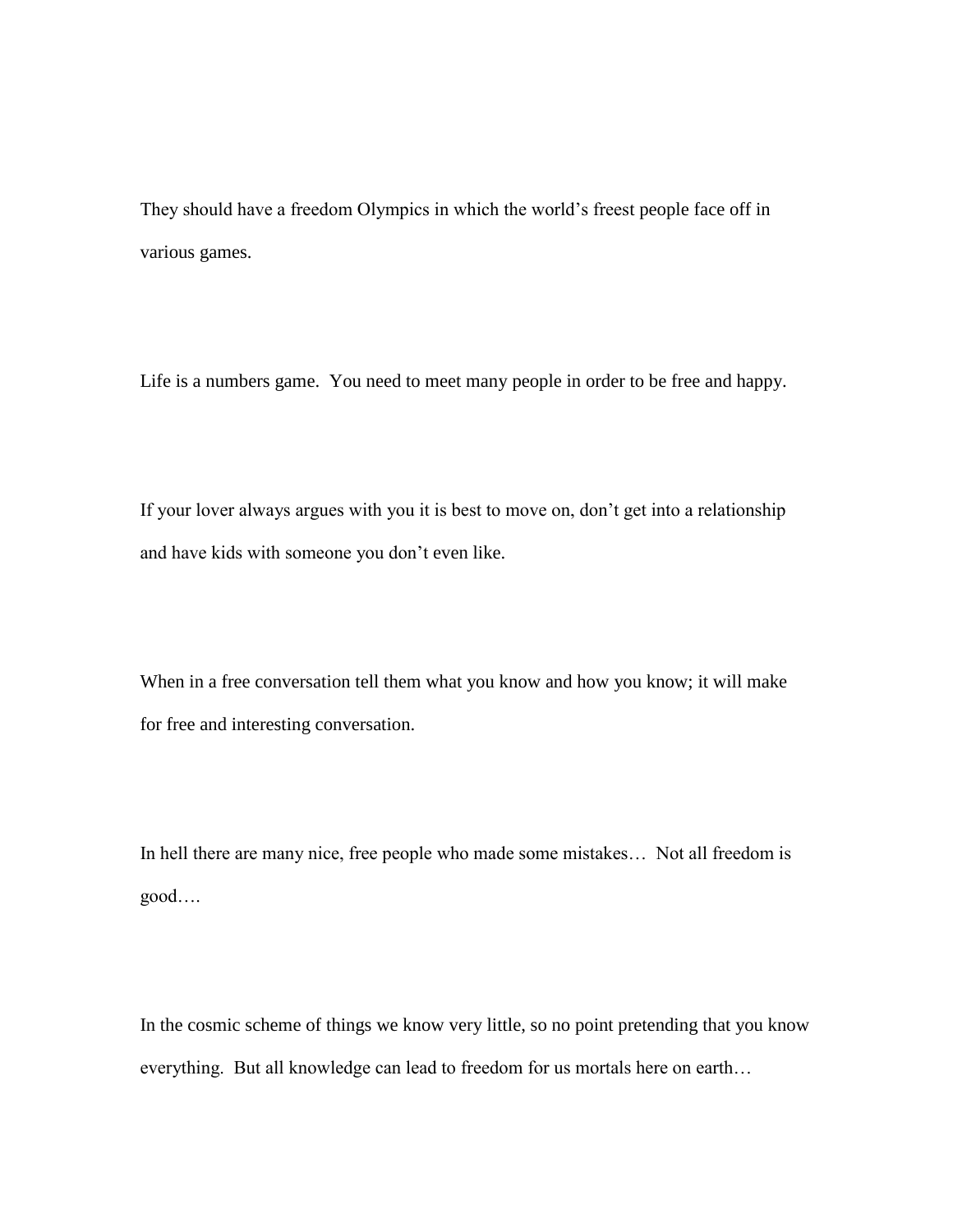They should have a freedom Olympics in which the world's freest people face off in various games.

Life is a numbers game. You need to meet many people in order to be free and happy.

If your lover always argues with you it is best to move on, don't get into a relationship and have kids with someone you don't even like.

When in a free conversation tell them what you know and how you know; it will make for free and interesting conversation.

In hell there are many nice, free people who made some mistakes… Not all freedom is good….

In the cosmic scheme of things we know very little, so no point pretending that you know everything. But all knowledge can lead to freedom for us mortals here on earth…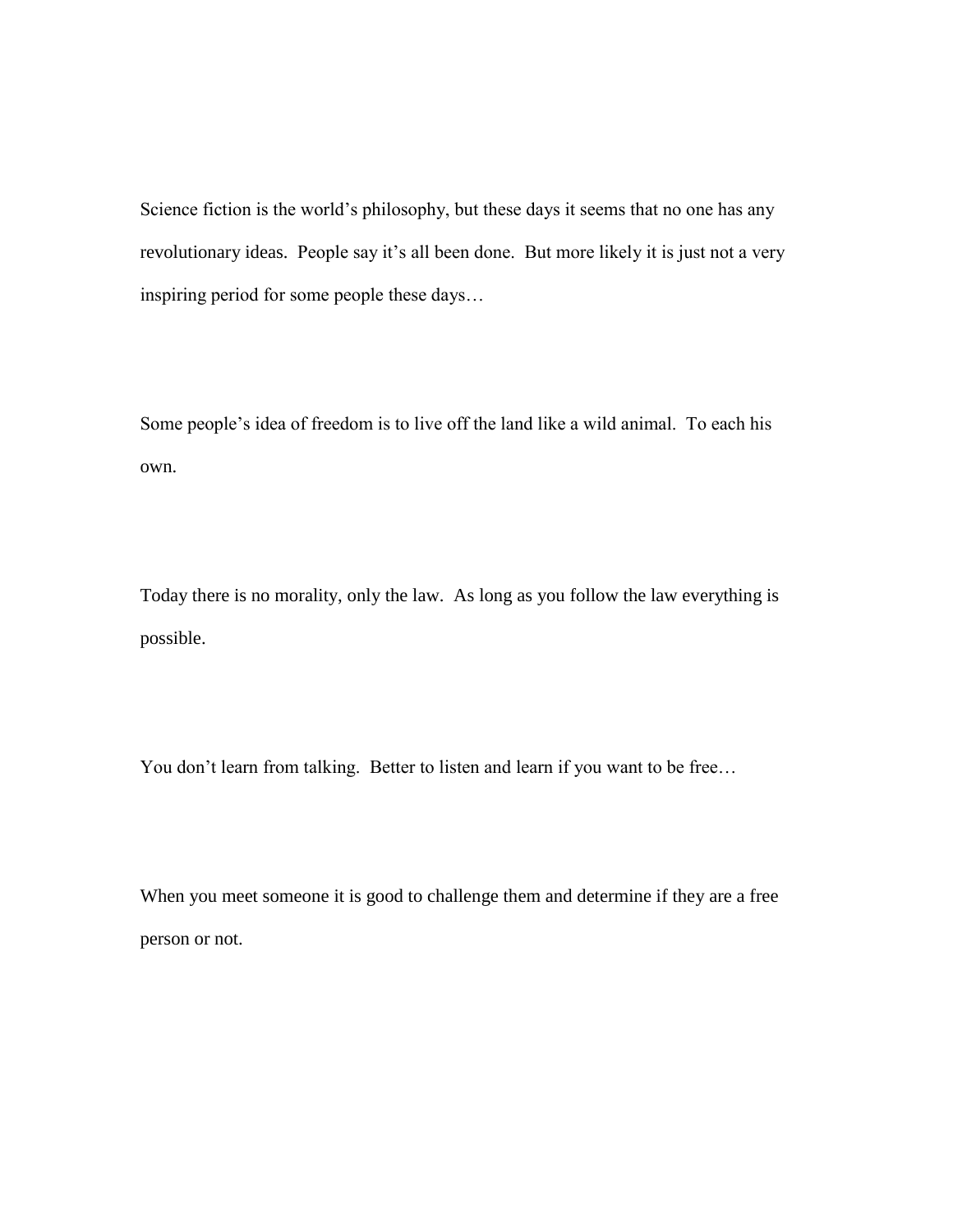Science fiction is the world's philosophy, but these days it seems that no one has any revolutionary ideas. People say it's all been done. But more likely it is just not a very inspiring period for some people these days…

Some people's idea of freedom is to live off the land like a wild animal. To each his own.

Today there is no morality, only the law. As long as you follow the law everything is possible.

You don't learn from talking. Better to listen and learn if you want to be free...

When you meet someone it is good to challenge them and determine if they are a free person or not.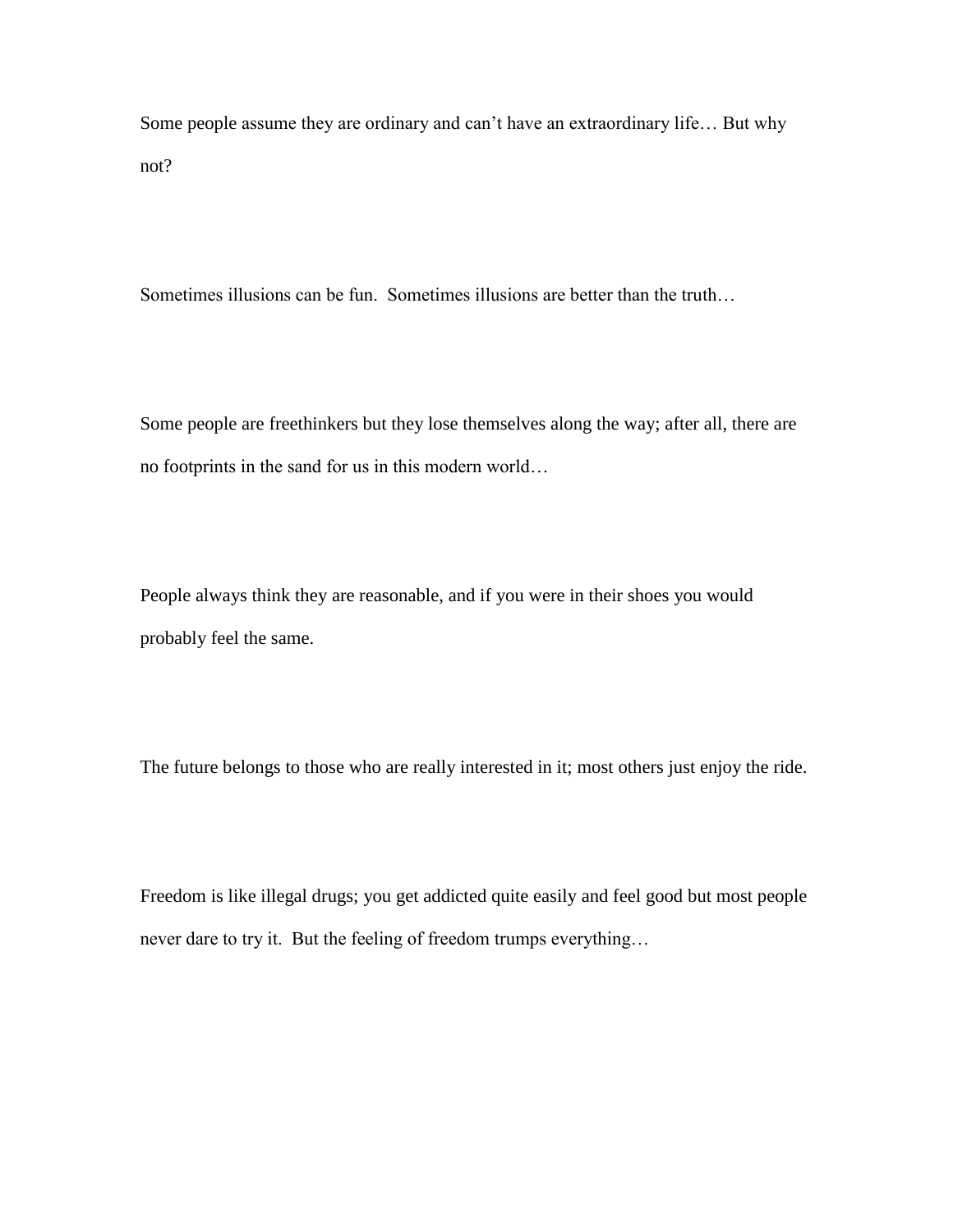Some people assume they are ordinary and can't have an extraordinary life… But why not?

Sometimes illusions can be fun. Sometimes illusions are better than the truth…

Some people are freethinkers but they lose themselves along the way; after all, there are no footprints in the sand for us in this modern world…

People always think they are reasonable, and if you were in their shoes you would probably feel the same.

The future belongs to those who are really interested in it; most others just enjoy the ride.

Freedom is like illegal drugs; you get addicted quite easily and feel good but most people never dare to try it. But the feeling of freedom trumps everything…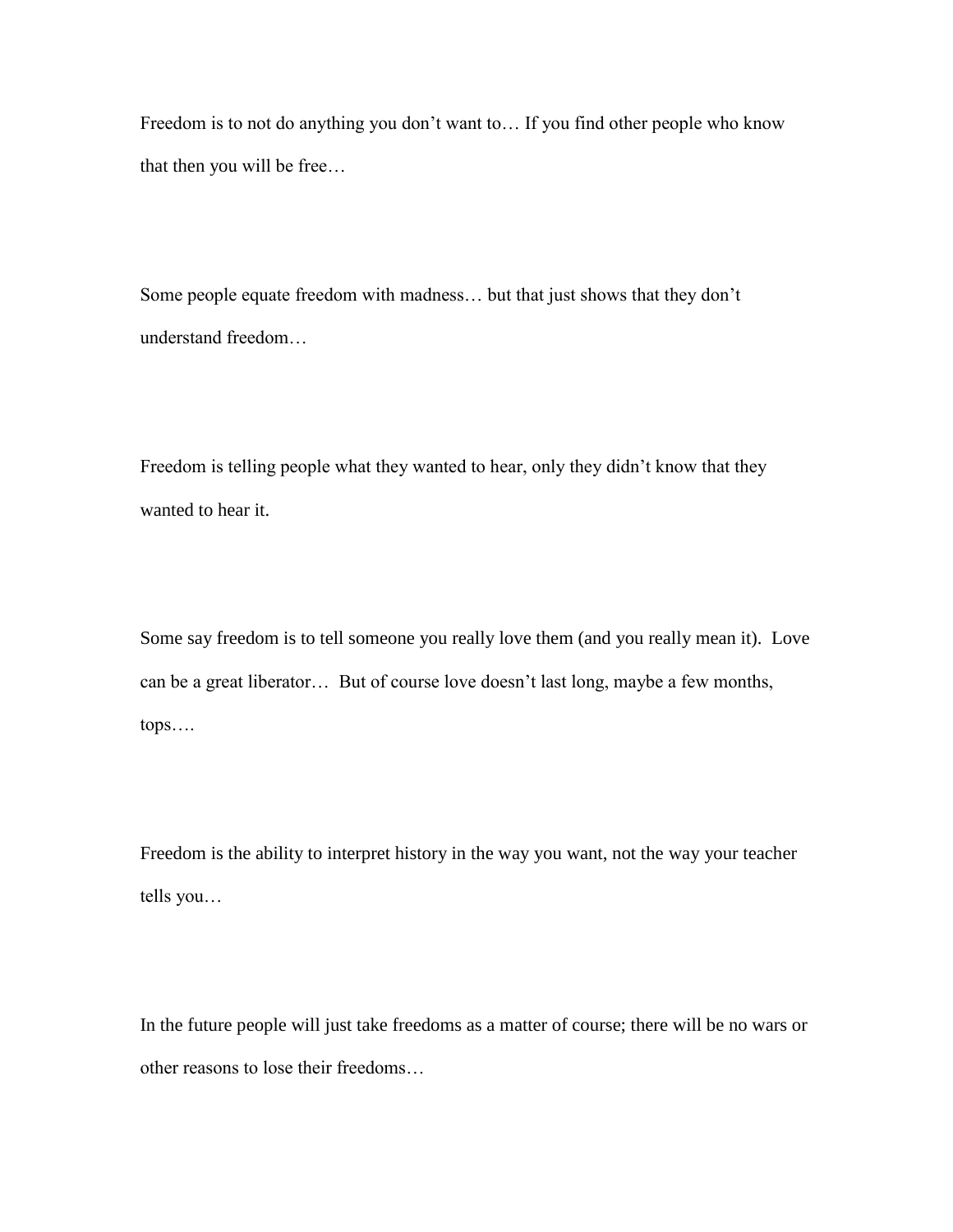Freedom is to not do anything you don't want to… If you find other people who know that then you will be free…

Some people equate freedom with madness… but that just shows that they don't understand freedom…

Freedom is telling people what they wanted to hear, only they didn't know that they wanted to hear it.

Some say freedom is to tell someone you really love them (and you really mean it). Love can be a great liberator… But of course love doesn't last long, maybe a few months, tops….

Freedom is the ability to interpret history in the way you want, not the way your teacher tells you…

In the future people will just take freedoms as a matter of course; there will be no wars or other reasons to lose their freedoms…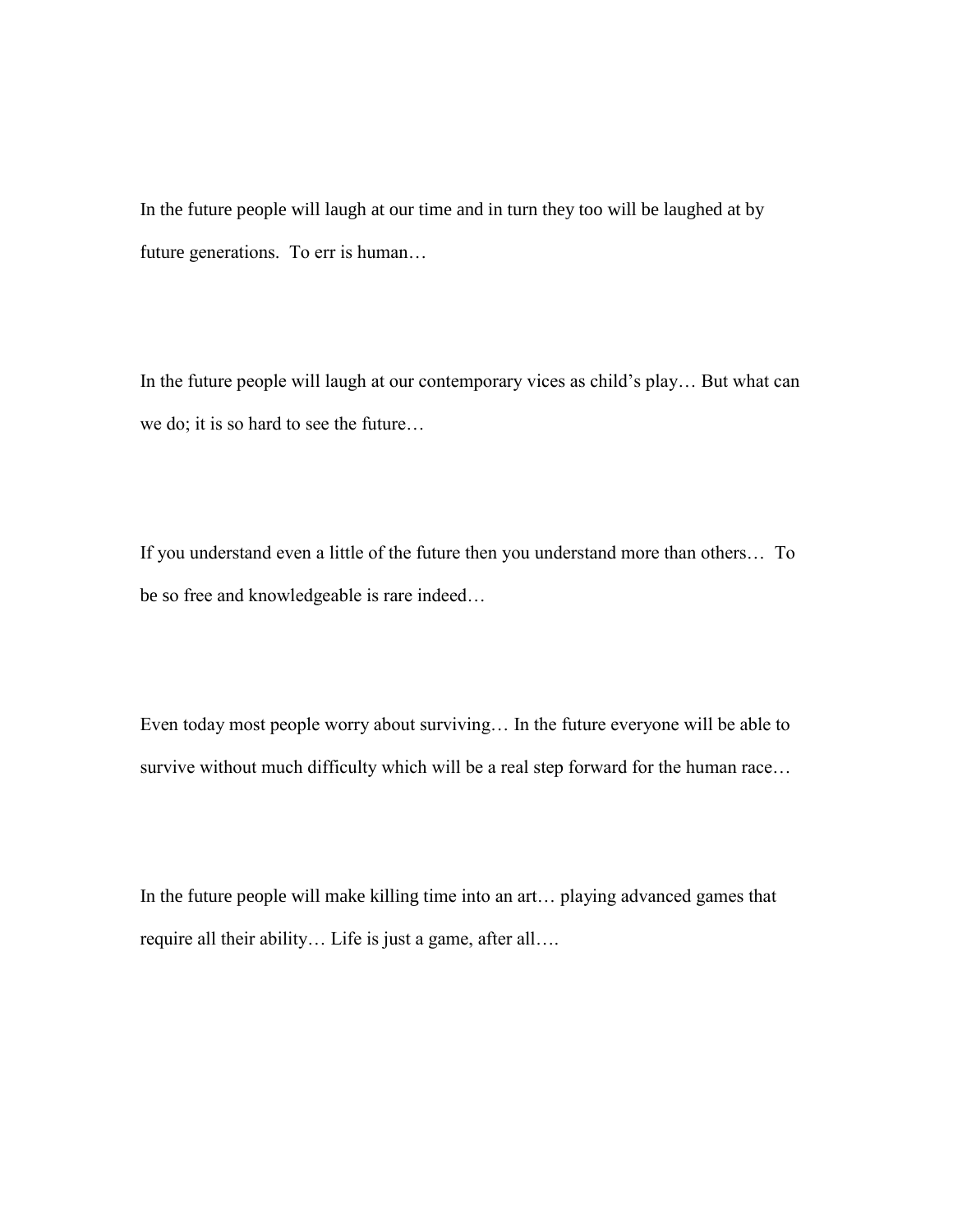In the future people will laugh at our time and in turn they too will be laughed at by future generations. To err is human…

In the future people will laugh at our contemporary vices as child's play… But what can we do; it is so hard to see the future…

If you understand even a little of the future then you understand more than others… To be so free and knowledgeable is rare indeed…

Even today most people worry about surviving… In the future everyone will be able to survive without much difficulty which will be a real step forward for the human race…

In the future people will make killing time into an art… playing advanced games that require all their ability… Life is just a game, after all….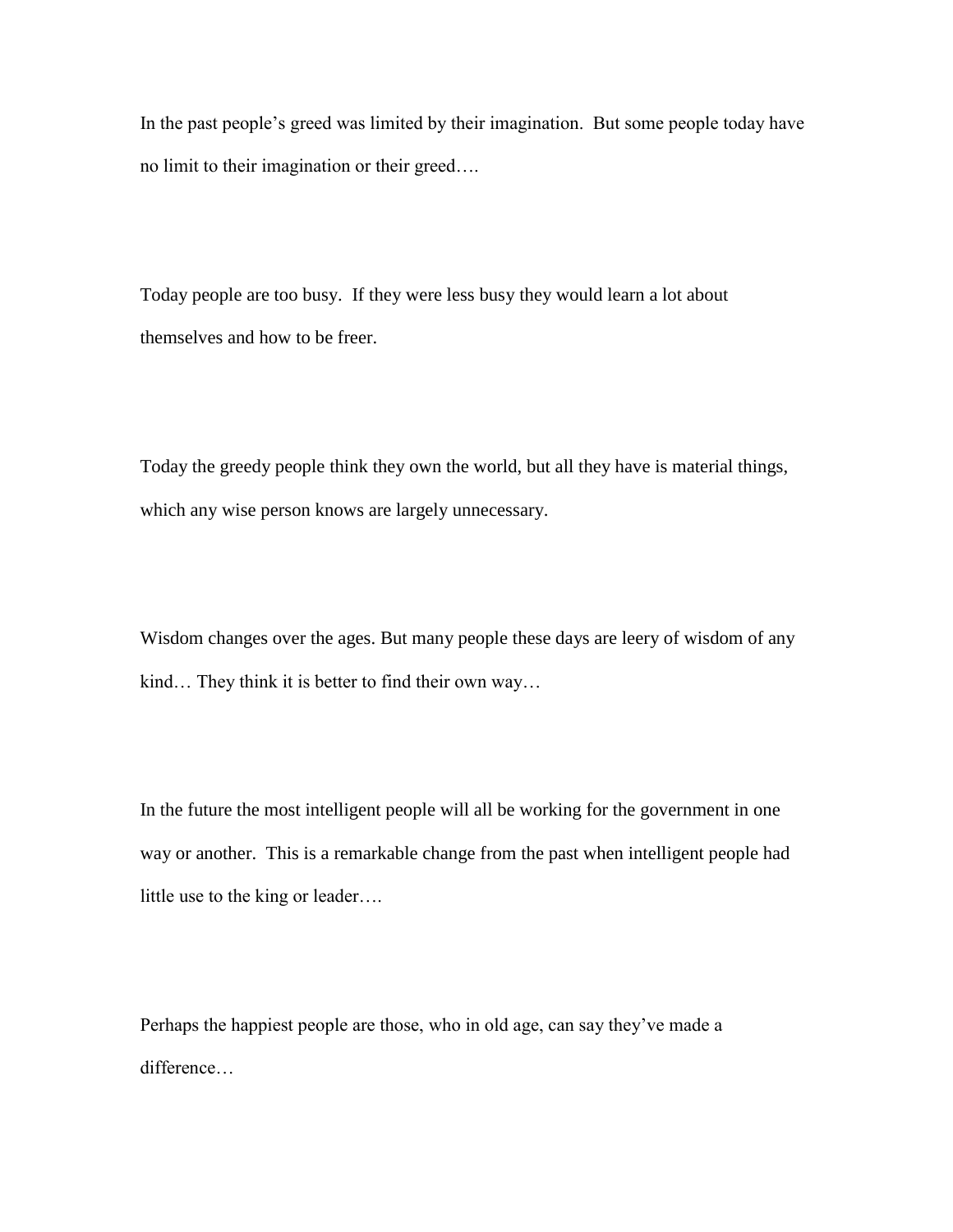In the past people's greed was limited by their imagination. But some people today have no limit to their imagination or their greed….

Today people are too busy. If they were less busy they would learn a lot about themselves and how to be freer.

Today the greedy people think they own the world, but all they have is material things, which any wise person knows are largely unnecessary.

Wisdom changes over the ages. But many people these days are leery of wisdom of any kind… They think it is better to find their own way…

In the future the most intelligent people will all be working for the government in one way or another. This is a remarkable change from the past when intelligent people had little use to the king or leader….

Perhaps the happiest people are those, who in old age, can say they've made a difference…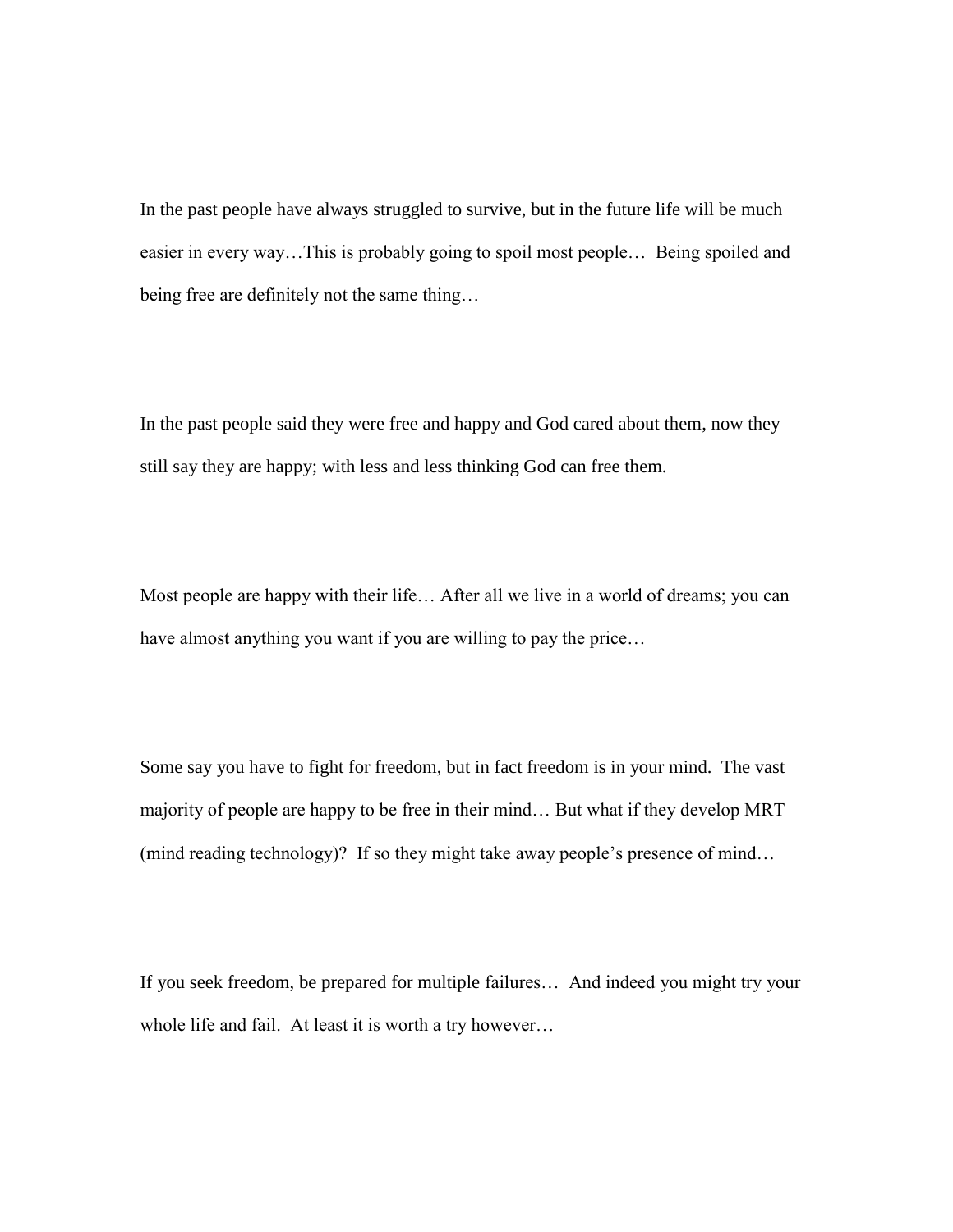In the past people have always struggled to survive, but in the future life will be much easier in every way…This is probably going to spoil most people… Being spoiled and being free are definitely not the same thing…

In the past people said they were free and happy and God cared about them, now they still say they are happy; with less and less thinking God can free them.

Most people are happy with their life… After all we live in a world of dreams; you can have almost anything you want if you are willing to pay the price…

Some say you have to fight for freedom, but in fact freedom is in your mind. The vast majority of people are happy to be free in their mind… But what if they develop MRT (mind reading technology)? If so they might take away people's presence of mind…

If you seek freedom, be prepared for multiple failures… And indeed you might try your whole life and fail. At least it is worth a try however…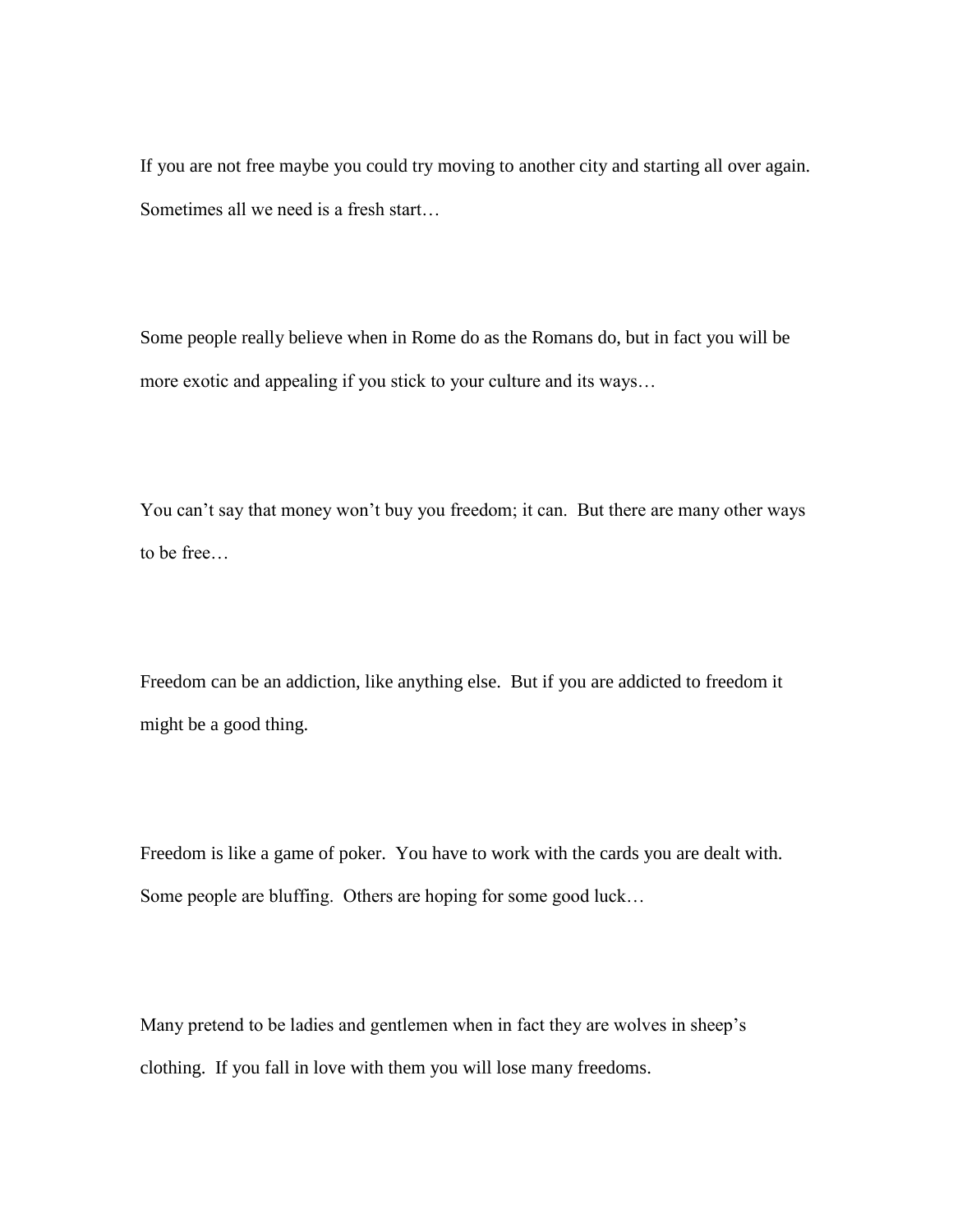If you are not free maybe you could try moving to another city and starting all over again. Sometimes all we need is a fresh start…

Some people really believe when in Rome do as the Romans do, but in fact you will be more exotic and appealing if you stick to your culture and its ways…

You can't say that money won't buy you freedom; it can. But there are many other ways to be free…

Freedom can be an addiction, like anything else. But if you are addicted to freedom it might be a good thing.

Freedom is like a game of poker. You have to work with the cards you are dealt with. Some people are bluffing. Others are hoping for some good luck…

Many pretend to be ladies and gentlemen when in fact they are wolves in sheep's clothing. If you fall in love with them you will lose many freedoms.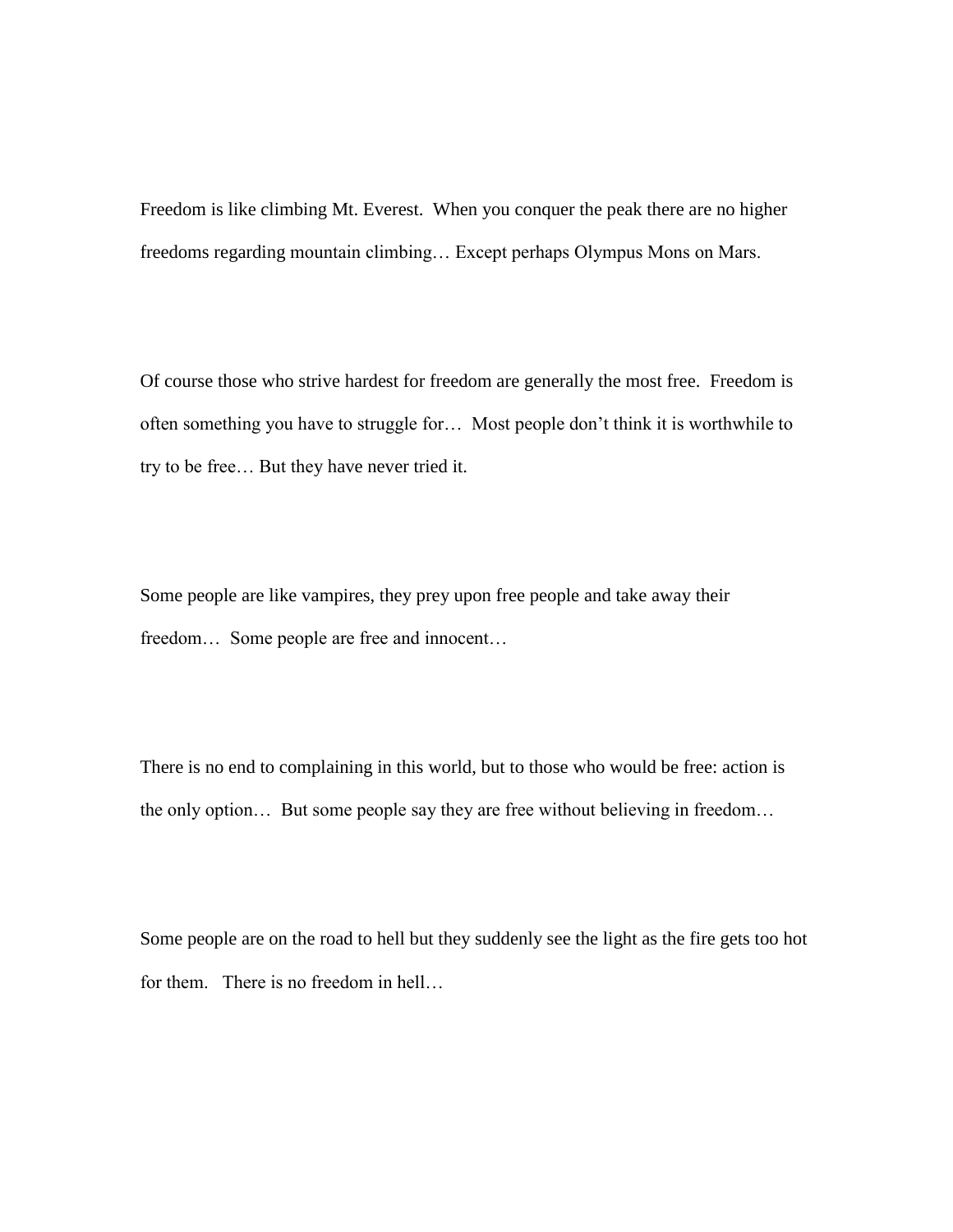Freedom is like climbing Mt. Everest. When you conquer the peak there are no higher freedoms regarding mountain climbing… Except perhaps Olympus Mons on Mars.

Of course those who strive hardest for freedom are generally the most free. Freedom is often something you have to struggle for… Most people don't think it is worthwhile to try to be free… But they have never tried it.

Some people are like vampires, they prey upon free people and take away their freedom… Some people are free and innocent…

There is no end to complaining in this world, but to those who would be free: action is the only option… But some people say they are free without believing in freedom…

Some people are on the road to hell but they suddenly see the light as the fire gets too hot for them. There is no freedom in hell…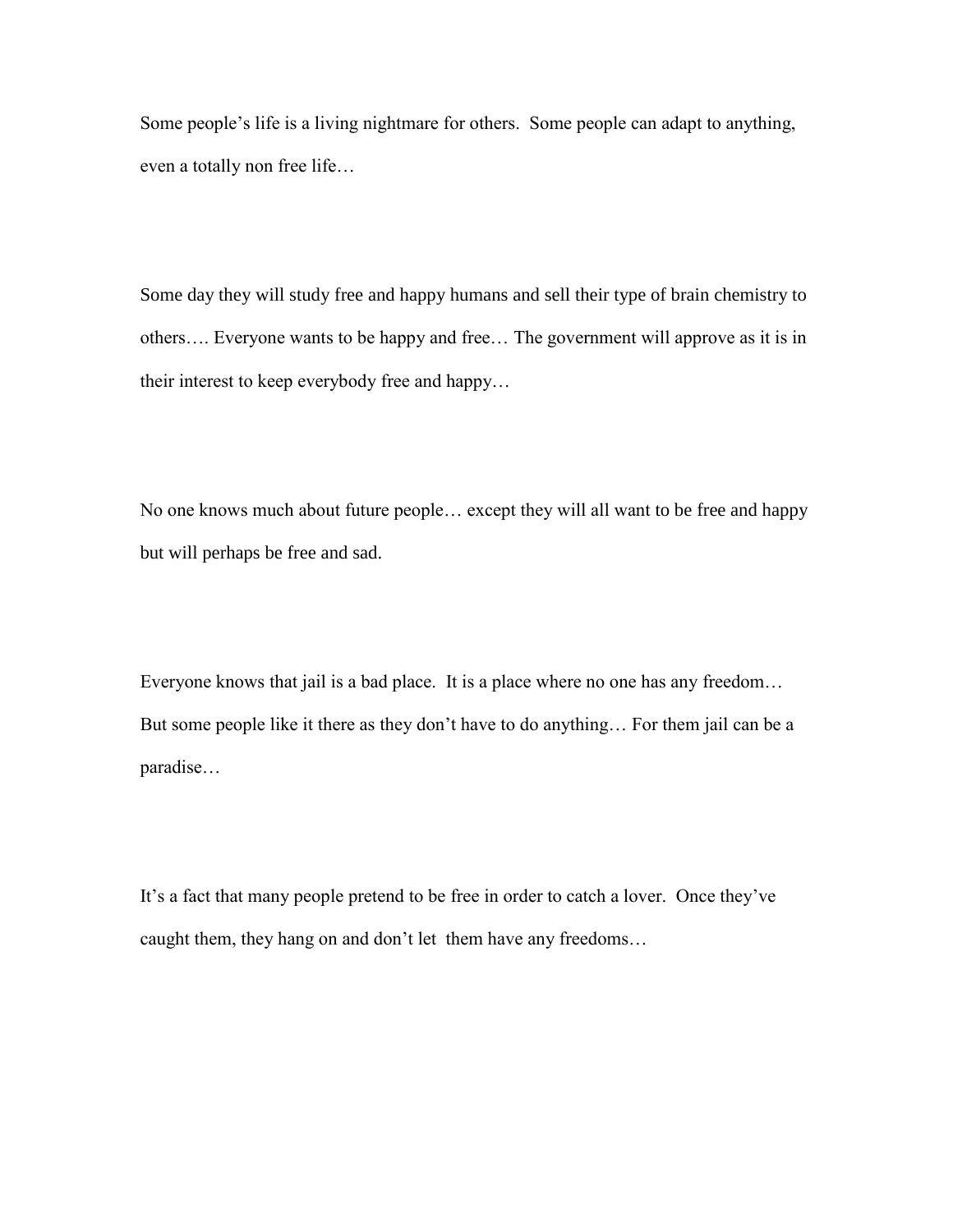Some people's life is a living nightmare for others. Some people can adapt to anything, even a totally non free life…

Some day they will study free and happy humans and sell their type of brain chemistry to others…. Everyone wants to be happy and free… The government will approve as it is in their interest to keep everybody free and happy…

No one knows much about future people… except they will all want to be free and happy but will perhaps be free and sad.

Everyone knows that jail is a bad place. It is a place where no one has any freedom… But some people like it there as they don't have to do anything… For them jail can be a paradise…

It's a fact that many people pretend to be free in order to catch a lover. Once they've caught them, they hang on and don't let them have any freedoms…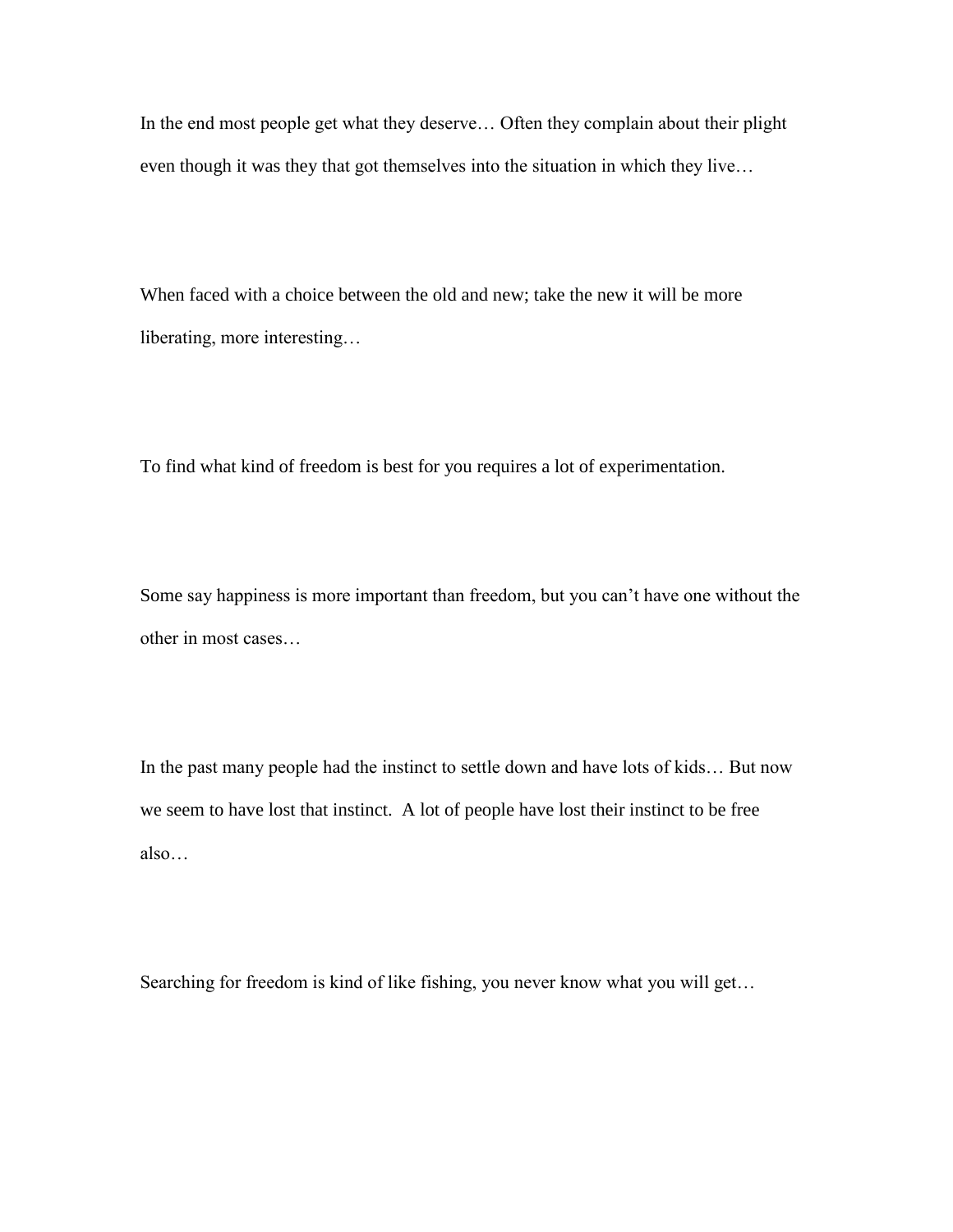In the end most people get what they deserve… Often they complain about their plight even though it was they that got themselves into the situation in which they live…

When faced with a choice between the old and new; take the new it will be more liberating, more interesting…

To find what kind of freedom is best for you requires a lot of experimentation.

Some say happiness is more important than freedom, but you can't have one without the other in most cases…

In the past many people had the instinct to settle down and have lots of kids… But now we seem to have lost that instinct. A lot of people have lost their instinct to be free also…

Searching for freedom is kind of like fishing, you never know what you will get…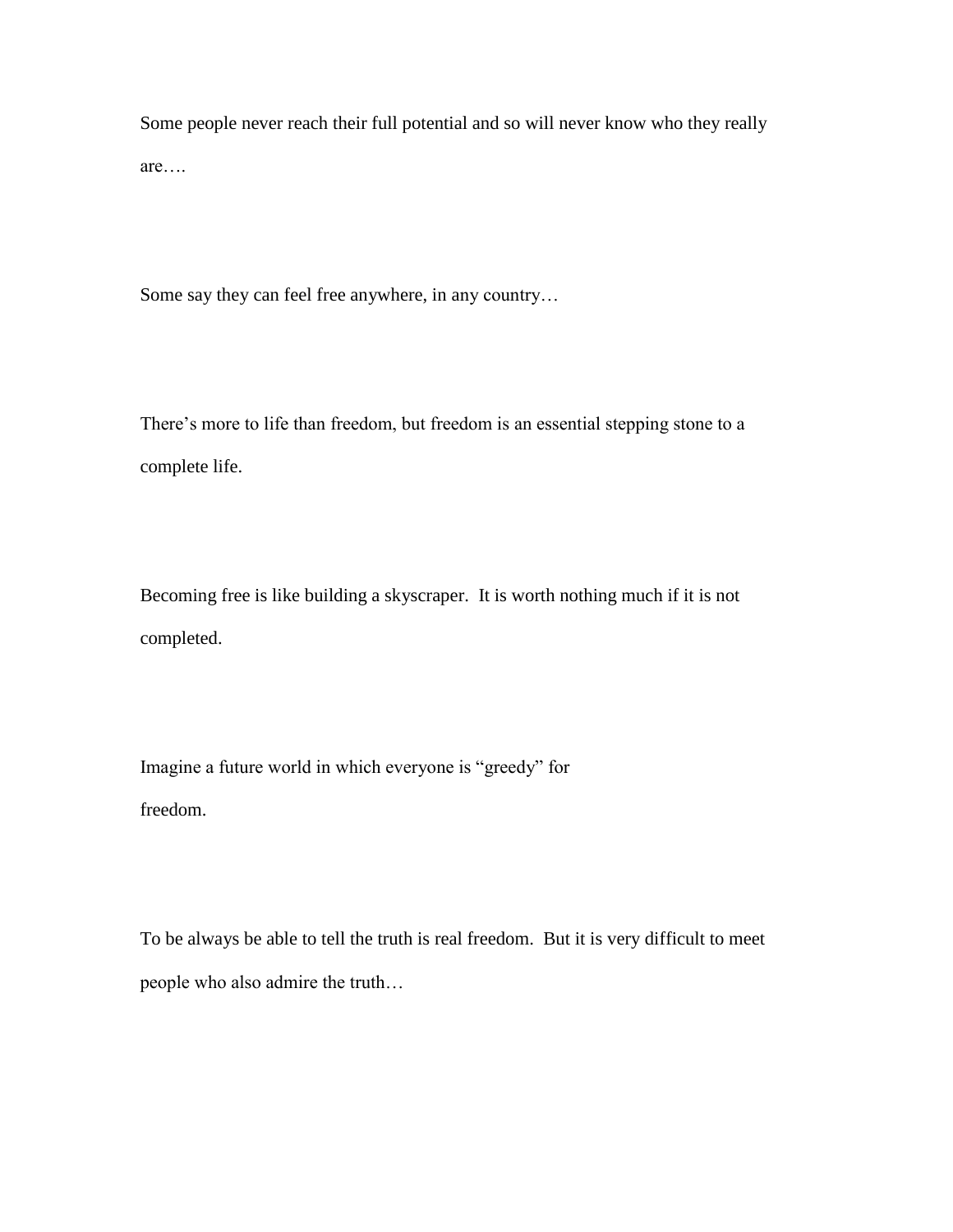Some people never reach their full potential and so will never know who they really are….

Some say they can feel free anywhere, in any country…

There's more to life than freedom, but freedom is an essential stepping stone to a complete life.

Becoming free is like building a skyscraper. It is worth nothing much if it is not completed.

Imagine a future world in which everyone is "greedy" for freedom.

To be always be able to tell the truth is real freedom. But it is very difficult to meet people who also admire the truth…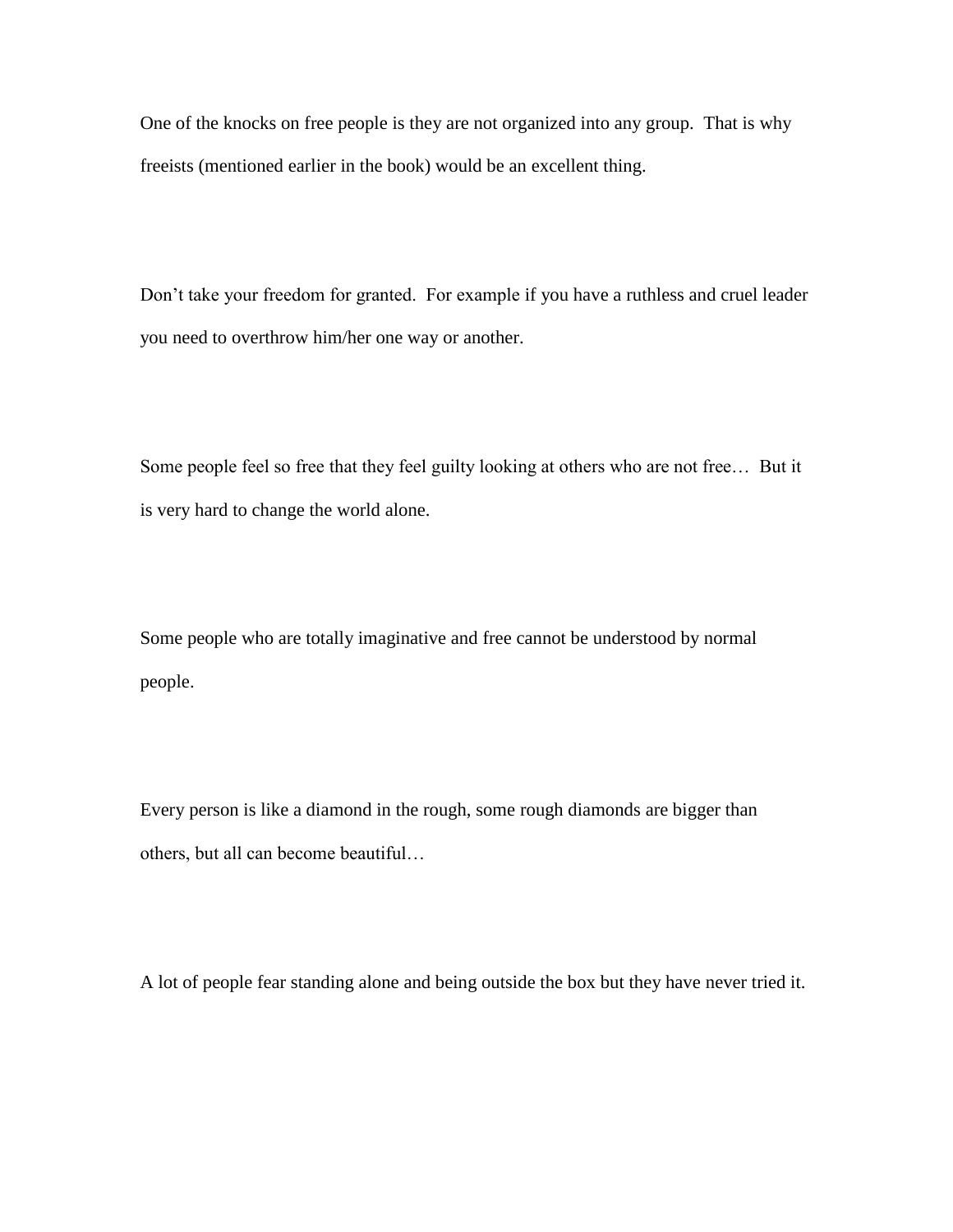One of the knocks on free people is they are not organized into any group. That is why freeists (mentioned earlier in the book) would be an excellent thing.

Don't take your freedom for granted. For example if you have a ruthless and cruel leader you need to overthrow him/her one way or another.

Some people feel so free that they feel guilty looking at others who are not free… But it is very hard to change the world alone.

Some people who are totally imaginative and free cannot be understood by normal people.

Every person is like a diamond in the rough, some rough diamonds are bigger than others, but all can become beautiful…

A lot of people fear standing alone and being outside the box but they have never tried it.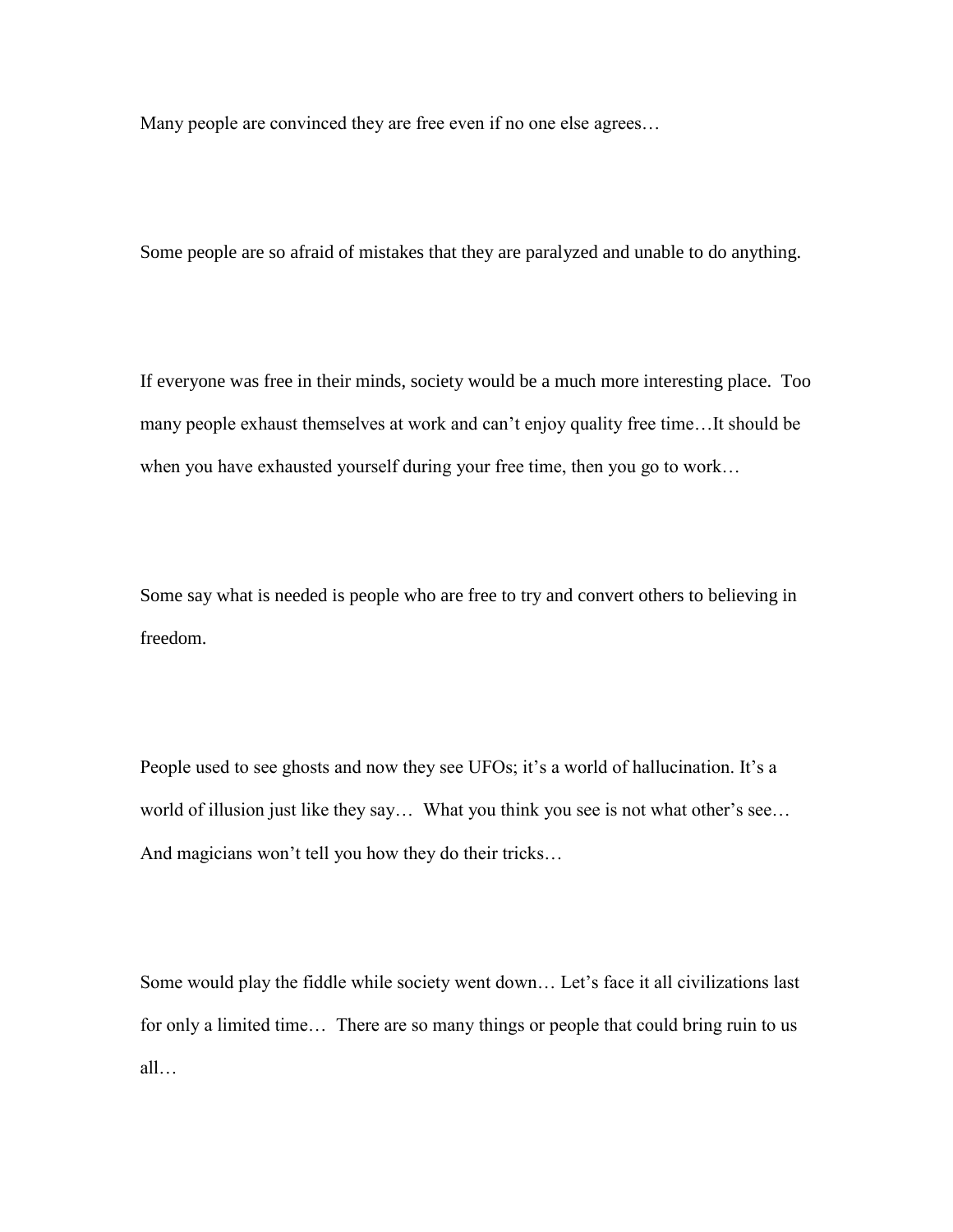Many people are convinced they are free even if no one else agrees…

Some people are so afraid of mistakes that they are paralyzed and unable to do anything.

If everyone was free in their minds, society would be a much more interesting place. Too many people exhaust themselves at work and can't enjoy quality free time…It should be when you have exhausted yourself during your free time, then you go to work…

Some say what is needed is people who are free to try and convert others to believing in freedom.

People used to see ghosts and now they see UFOs; it's a world of hallucination. It's a world of illusion just like they say… What you think you see is not what other's see… And magicians won't tell you how they do their tricks…

Some would play the fiddle while society went down… Let's face it all civilizations last for only a limited time… There are so many things or people that could bring ruin to us all…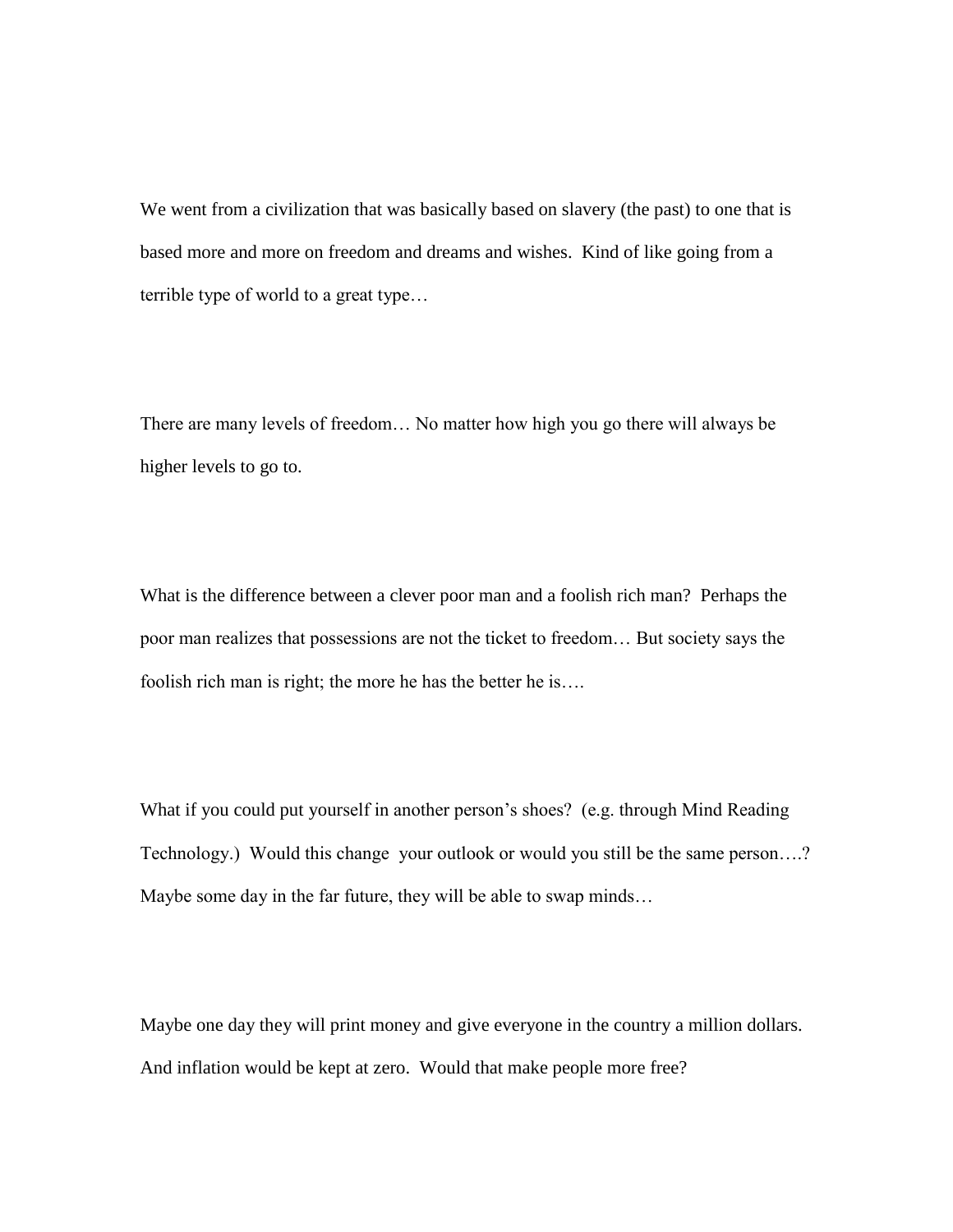We went from a civilization that was basically based on slavery (the past) to one that is based more and more on freedom and dreams and wishes. Kind of like going from a terrible type of world to a great type…

There are many levels of freedom… No matter how high you go there will always be higher levels to go to.

What is the difference between a clever poor man and a foolish rich man? Perhaps the poor man realizes that possessions are not the ticket to freedom… But society says the foolish rich man is right; the more he has the better he is….

What if you could put yourself in another person's shoes? (e.g. through Mind Reading Technology.) Would this change your outlook or would you still be the same person….? Maybe some day in the far future, they will be able to swap minds…

Maybe one day they will print money and give everyone in the country a million dollars. And inflation would be kept at zero. Would that make people more free?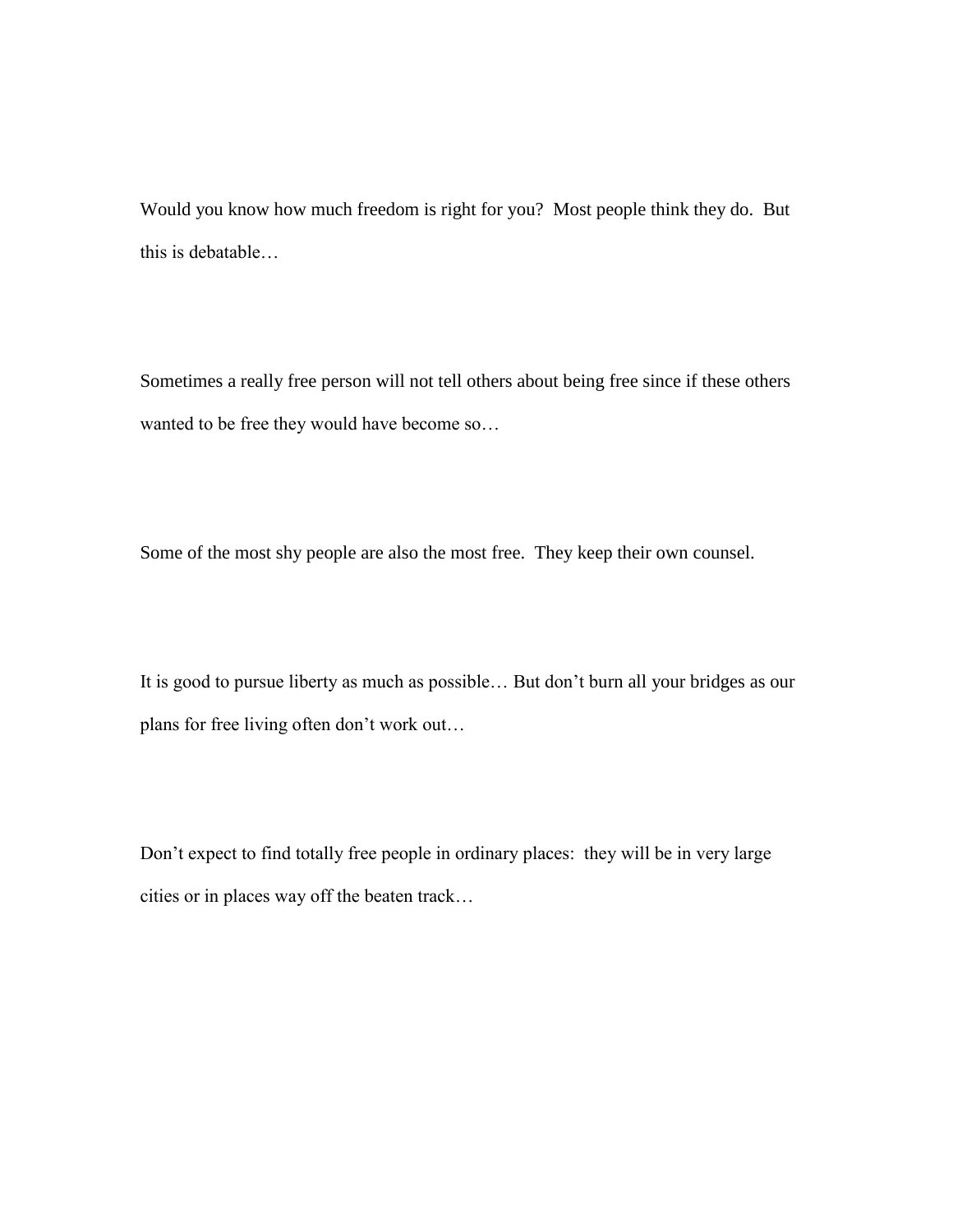Would you know how much freedom is right for you? Most people think they do. But this is debatable…

Sometimes a really free person will not tell others about being free since if these others wanted to be free they would have become so…

Some of the most shy people are also the most free. They keep their own counsel.

It is good to pursue liberty as much as possible… But don't burn all your bridges as our plans for free living often don't work out…

Don't expect to find totally free people in ordinary places: they will be in very large cities or in places way off the beaten track…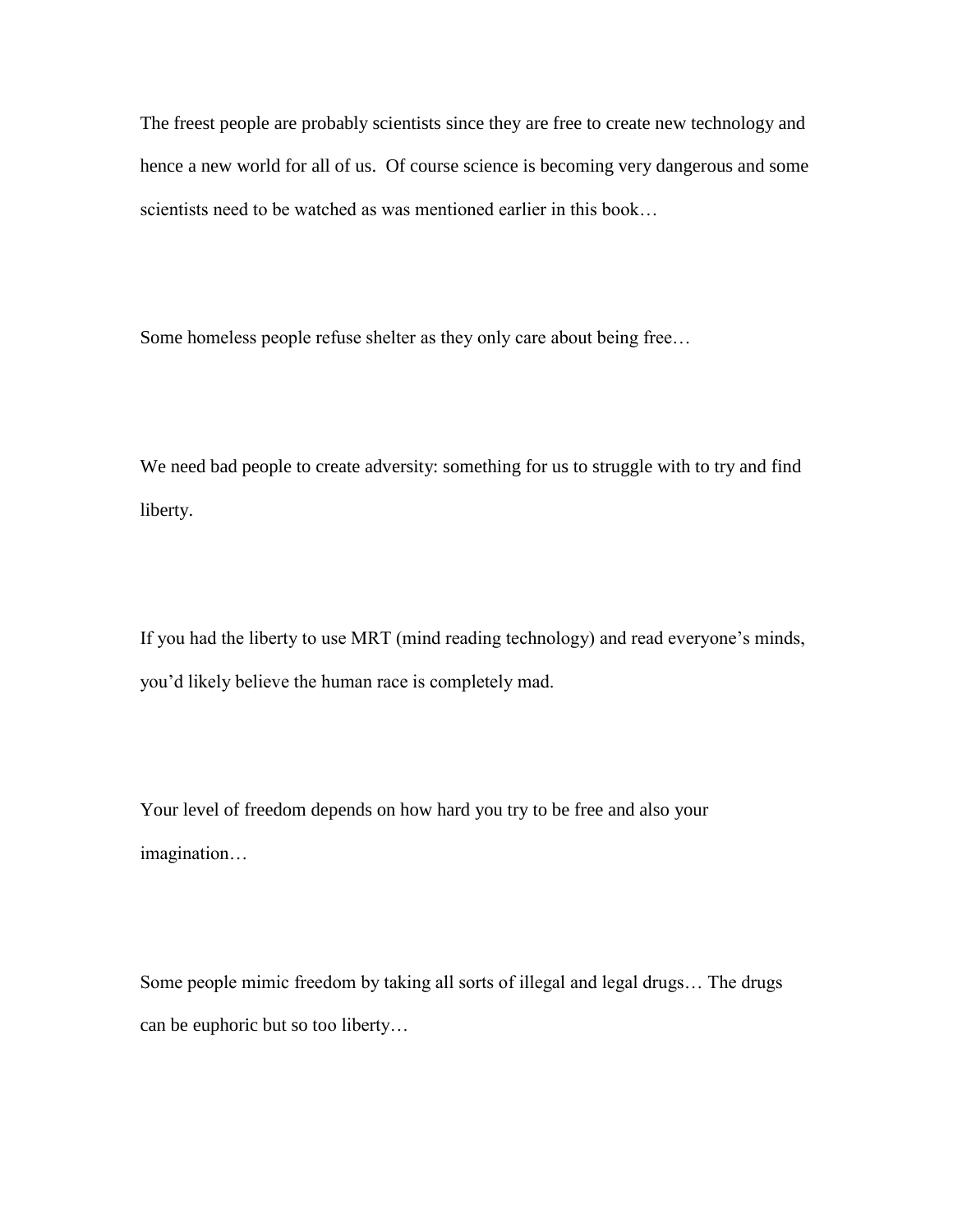The freest people are probably scientists since they are free to create new technology and hence a new world for all of us. Of course science is becoming very dangerous and some scientists need to be watched as was mentioned earlier in this book…

Some homeless people refuse shelter as they only care about being free…

We need bad people to create adversity: something for us to struggle with to try and find liberty.

If you had the liberty to use MRT (mind reading technology) and read everyone's minds, you'd likely believe the human race is completely mad.

Your level of freedom depends on how hard you try to be free and also your imagination…

Some people mimic freedom by taking all sorts of illegal and legal drugs… The drugs can be euphoric but so too liberty…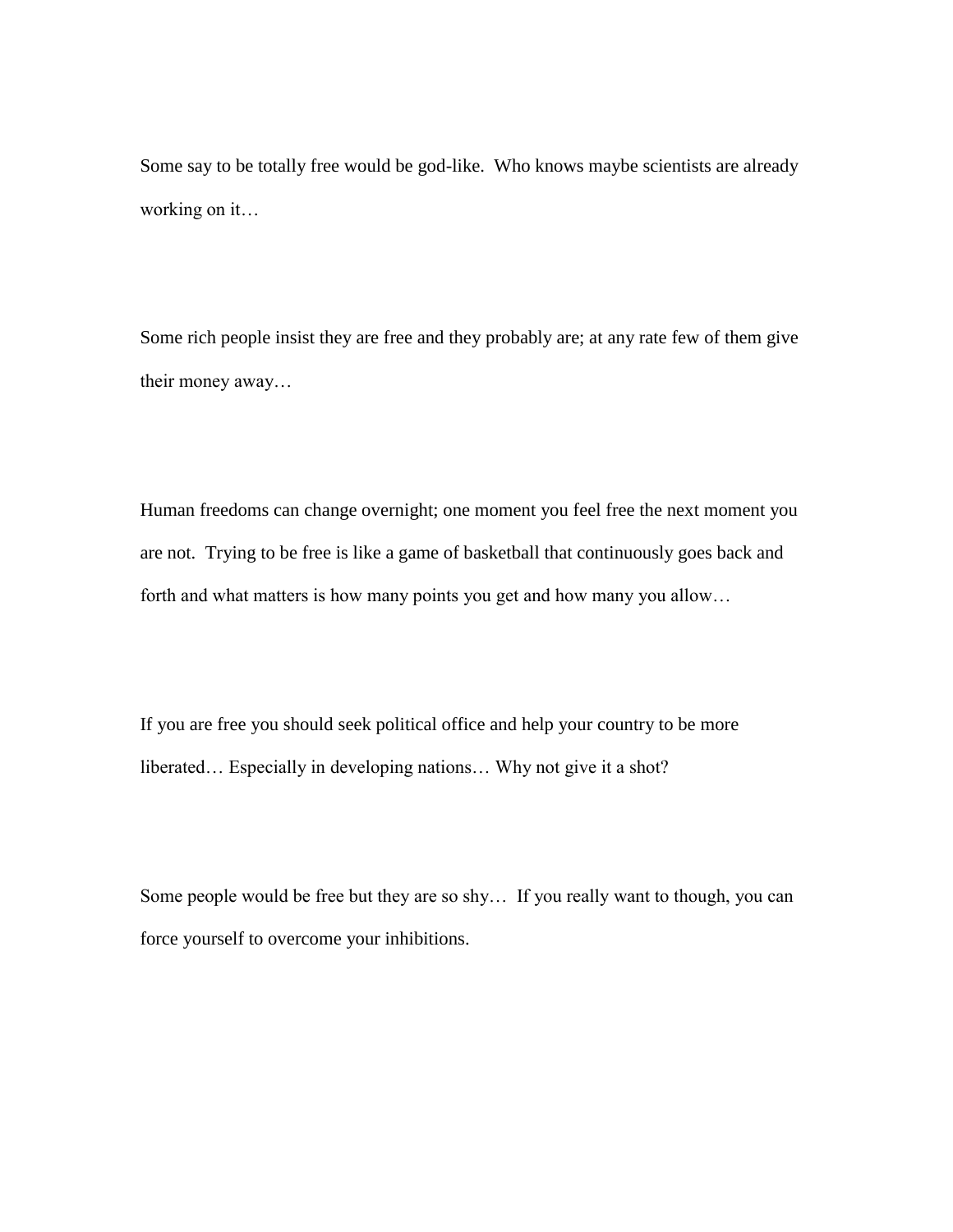Some say to be totally free would be god-like. Who knows maybe scientists are already working on it…

Some rich people insist they are free and they probably are; at any rate few of them give their money away…

Human freedoms can change overnight; one moment you feel free the next moment you are not. Trying to be free is like a game of basketball that continuously goes back and forth and what matters is how many points you get and how many you allow…

If you are free you should seek political office and help your country to be more liberated… Especially in developing nations… Why not give it a shot?

Some people would be free but they are so shy… If you really want to though, you can force yourself to overcome your inhibitions.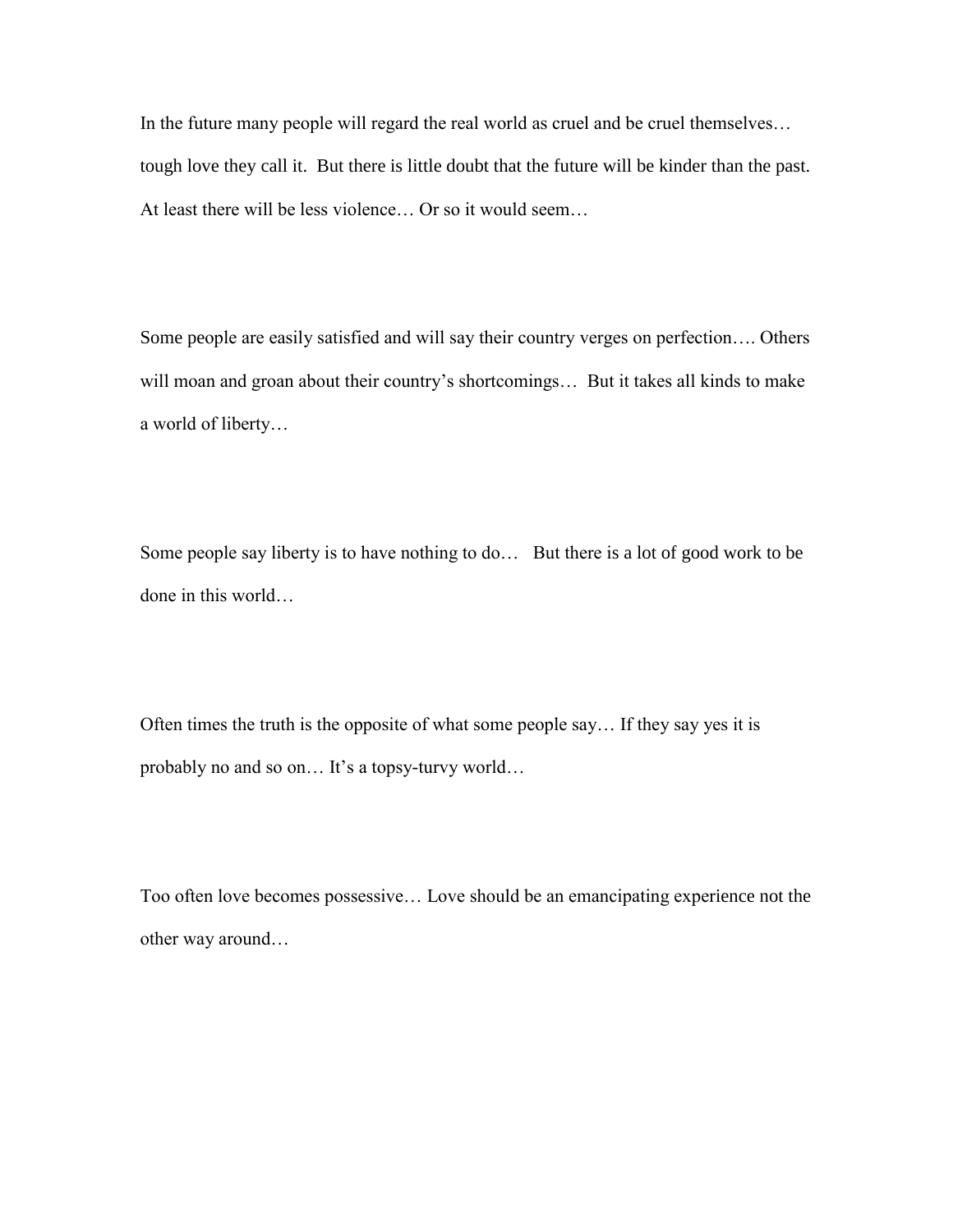In the future many people will regard the real world as cruel and be cruel themselves… tough love they call it. But there is little doubt that the future will be kinder than the past. At least there will be less violence… Or so it would seem…

Some people are easily satisfied and will say their country verges on perfection…. Others will moan and groan about their country's shortcomings... But it takes all kinds to make a world of liberty…

Some people say liberty is to have nothing to do... But there is a lot of good work to be done in this world…

Often times the truth is the opposite of what some people say… If they say yes it is probably no and so on… It's a topsy-turvy world…

Too often love becomes possessive… Love should be an emancipating experience not the other way around…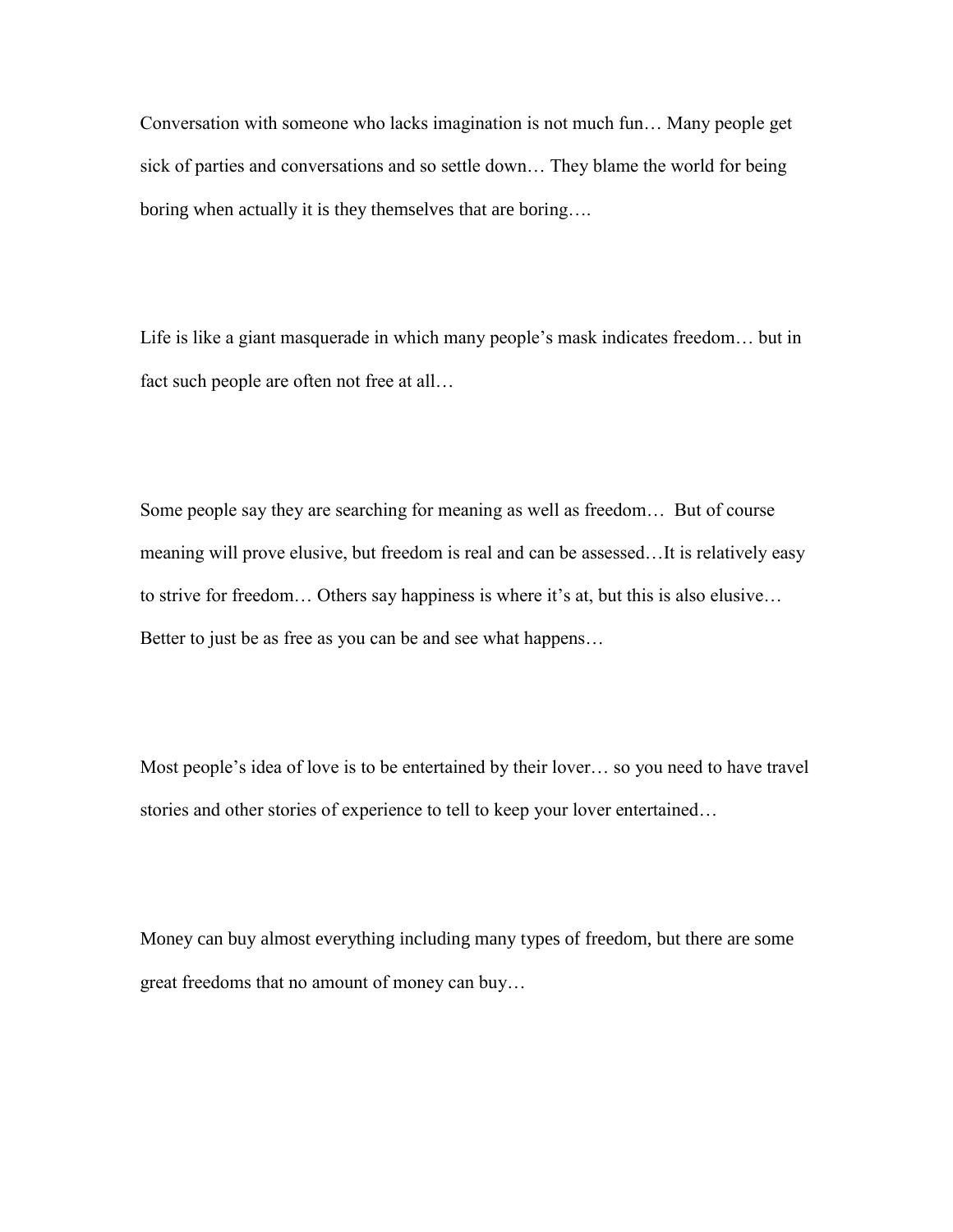Conversation with someone who lacks imagination is not much fun… Many people get sick of parties and conversations and so settle down… They blame the world for being boring when actually it is they themselves that are boring….

Life is like a giant masquerade in which many people's mask indicates freedom… but in fact such people are often not free at all…

Some people say they are searching for meaning as well as freedom… But of course meaning will prove elusive, but freedom is real and can be assessed…It is relatively easy to strive for freedom… Others say happiness is where it's at, but this is also elusive… Better to just be as free as you can be and see what happens…

Most people's idea of love is to be entertained by their lover... so you need to have travel stories and other stories of experience to tell to keep your lover entertained…

Money can buy almost everything including many types of freedom, but there are some great freedoms that no amount of money can buy…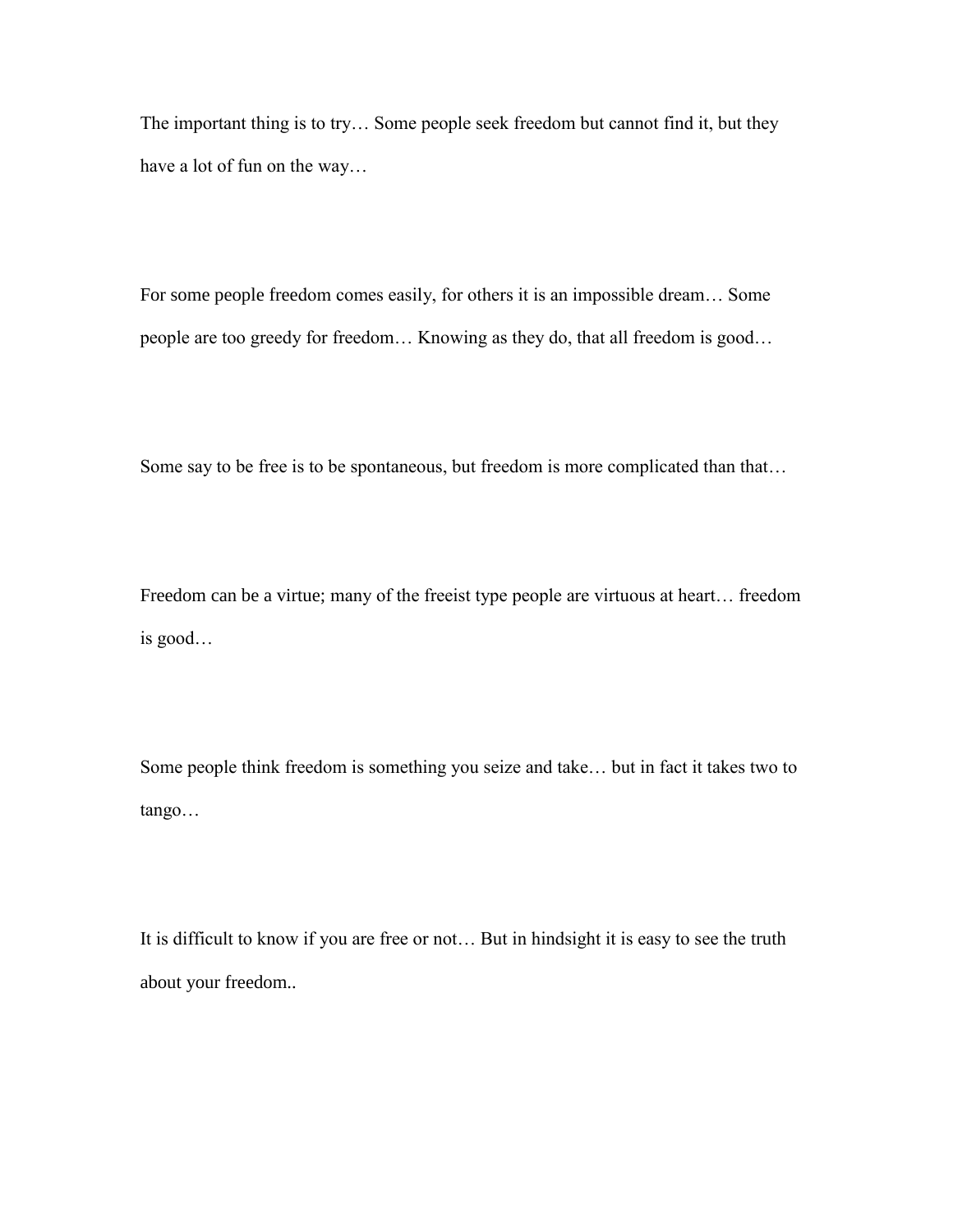The important thing is to try… Some people seek freedom but cannot find it, but they have a lot of fun on the way…

For some people freedom comes easily, for others it is an impossible dream… Some people are too greedy for freedom… Knowing as they do, that all freedom is good…

Some say to be free is to be spontaneous, but freedom is more complicated than that…

Freedom can be a virtue; many of the freeist type people are virtuous at heart… freedom is good…

Some people think freedom is something you seize and take… but in fact it takes two to tango…

It is difficult to know if you are free or not… But in hindsight it is easy to see the truth about your freedom..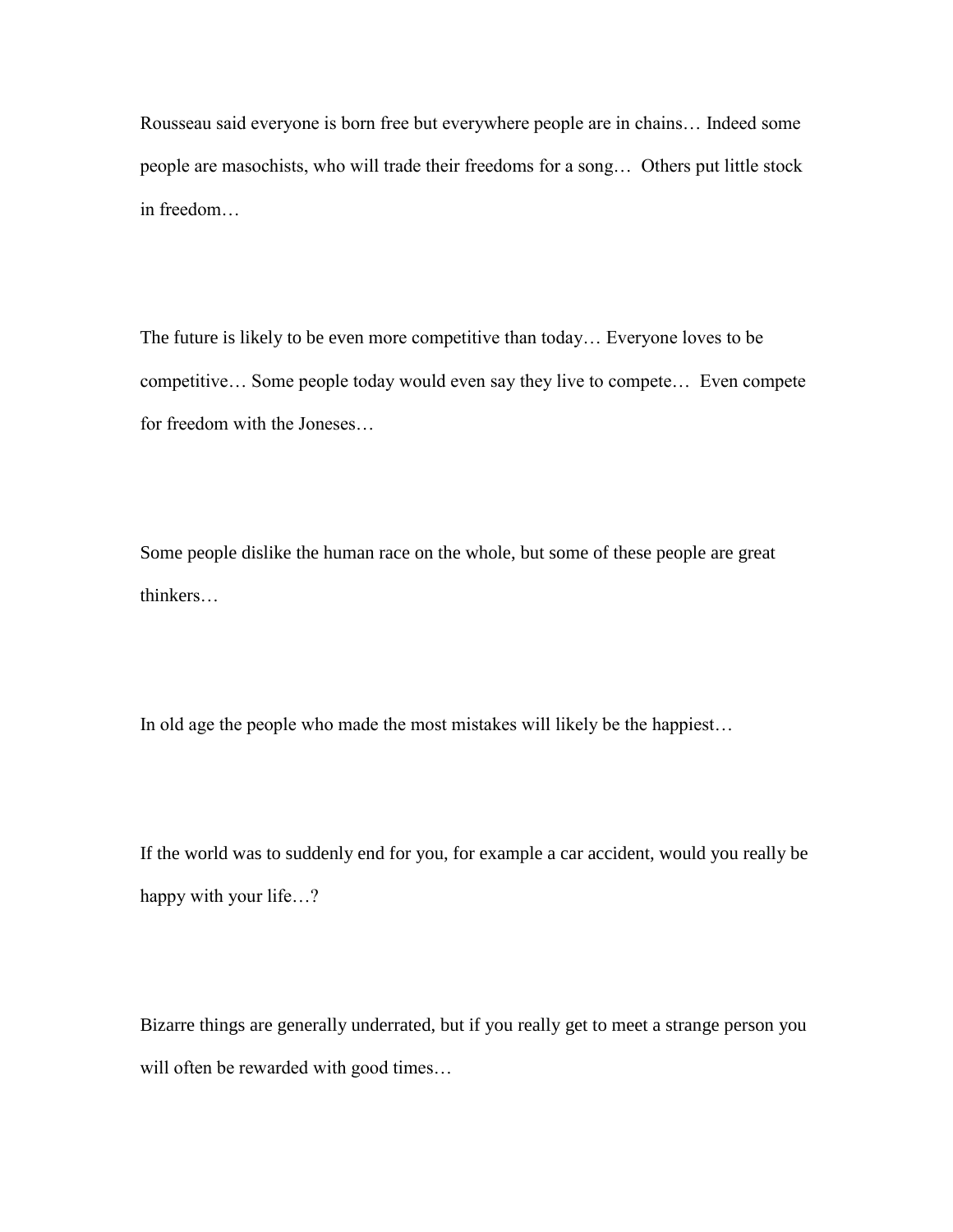Rousseau said everyone is born free but everywhere people are in chains… Indeed some people are masochists, who will trade their freedoms for a song… Others put little stock in freedom…

The future is likely to be even more competitive than today… Everyone loves to be competitive… Some people today would even say they live to compete… Even compete for freedom with the Joneses…

Some people dislike the human race on the whole, but some of these people are great thinkers…

In old age the people who made the most mistakes will likely be the happiest…

If the world was to suddenly end for you, for example a car accident, would you really be happy with your life...?

Bizarre things are generally underrated, but if you really get to meet a strange person you will often be rewarded with good times…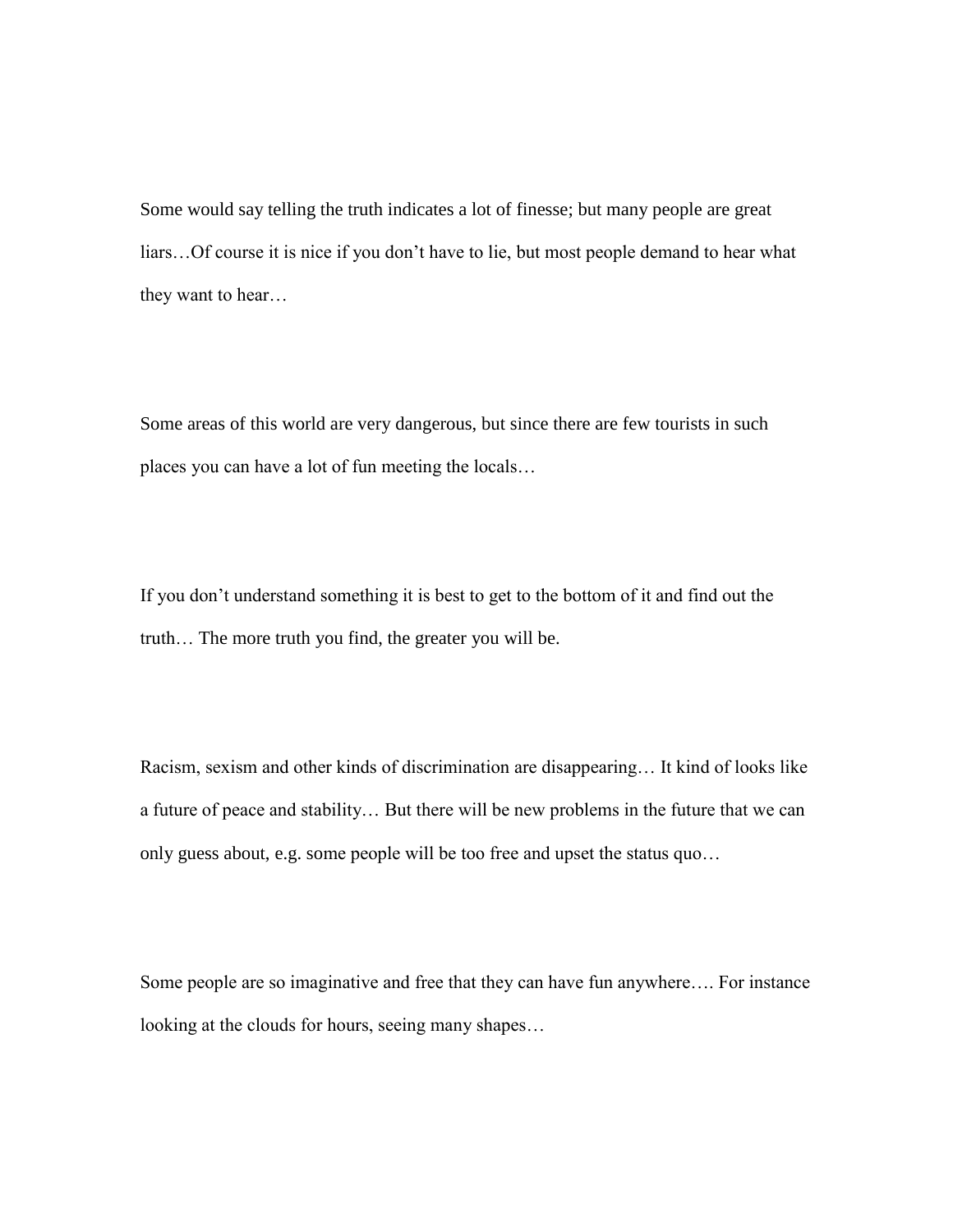Some would say telling the truth indicates a lot of finesse; but many people are great liars…Of course it is nice if you don't have to lie, but most people demand to hear what they want to hear…

Some areas of this world are very dangerous, but since there are few tourists in such places you can have a lot of fun meeting the locals…

If you don't understand something it is best to get to the bottom of it and find out the truth… The more truth you find, the greater you will be.

Racism, sexism and other kinds of discrimination are disappearing… It kind of looks like a future of peace and stability… But there will be new problems in the future that we can only guess about, e.g. some people will be too free and upset the status quo…

Some people are so imaginative and free that they can have fun anywhere…. For instance looking at the clouds for hours, seeing many shapes…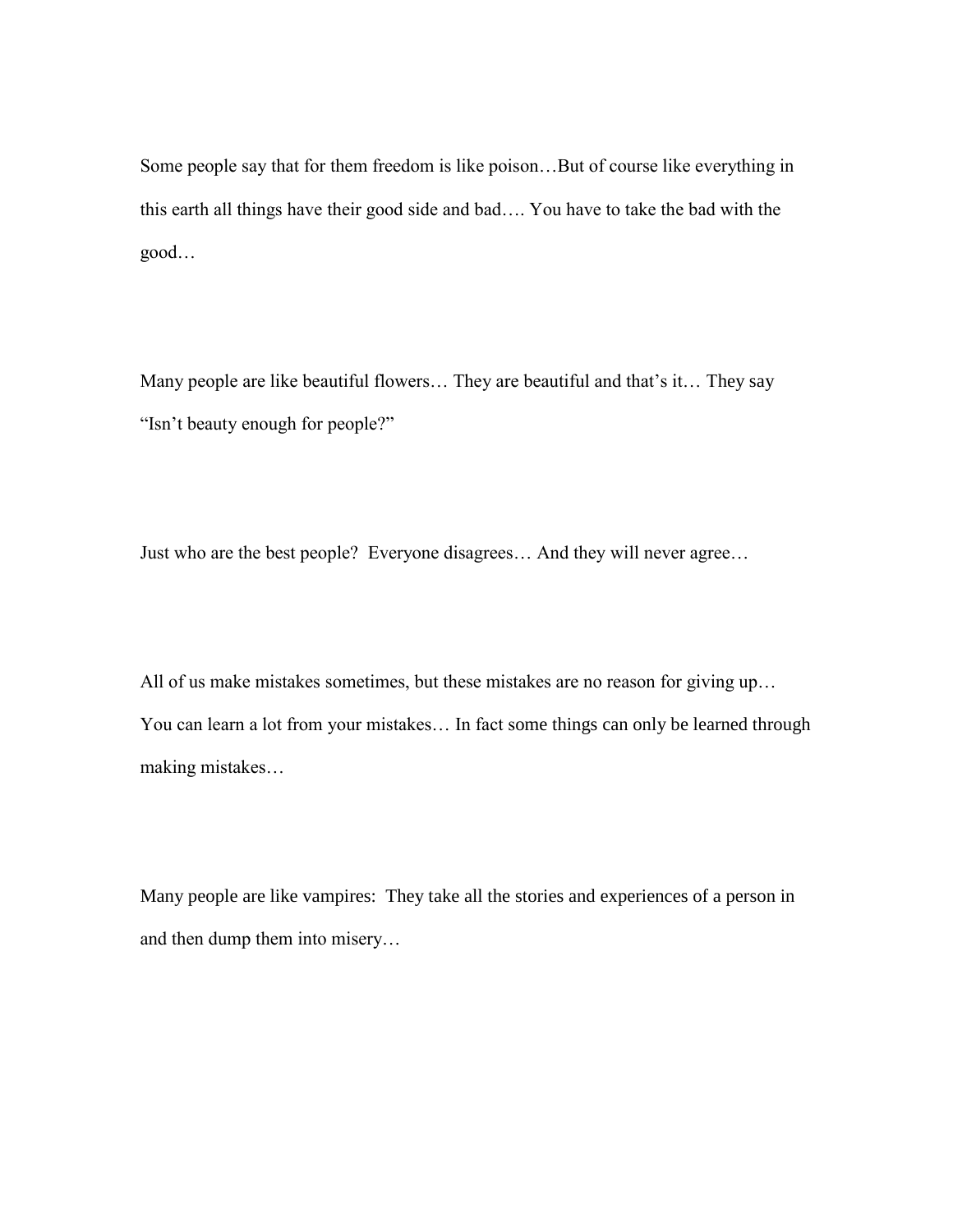Some people say that for them freedom is like poison…But of course like everything in this earth all things have their good side and bad…. You have to take the bad with the good…

Many people are like beautiful flowers… They are beautiful and that's it… They say "Isn't beauty enough for people?"

Just who are the best people? Everyone disagrees… And they will never agree…

All of us make mistakes sometimes, but these mistakes are no reason for giving up… You can learn a lot from your mistakes… In fact some things can only be learned through making mistakes…

Many people are like vampires: They take all the stories and experiences of a person in and then dump them into misery…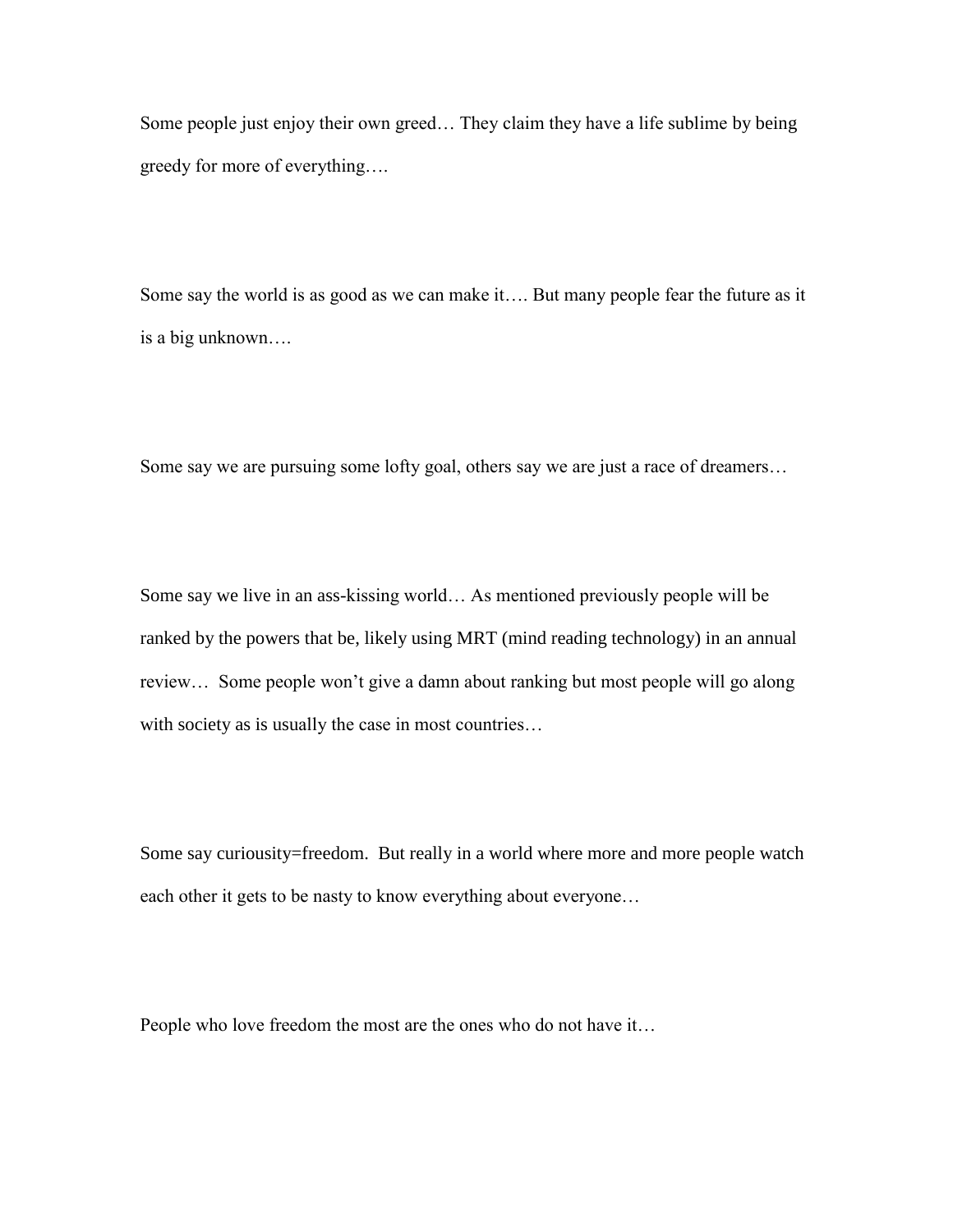Some people just enjoy their own greed… They claim they have a life sublime by being greedy for more of everything….

Some say the world is as good as we can make it…. But many people fear the future as it is a big unknown….

Some say we are pursuing some lofty goal, others say we are just a race of dreamers…

Some say we live in an ass-kissing world… As mentioned previously people will be ranked by the powers that be, likely using MRT (mind reading technology) in an annual review… Some people won't give a damn about ranking but most people will go along with society as is usually the case in most countries...

Some say curiousity=freedom. But really in a world where more and more people watch each other it gets to be nasty to know everything about everyone…

People who love freedom the most are the ones who do not have it…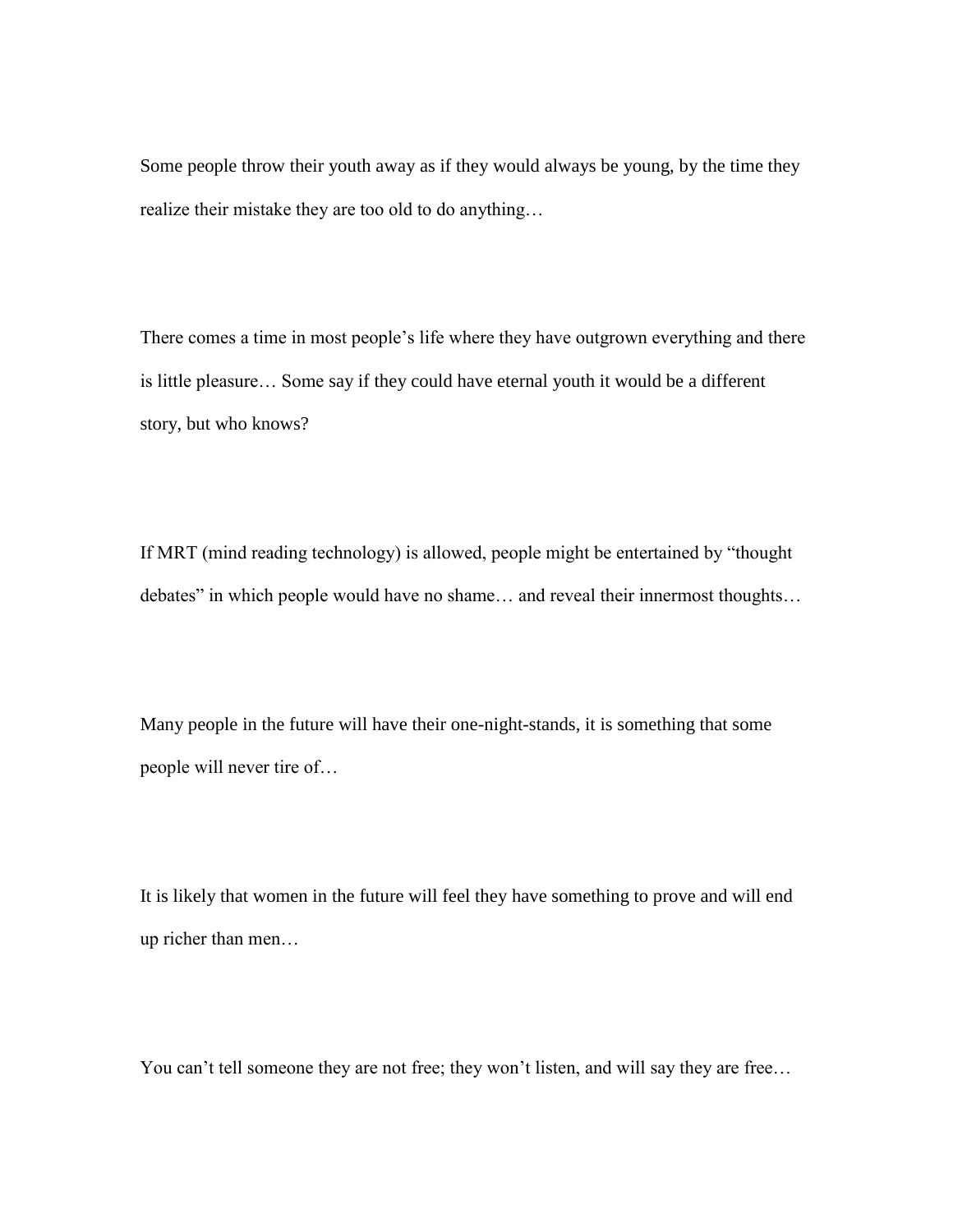Some people throw their youth away as if they would always be young, by the time they realize their mistake they are too old to do anything…

There comes a time in most people's life where they have outgrown everything and there is little pleasure… Some say if they could have eternal youth it would be a different story, but who knows?

If MRT (mind reading technology) is allowed, people might be entertained by "thought debates" in which people would have no shame… and reveal their innermost thoughts…

Many people in the future will have their one-night-stands, it is something that some people will never tire of…

It is likely that women in the future will feel they have something to prove and will end up richer than men…

You can't tell someone they are not free; they won't listen, and will say they are free…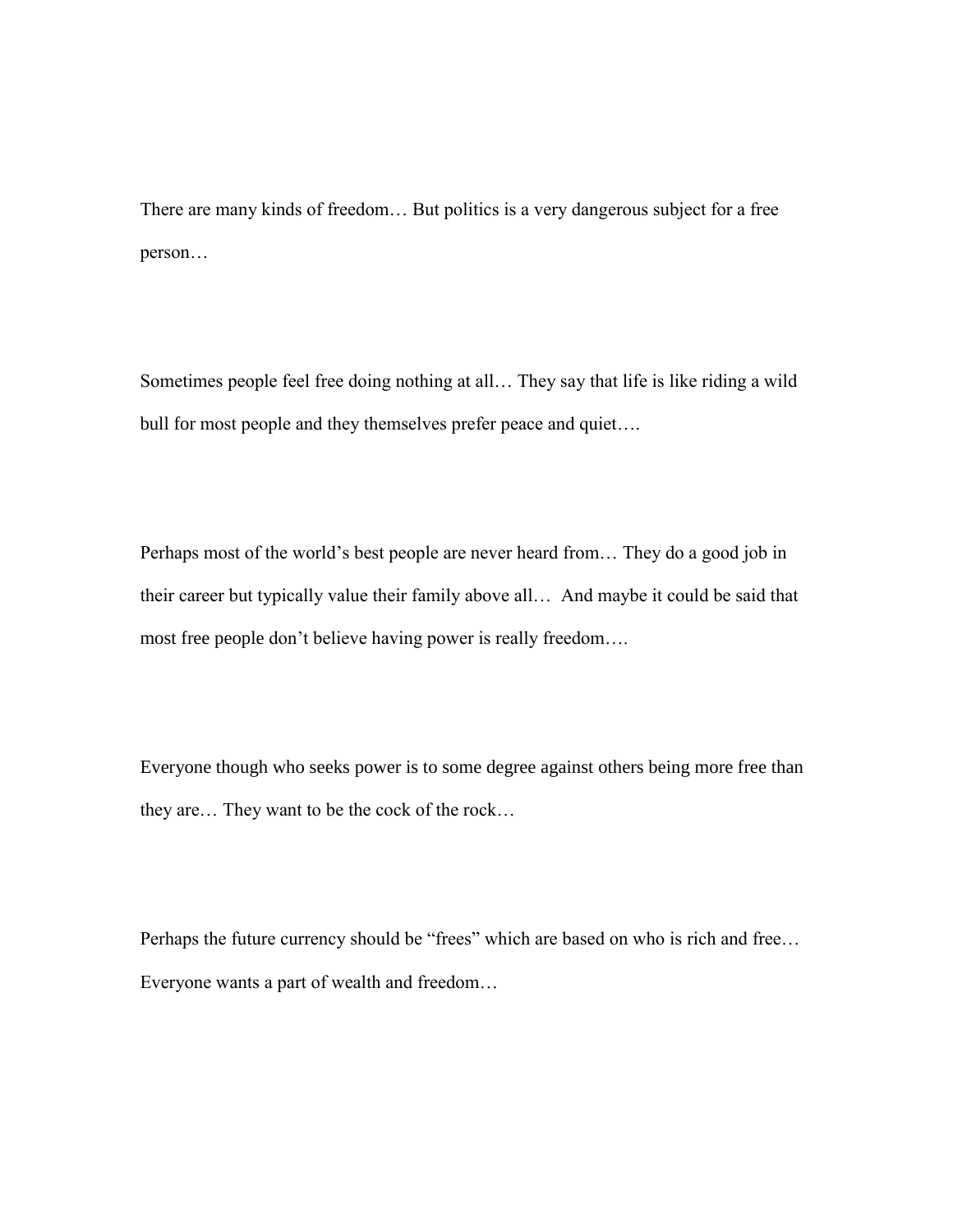There are many kinds of freedom… But politics is a very dangerous subject for a free person…

Sometimes people feel free doing nothing at all… They say that life is like riding a wild bull for most people and they themselves prefer peace and quiet....

Perhaps most of the world's best people are never heard from… They do a good job in their career but typically value their family above all… And maybe it could be said that most free people don't believe having power is really freedom….

Everyone though who seeks power is to some degree against others being more free than they are… They want to be the cock of the rock…

Perhaps the future currency should be "frees" which are based on who is rich and free… Everyone wants a part of wealth and freedom…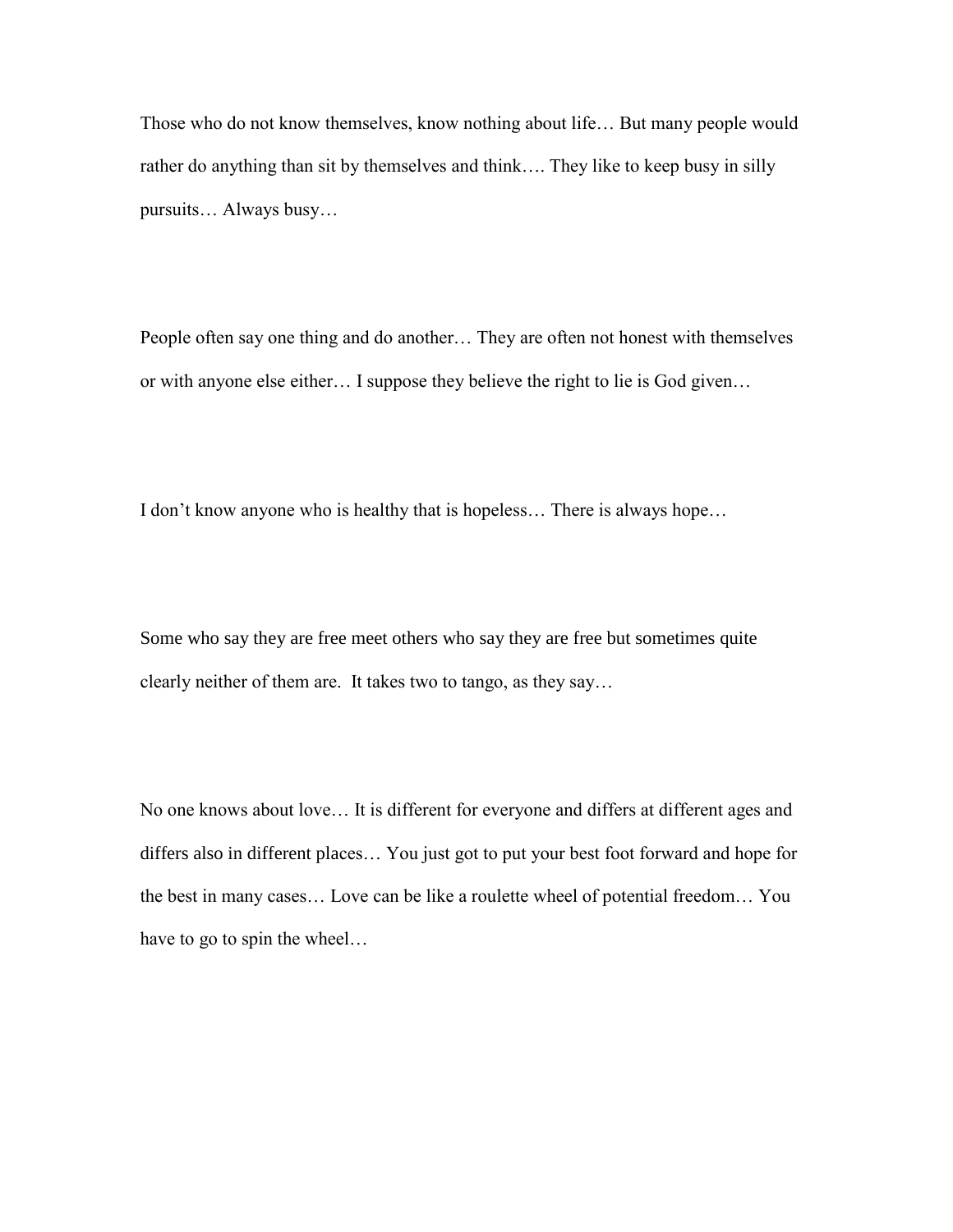Those who do not know themselves, know nothing about life… But many people would rather do anything than sit by themselves and think…. They like to keep busy in silly pursuits… Always busy…

People often say one thing and do another… They are often not honest with themselves or with anyone else either… I suppose they believe the right to lie is God given…

I don't know anyone who is healthy that is hopeless… There is always hope…

Some who say they are free meet others who say they are free but sometimes quite clearly neither of them are. It takes two to tango, as they say…

No one knows about love… It is different for everyone and differs at different ages and differs also in different places… You just got to put your best foot forward and hope for the best in many cases… Love can be like a roulette wheel of potential freedom… You have to go to spin the wheel…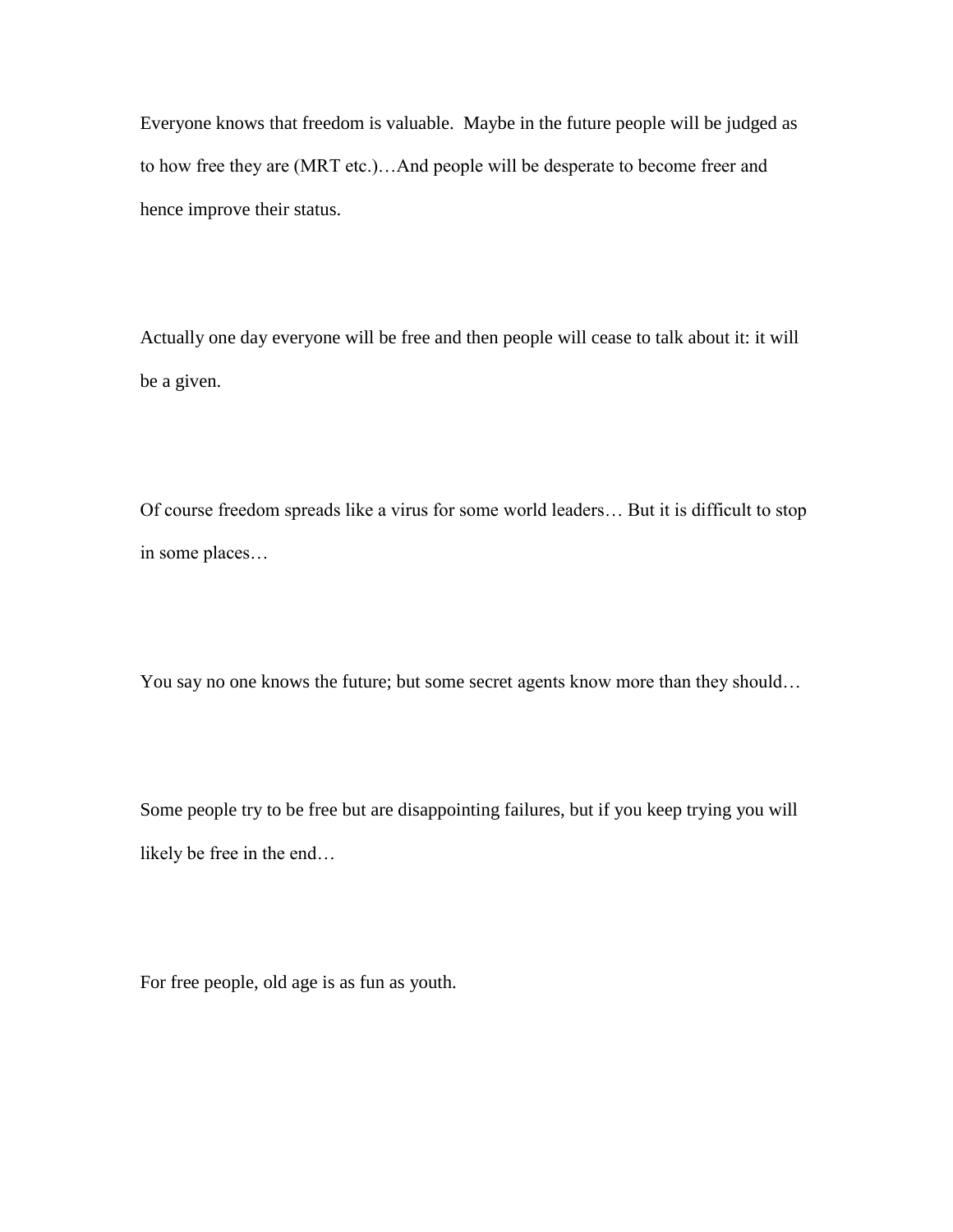Everyone knows that freedom is valuable. Maybe in the future people will be judged as to how free they are (MRT etc.)…And people will be desperate to become freer and hence improve their status.

Actually one day everyone will be free and then people will cease to talk about it: it will be a given.

Of course freedom spreads like a virus for some world leaders… But it is difficult to stop in some places…

You say no one knows the future; but some secret agents know more than they should…

Some people try to be free but are disappointing failures, but if you keep trying you will likely be free in the end…

For free people, old age is as fun as youth.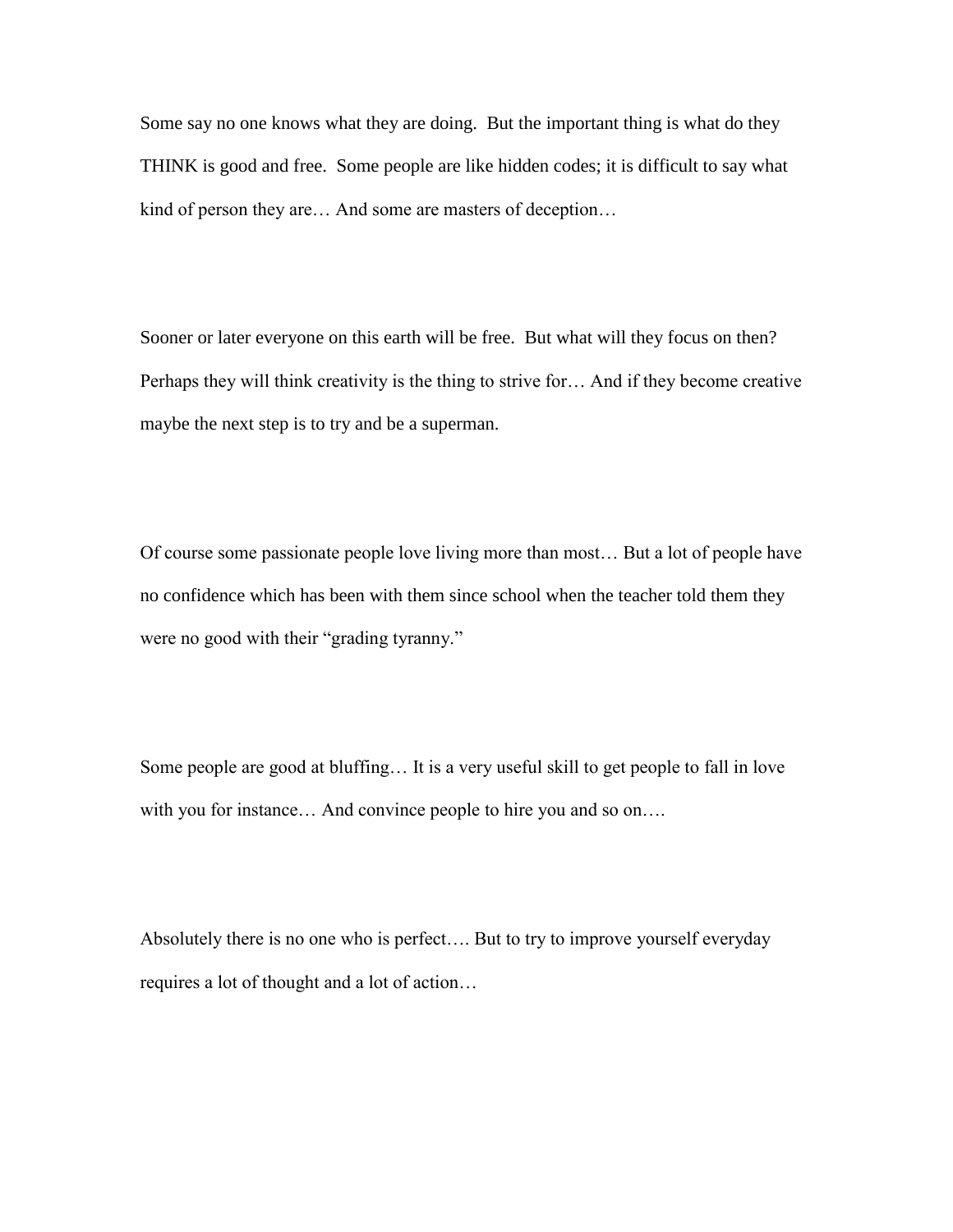Some say no one knows what they are doing. But the important thing is what do they THINK is good and free. Some people are like hidden codes; it is difficult to say what kind of person they are… And some are masters of deception…

Sooner or later everyone on this earth will be free. But what will they focus on then? Perhaps they will think creativity is the thing to strive for… And if they become creative maybe the next step is to try and be a superman.

Of course some passionate people love living more than most… But a lot of people have no confidence which has been with them since school when the teacher told them they were no good with their "grading tyranny."

Some people are good at bluffing… It is a very useful skill to get people to fall in love with you for instance... And convince people to hire you and so on....

Absolutely there is no one who is perfect…. But to try to improve yourself everyday requires a lot of thought and a lot of action…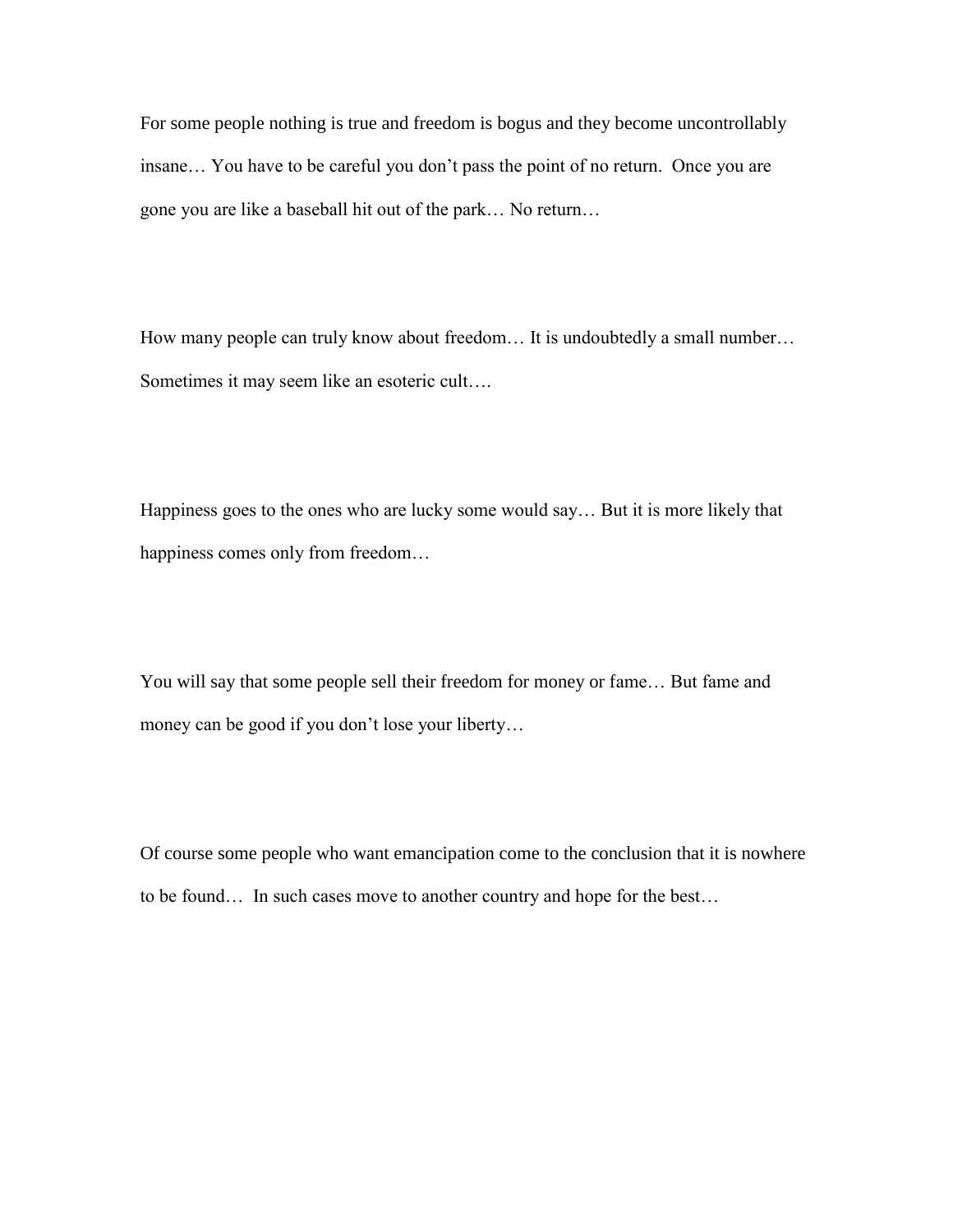For some people nothing is true and freedom is bogus and they become uncontrollably insane… You have to be careful you don't pass the point of no return. Once you are gone you are like a baseball hit out of the park… No return…

How many people can truly know about freedom… It is undoubtedly a small number… Sometimes it may seem like an esoteric cult….

Happiness goes to the ones who are lucky some would say… But it is more likely that happiness comes only from freedom…

You will say that some people sell their freedom for money or fame… But fame and money can be good if you don't lose your liberty…

Of course some people who want emancipation come to the conclusion that it is nowhere to be found… In such cases move to another country and hope for the best…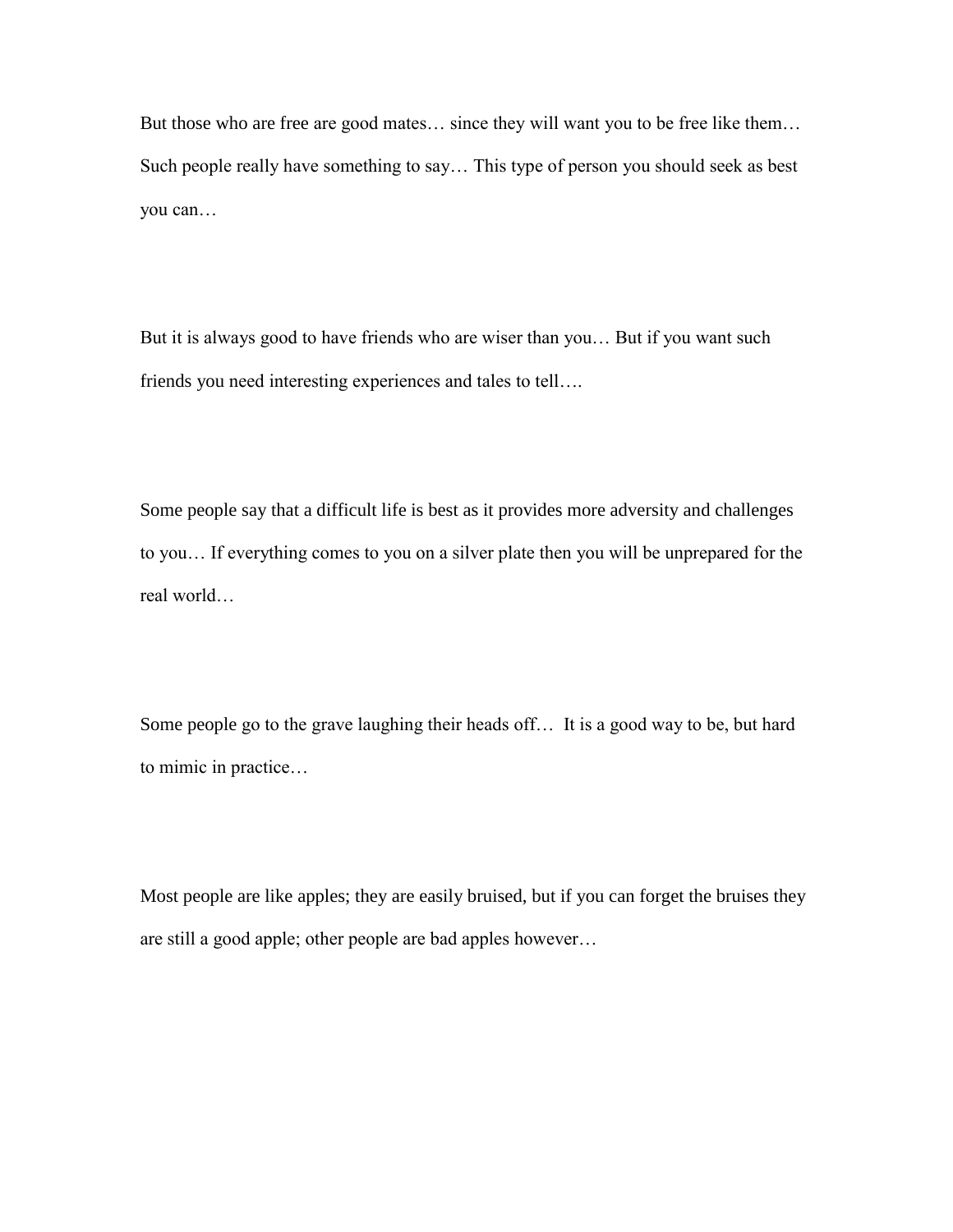But those who are free are good mates… since they will want you to be free like them… Such people really have something to say… This type of person you should seek as best you can…

But it is always good to have friends who are wiser than you… But if you want such friends you need interesting experiences and tales to tell….

Some people say that a difficult life is best as it provides more adversity and challenges to you… If everything comes to you on a silver plate then you will be unprepared for the real world…

Some people go to the grave laughing their heads off… It is a good way to be, but hard to mimic in practice…

Most people are like apples; they are easily bruised, but if you can forget the bruises they are still a good apple; other people are bad apples however…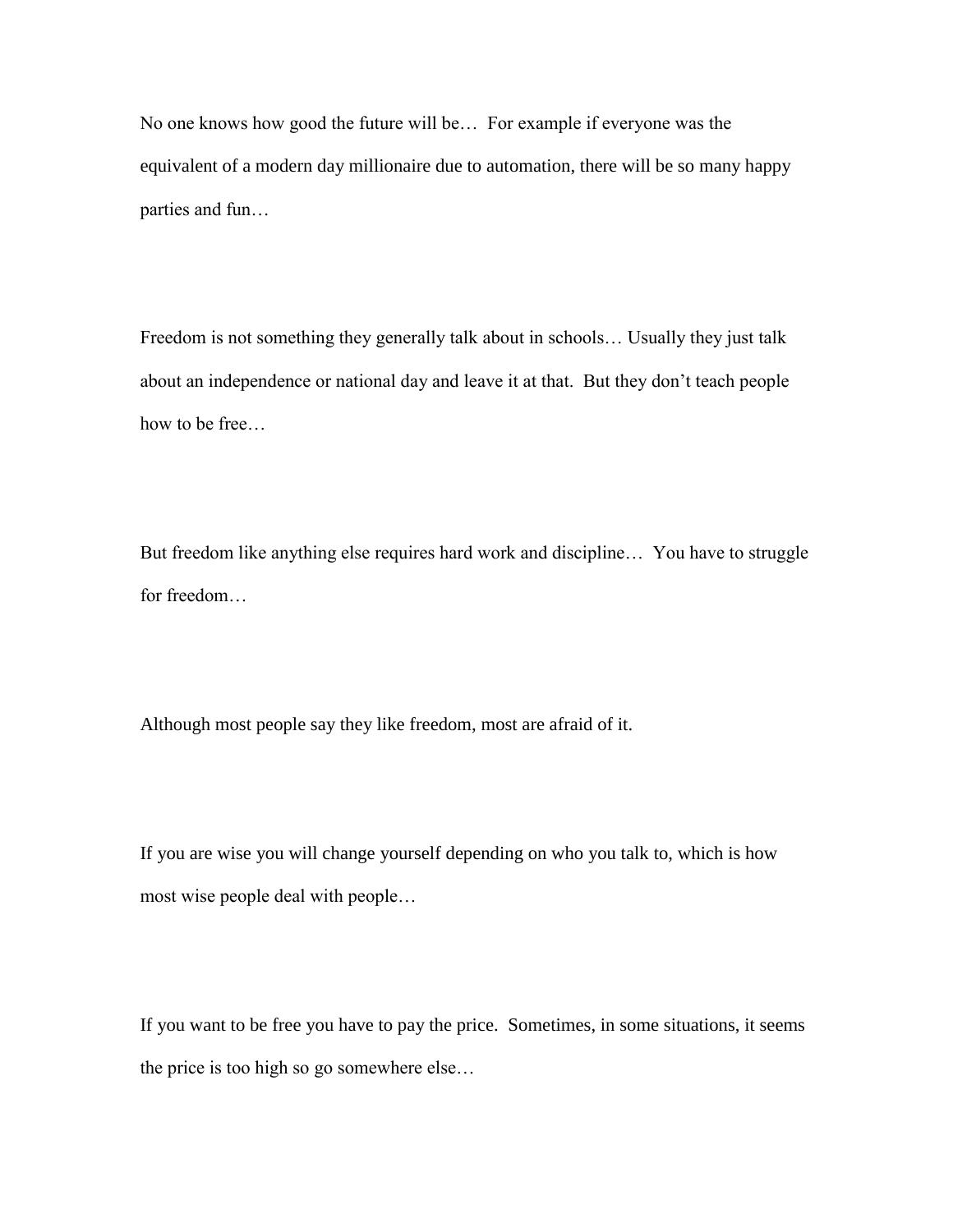No one knows how good the future will be… For example if everyone was the equivalent of a modern day millionaire due to automation, there will be so many happy parties and fun…

Freedom is not something they generally talk about in schools… Usually they just talk about an independence or national day and leave it at that. But they don't teach people how to be free…

But freedom like anything else requires hard work and discipline… You have to struggle for freedom…

Although most people say they like freedom, most are afraid of it.

If you are wise you will change yourself depending on who you talk to, which is how most wise people deal with people…

If you want to be free you have to pay the price. Sometimes, in some situations, it seems the price is too high so go somewhere else…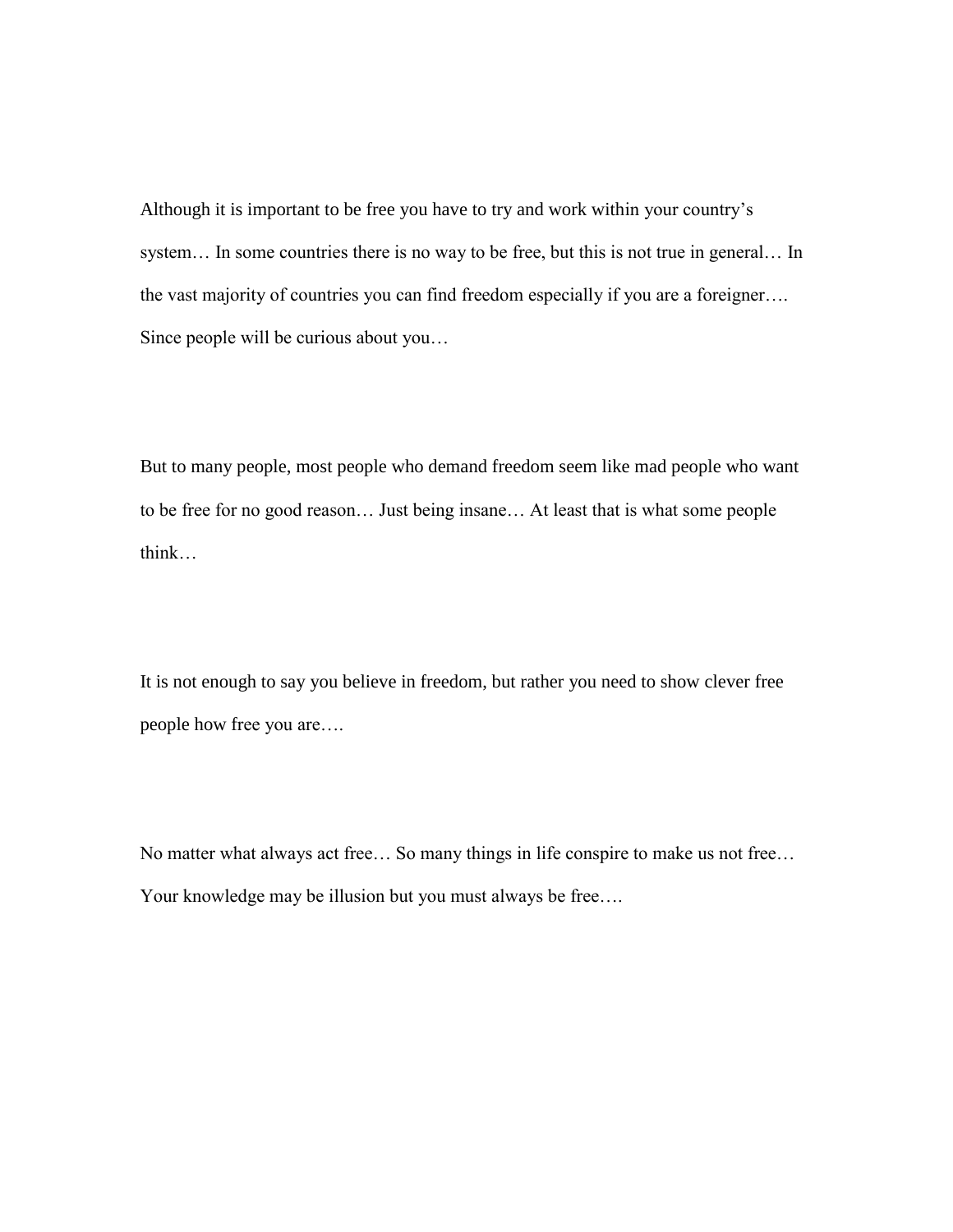Although it is important to be free you have to try and work within your country's system... In some countries there is no way to be free, but this is not true in general... In the vast majority of countries you can find freedom especially if you are a foreigner…. Since people will be curious about you…

But to many people, most people who demand freedom seem like mad people who want to be free for no good reason… Just being insane… At least that is what some people think…

It is not enough to say you believe in freedom, but rather you need to show clever free people how free you are….

No matter what always act free… So many things in life conspire to make us not free… Your knowledge may be illusion but you must always be free….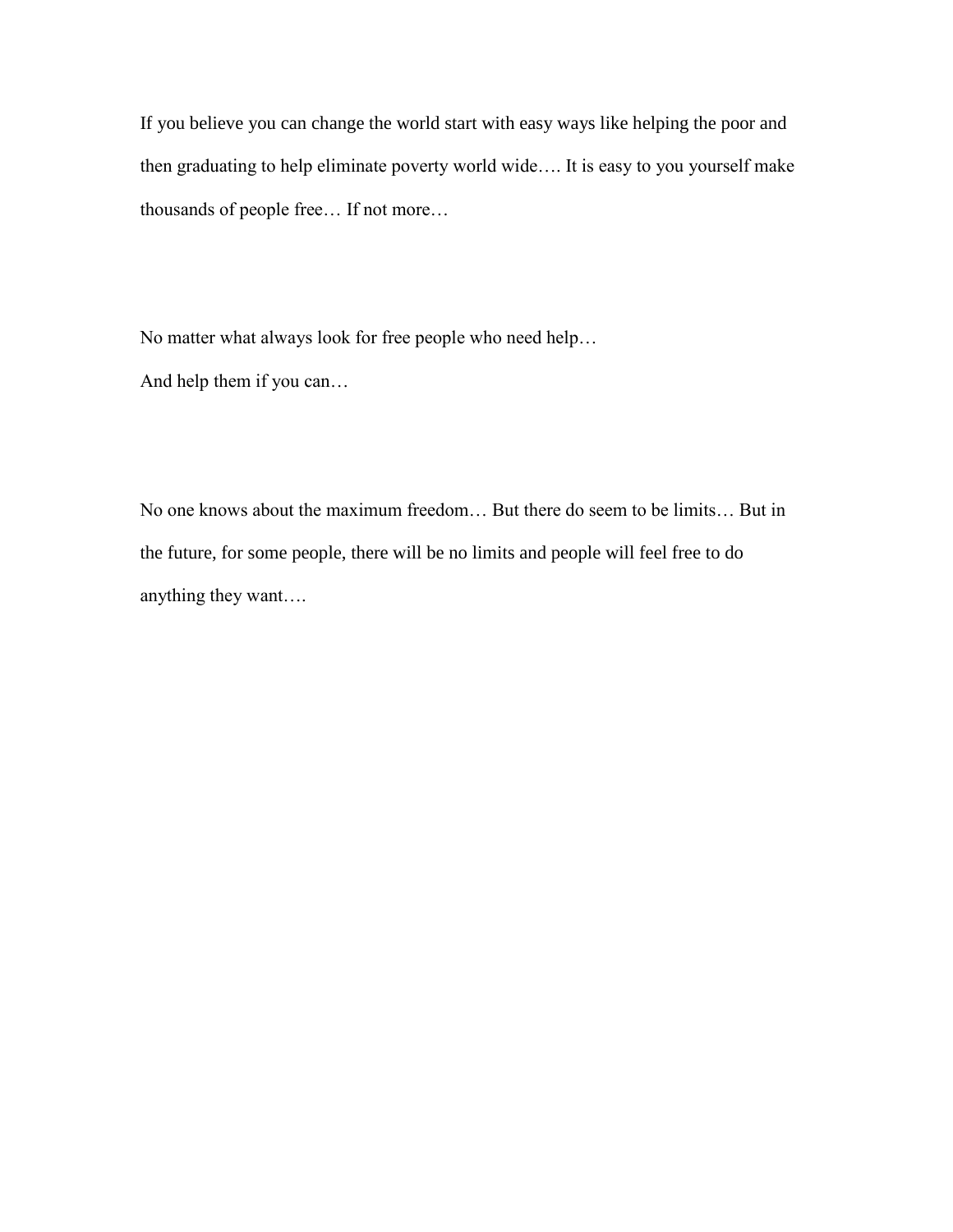If you believe you can change the world start with easy ways like helping the poor and then graduating to help eliminate poverty world wide…. It is easy to you yourself make thousands of people free… If not more…

No matter what always look for free people who need help…

And help them if you can…

No one knows about the maximum freedom… But there do seem to be limits… But in the future, for some people, there will be no limits and people will feel free to do anything they want….